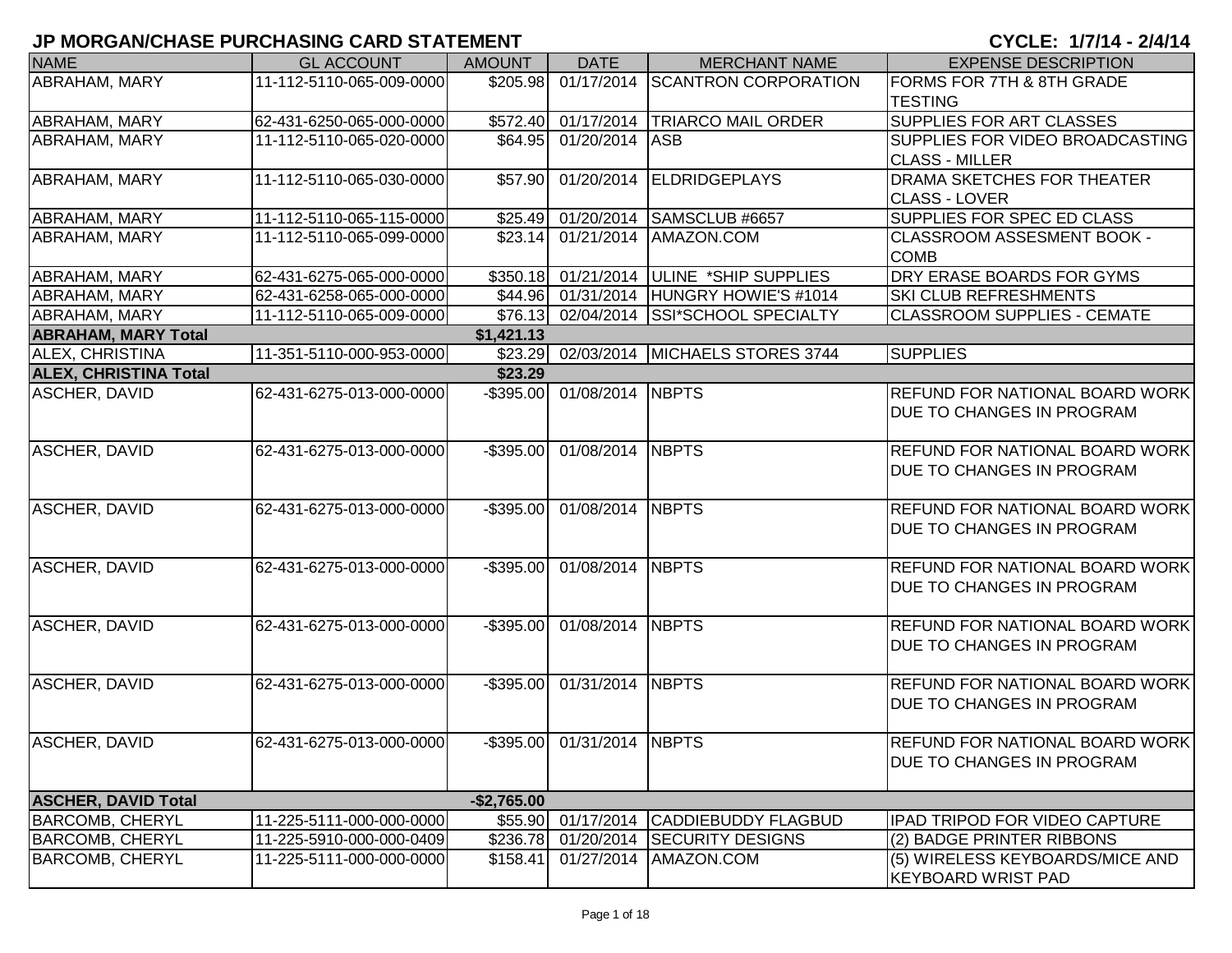| <b>NAME</b>                  | <b>GL ACCOUNT</b>        | <b>AMOUNT</b> | <b>DATE</b>                | <b>MERCHANT NAME</b>                    | <b>EXPENSE DESCRIPTION</b>            |
|------------------------------|--------------------------|---------------|----------------------------|-----------------------------------------|---------------------------------------|
| <b>ABRAHAM, MARY</b>         | 11-112-5110-065-009-0000 | \$205.98      |                            | 01/17/2014 SCANTRON CORPORATION         | FORMS FOR 7TH & 8TH GRADE             |
|                              |                          |               |                            |                                         | <b>TESTING</b>                        |
| ABRAHAM, MARY                | 62-431-6250-065-000-0000 | \$572.40      |                            | 01/17/2014 TRIARCO MAIL ORDER           | <b>SUPPLIES FOR ART CLASSES</b>       |
| ABRAHAM, MARY                | 11-112-5110-065-020-0000 | \$64.95       | 01/20/2014                 | <b>ASB</b>                              | SUPPLIES FOR VIDEO BROADCASTING       |
|                              |                          |               |                            |                                         | <b>CLASS - MILLER</b>                 |
| ABRAHAM, MARY                | 11-112-5110-065-030-0000 | \$57.90       | 01/20/2014                 | <b>ELDRIDGEPLAYS</b>                    | DRAMA SKETCHES FOR THEATER            |
|                              |                          |               |                            |                                         | <b>CLASS - LOVER</b>                  |
| ABRAHAM, MARY                | 11-112-5110-065-115-0000 |               | \$25.49 01/20/2014         | SAMSCLUB #6657                          | SUPPLIES FOR SPEC ED CLASS            |
| ABRAHAM, MARY                | 11-112-5110-065-099-0000 | \$23.14       | 01/21/2014                 | AMAZON.COM                              | <b>CLASSROOM ASSESMENT BOOK -</b>     |
|                              |                          |               |                            |                                         | <b>COMB</b>                           |
| ABRAHAM, MARY                | 62-431-6275-065-000-0000 |               | \$350.18 01/21/2014        | ULINE *SHIP SUPPLIES                    | DRY ERASE BOARDS FOR GYMS             |
| <b>ABRAHAM, MARY</b>         | 62-431-6258-065-000-0000 |               |                            | \$44.96 01/31/2014 HUNGRY HOWIE'S #1014 | <b>SKI CLUB REFRESHMENTS</b>          |
| <b>ABRAHAM, MARY</b>         | 11-112-5110-065-009-0000 | \$76.13       | 02/04/2014                 | <b>SSI*SCHOOL SPECIALTY</b>             | <b>CLASSROOM SUPPLIES - CEMATE</b>    |
| <b>ABRAHAM, MARY Total</b>   |                          | \$1,421.13    |                            |                                         |                                       |
| <b>ALEX, CHRISTINA</b>       | 11-351-5110-000-953-0000 |               |                            | \$23.29 02/03/2014 MICHAELS STORES 3744 | <b>SUPPLIES</b>                       |
| <b>ALEX, CHRISTINA Total</b> |                          | \$23.29       |                            |                                         |                                       |
| <b>ASCHER, DAVID</b>         | 62-431-6275-013-000-0000 |               | -\$395.00 01/08/2014 NBPTS |                                         | <b>REFUND FOR NATIONAL BOARD WORK</b> |
|                              |                          |               |                            |                                         | <b>DUE TO CHANGES IN PROGRAM</b>      |
|                              |                          |               |                            |                                         |                                       |
|                              |                          |               | -\$395.00 01/08/2014 NBPTS |                                         | <b>REFUND FOR NATIONAL BOARD WORK</b> |
| <b>ASCHER, DAVID</b>         | 62-431-6275-013-000-0000 |               |                            |                                         |                                       |
|                              |                          |               |                            |                                         | DUE TO CHANGES IN PROGRAM             |
|                              |                          |               |                            |                                         |                                       |
| <b>ASCHER, DAVID</b>         | 62-431-6275-013-000-0000 | $-$ \$395.00  | 01/08/2014 NBPTS           |                                         | <b>REFUND FOR NATIONAL BOARD WORK</b> |
|                              |                          |               |                            |                                         | <b>DUE TO CHANGES IN PROGRAM</b>      |
|                              |                          |               |                            |                                         |                                       |
| <b>ASCHER, DAVID</b>         | 62-431-6275-013-000-0000 | $-$ \$395.00  | 01/08/2014 NBPTS           |                                         | <b>REFUND FOR NATIONAL BOARD WORK</b> |
|                              |                          |               |                            |                                         | <b>DUE TO CHANGES IN PROGRAM</b>      |
|                              |                          |               |                            |                                         |                                       |
| <b>ASCHER, DAVID</b>         | 62-431-6275-013-000-0000 | $-$ \$395.00  | 01/08/2014 NBPTS           |                                         | <b>REFUND FOR NATIONAL BOARD WORK</b> |
|                              |                          |               |                            |                                         | <b>DUE TO CHANGES IN PROGRAM</b>      |
|                              |                          |               |                            |                                         |                                       |
| ASCHER, DAVID                | 62-431-6275-013-000-0000 | $-$ \$395.00  | 01/31/2014 NBPTS           |                                         | <b>REFUND FOR NATIONAL BOARD WORK</b> |
|                              |                          |               |                            |                                         | <b>DUE TO CHANGES IN PROGRAM</b>      |
|                              |                          |               |                            |                                         |                                       |
| <b>ASCHER, DAVID</b>         | 62-431-6275-013-000-0000 |               | -\$395.00 01/31/2014 NBPTS |                                         | <b>REFUND FOR NATIONAL BOARD WORK</b> |
|                              |                          |               |                            |                                         | <b>DUE TO CHANGES IN PROGRAM</b>      |
|                              |                          |               |                            |                                         |                                       |
| <b>ASCHER, DAVID Total</b>   |                          | $-$2,765.00$  |                            |                                         |                                       |
| <b>BARCOMB, CHERYL</b>       | 11-225-5111-000-000-0000 | \$55.90       | 01/17/2014                 | <b>CADDIEBUDDY FLAGBUD</b>              | <b>IPAD TRIPOD FOR VIDEO CAPTURE</b>  |
| <b>BARCOMB, CHERYL</b>       | 11-225-5910-000-000-0409 | \$236.78      | 01/20/2014                 | <b>SECURITY DESIGNS</b>                 | (2) BADGE PRINTER RIBBONS             |
| <b>BARCOMB, CHERYL</b>       | 11-225-5111-000-000-0000 | \$158.41      | 01/27/2014                 | AMAZON.COM                              | (5) WIRELESS KEYBOARDS/MICE AND       |
|                              |                          |               |                            |                                         | <b>KEYBOARD WRIST PAD</b>             |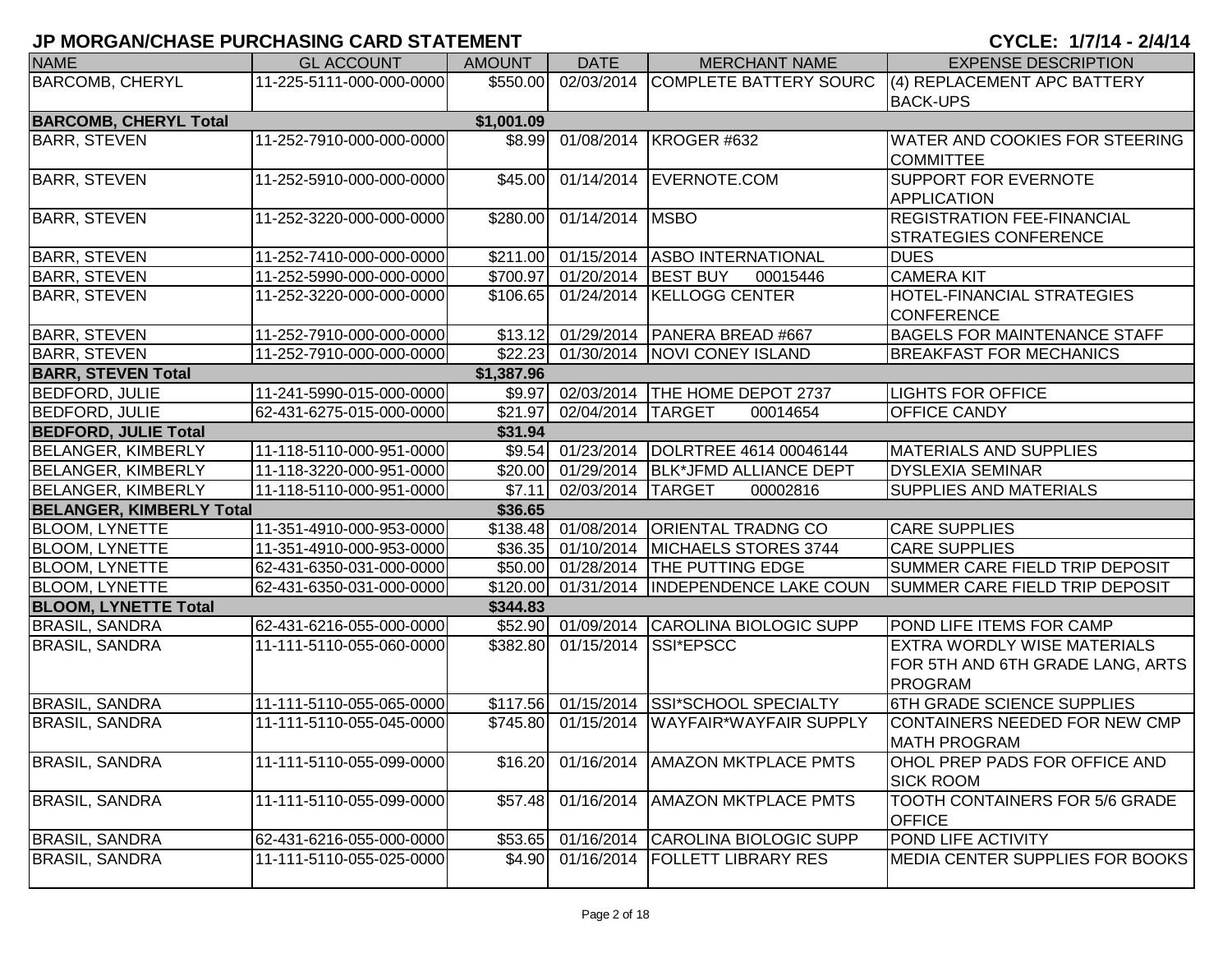| <b>NAME</b>                     | <b>GL ACCOUNT</b>        | <b>AMOUNT</b> | <b>DATE</b>                  | <b>MERCHANT NAME</b>                       | <b>EXPENSE DESCRIPTION</b>          |
|---------------------------------|--------------------------|---------------|------------------------------|--------------------------------------------|-------------------------------------|
| <b>BARCOMB, CHERYL</b>          | 11-225-5111-000-000-0000 | \$550.00      |                              | 02/03/2014 COMPLETE BATTERY SOURC          | (4) REPLACEMENT APC BATTERY         |
|                                 |                          |               |                              |                                            | <b>BACK-UPS</b>                     |
| <b>BARCOMB, CHERYL Total</b>    |                          | \$1,001.09    |                              |                                            |                                     |
| <b>BARR, STEVEN</b>             | 11-252-7910-000-000-0000 |               |                              | \$8.99 01/08/2014 KROGER #632              | WATER AND COOKIES FOR STEERING      |
|                                 |                          |               |                              |                                            | <b>COMMITTEE</b>                    |
| <b>BARR, STEVEN</b>             | 11-252-5910-000-000-0000 | \$45.00       |                              | 01/14/2014 EVERNOTE.COM                    | SUPPORT FOR EVERNOTE                |
|                                 |                          |               |                              |                                            | <b>APPLICATION</b>                  |
| <b>BARR, STEVEN</b>             | 11-252-3220-000-000-0000 |               | \$280.00 01/14/2014 MSBO     |                                            | <b>REGISTRATION FEE-FINANCIAL</b>   |
|                                 |                          |               |                              |                                            | <b>STRATEGIES CONFERENCE</b>        |
| <b>BARR, STEVEN</b>             | 11-252-7410-000-000-0000 |               |                              | \$211.00 01/15/2014 ASBO INTERNATIONAL     | <b>DUES</b>                         |
| <b>BARR, STEVEN</b>             | 11-252-5990-000-000-0000 |               | \$700.97 01/20/2014 BEST BUY | 00015446                                   | <b>CAMERA KIT</b>                   |
| <b>BARR, STEVEN</b>             | 11-252-3220-000-000-0000 |               |                              | \$106.65 01/24/2014 KELLOGG CENTER         | HOTEL-FINANCIAL STRATEGIES          |
|                                 |                          |               |                              |                                            | <b>CONFERENCE</b>                   |
| <b>BARR, STEVEN</b>             | 11-252-7910-000-000-0000 |               |                              | \$13.12 01/29/2014 PANERA BREAD #667       | <b>BAGELS FOR MAINTENANCE STAFF</b> |
| <b>BARR, STEVEN</b>             | 11-252-7910-000-000-0000 |               |                              | \$22.23 01/30/2014 NOVI CONEY ISLAND       | <b>BREAKFAST FOR MECHANICS</b>      |
| <b>BARR, STEVEN Total</b>       |                          | \$1,387.96    |                              |                                            |                                     |
| <b>BEDFORD, JULIE</b>           | 11-241-5990-015-000-0000 |               |                              | \$9.97 02/03/2014 THE HOME DEPOT 2737      | <b>LIGHTS FOR OFFICE</b>            |
| <b>BEDFORD, JULIE</b>           | 62-431-6275-015-000-0000 | \$21.97       | 02/04/2014 TARGET            | 00014654                                   | OFFICE CANDY                        |
| <b>BEDFORD, JULIE Total</b>     |                          | \$31.94       |                              |                                            |                                     |
| <b>BELANGER, KIMBERLY</b>       | 11-118-5110-000-951-0000 |               |                              | \$9.54 01/23/2014 DOLRTREE 4614 00046144   | <b>MATERIALS AND SUPPLIES</b>       |
| <b>BELANGER, KIMBERLY</b>       | 11-118-3220-000-951-0000 |               |                              | \$20.00 01/29/2014 BLK*JFMD ALLIANCE DEPT  | <b>DYSLEXIA SEMINAR</b>             |
| <b>BELANGER, KIMBERLY</b>       | 11-118-5110-000-951-0000 | \$7.11        | 02/03/2014 TARGET            | 00002816                                   | <b>SUPPLIES AND MATERIALS</b>       |
| <b>BELANGER, KIMBERLY Total</b> |                          | \$36.65       |                              |                                            |                                     |
| <b>BLOOM, LYNETTE</b>           | 11-351-4910-000-953-0000 |               |                              | \$138.48 01/08/2014 ORIENTAL TRADNG CO     | <b>CARE SUPPLIES</b>                |
| <b>BLOOM, LYNETTE</b>           | 11-351-4910-000-953-0000 |               |                              | \$36.35 01/10/2014 MICHAELS STORES 3744    | <b>CARE SUPPLIES</b>                |
| <b>BLOOM, LYNETTE</b>           | 62-431-6350-031-000-0000 |               |                              | \$50.00 01/28/2014 THE PUTTING EDGE        | SUMMER CARE FIELD TRIP DEPOSIT      |
| <b>BLOOM, LYNETTE</b>           | 62-431-6350-031-000-0000 |               |                              | \$120.00 01/31/2014 INDEPENDENCE LAKE COUN | SUMMER CARE FIELD TRIP DEPOSIT      |
| <b>BLOOM, LYNETTE Total</b>     |                          | \$344.83      |                              |                                            |                                     |
| <b>BRASIL, SANDRA</b>           | 62-431-6216-055-000-0000 |               |                              | \$52.90 01/09/2014 CAROLINA BIOLOGIC SUPP  | POND LIFE ITEMS FOR CAMP            |
| <b>BRASIL, SANDRA</b>           | 11-111-5110-055-060-0000 |               | \$382.80 01/15/2014          | SSI*EPSCC                                  | <b>EXTRA WORDLY WISE MATERIALS</b>  |
|                                 |                          |               |                              |                                            | FOR 5TH AND 6TH GRADE LANG, ARTS    |
|                                 |                          |               |                              |                                            | <b>PROGRAM</b>                      |
| <b>BRASIL, SANDRA</b>           | 11-111-5110-055-065-0000 |               |                              | \$117.56 01/15/2014 SSI*SCHOOL SPECIALTY   | 6TH GRADE SCIENCE SUPPLIES          |
| <b>BRASIL, SANDRA</b>           | 11-111-5110-055-045-0000 | \$745.80      |                              | 01/15/2014   WAYFAIR*WAYFAIR SUPPLY        | CONTAINERS NEEDED FOR NEW CMP       |
|                                 |                          |               |                              |                                            | MATH PROGRAM                        |
| <b>BRASIL, SANDRA</b>           | 11-111-5110-055-099-0000 | \$16.20       |                              | 01/16/2014   AMAZON MKTPLACE PMTS          | OHOL PREP PADS FOR OFFICE AND       |
|                                 |                          |               |                              |                                            | <b>SICK ROOM</b>                    |
| <b>BRASIL, SANDRA</b>           | 11-111-5110-055-099-0000 | \$57.48       | 01/16/2014                   | <b>AMAZON MKTPLACE PMTS</b>                | TOOTH CONTAINERS FOR 5/6 GRADE      |
|                                 |                          |               |                              |                                            | <b>OFFICE</b>                       |
| <b>BRASIL, SANDRA</b>           | 62-431-6216-055-000-0000 | \$53.65       | 01/16/2014                   | CAROLINA BIOLOGIC SUPP                     | POND LIFE ACTIVITY                  |
| <b>BRASIL, SANDRA</b>           | 11-111-5110-055-025-0000 | \$4.90        | 01/16/2014                   | <b>FOLLETT LIBRARY RES</b>                 | MEDIA CENTER SUPPLIES FOR BOOKS     |
|                                 |                          |               |                              |                                            |                                     |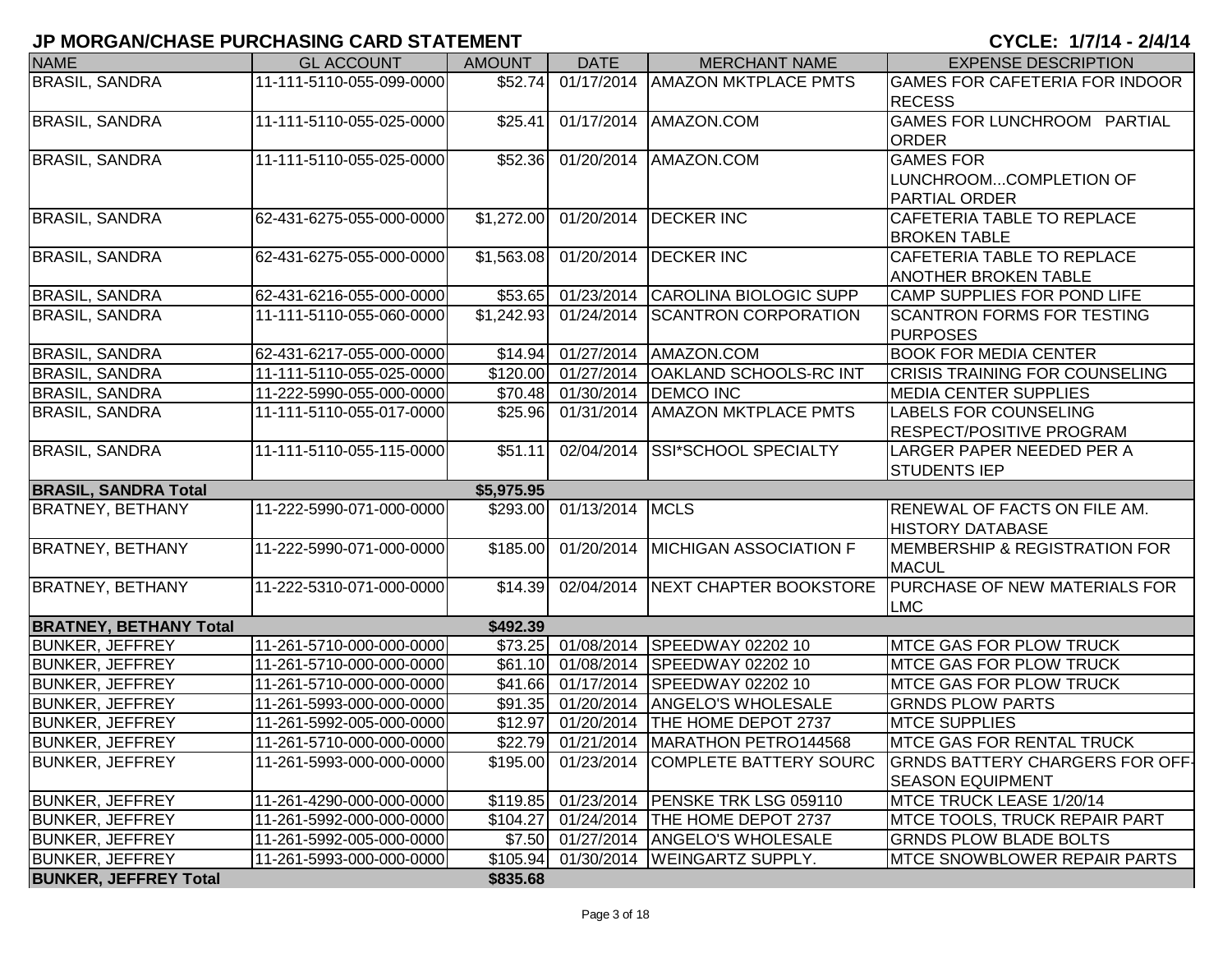| <b>NAME</b>                   | <b>GL ACCOUNT</b>        | <b>AMOUNT</b> | <b>DATE</b>                    | <b>MERCHANT NAME</b>                       | <b>EXPENSE DESCRIPTION</b>               |
|-------------------------------|--------------------------|---------------|--------------------------------|--------------------------------------------|------------------------------------------|
| <b>BRASIL, SANDRA</b>         | 11-111-5110-055-099-0000 | \$52.74       |                                | 01/17/2014   AMAZON MKTPLACE PMTS          | GAMES FOR CAFETERIA FOR INDOOR           |
|                               |                          |               |                                |                                            | <b>RECESS</b>                            |
| <b>BRASIL, SANDRA</b>         | 11-111-5110-055-025-0000 | \$25.41       |                                | 01/17/2014 AMAZON.COM                      | GAMES FOR LUNCHROOM PARTIAL              |
|                               |                          |               |                                |                                            | <b>ORDER</b>                             |
| <b>BRASIL, SANDRA</b>         | 11-111-5110-055-025-0000 | \$52.36       |                                | 01/20/2014   AMAZON.COM                    | <b>GAMES FOR</b>                         |
|                               |                          |               |                                |                                            | LUNCHROOMCOMPLETION OF                   |
|                               |                          |               |                                |                                            | <b>PARTIAL ORDER</b>                     |
| <b>BRASIL, SANDRA</b>         | 62-431-6275-055-000-0000 | \$1,272.00    |                                | 01/20/2014 DECKER INC                      | <b>CAFETERIA TABLE TO REPLACE</b>        |
|                               |                          |               |                                |                                            | <b>BROKEN TABLE</b>                      |
| <b>BRASIL, SANDRA</b>         | 62-431-6275-055-000-0000 | \$1,563.08    | 01/20/2014                     | <b>DECKER INC</b>                          | CAFETERIA TABLE TO REPLACE               |
|                               |                          |               |                                |                                            | ANOTHER BROKEN TABLE                     |
| <b>BRASIL, SANDRA</b>         | 62-431-6216-055-000-0000 | \$53.65       | 01/23/2014                     | CAROLINA BIOLOGIC SUPP                     | CAMP SUPPLIES FOR POND LIFE              |
| <b>BRASIL, SANDRA</b>         | 11-111-5110-055-060-0000 | \$1,242.93    | 01/24/2014                     | <b>SCANTRON CORPORATION</b>                | <b>SCANTRON FORMS FOR TESTING</b>        |
|                               |                          |               |                                |                                            | <b>PURPOSES</b>                          |
| <b>BRASIL, SANDRA</b>         | 62-431-6217-055-000-0000 | \$14.94       |                                | 01/27/2014 AMAZON.COM                      | <b>BOOK FOR MEDIA CENTER</b>             |
| <b>BRASIL, SANDRA</b>         | 11-111-5110-055-025-0000 |               | \$120.00 01/27/2014            | <b>OAKLAND SCHOOLS-RC INT</b>              | CRISIS TRAINING FOR COUNSELING           |
| <b>BRASIL, SANDRA</b>         | 11-222-5990-055-000-0000 |               | $\overline{$70.48}$ 01/30/2014 | <b>DEMCO INC</b>                           | <b>MEDIA CENTER SUPPLIES</b>             |
| <b>BRASIL, SANDRA</b>         | 11-111-5110-055-017-0000 | \$25.96       | 01/31/2014                     | <b>AMAZON MKTPLACE PMTS</b>                | <b>LABELS FOR COUNSELING</b>             |
|                               |                          |               |                                |                                            | <b>RESPECT/POSITIVE PROGRAM</b>          |
| <b>BRASIL, SANDRA</b>         | 11-111-5110-055-115-0000 | \$51.11       | 02/04/2014                     | <b>SSI*SCHOOL SPECIALTY</b>                | LARGER PAPER NEEDED PER A                |
|                               |                          |               |                                |                                            | <b>STUDENTS IEP</b>                      |
| <b>BRASIL, SANDRA Total</b>   |                          | \$5,975.95    |                                |                                            |                                          |
| <b>BRATNEY, BETHANY</b>       | 11-222-5990-071-000-0000 |               | \$293.00 01/13/2014 MCLS       |                                            | RENEWAL OF FACTS ON FILE AM.             |
|                               |                          |               |                                |                                            | <b>HISTORY DATABASE</b>                  |
| <b>BRATNEY, BETHANY</b>       | 11-222-5990-071-000-0000 | \$185.00      |                                | 01/20/2014 MICHIGAN ASSOCIATION F          | <b>MEMBERSHIP &amp; REGISTRATION FOR</b> |
|                               |                          |               |                                |                                            | <b>MACUL</b>                             |
| <b>BRATNEY, BETHANY</b>       | 11-222-5310-071-000-0000 | \$14.39       |                                | 02/04/2014 NEXT CHAPTER BOOKSTORE          | <b>PURCHASE OF NEW MATERIALS FOR</b>     |
|                               |                          |               |                                |                                            | <b>LMC</b>                               |
| <b>BRATNEY, BETHANY Total</b> |                          | \$492.39      |                                |                                            |                                          |
| <b>BUNKER, JEFFREY</b>        | 11-261-5710-000-000-0000 | \$73.25       | 01/08/2014                     | SPEEDWAY 02202 10                          | <b>MTCE GAS FOR PLOW TRUCK</b>           |
| <b>BUNKER, JEFFREY</b>        | 11-261-5710-000-000-0000 | \$61.10       | 01/08/2014                     | SPEEDWAY 02202 10                          | <b>MTCE GAS FOR PLOW TRUCK</b>           |
| <b>BUNKER, JEFFREY</b>        | 11-261-5710-000-000-0000 |               | \$41.66 01/17/2014             | SPEEDWAY 02202 10                          | <b>MTCE GAS FOR PLOW TRUCK</b>           |
| <b>BUNKER, JEFFREY</b>        | 11-261-5993-000-000-0000 | \$91.35       | 01/20/2014                     | <b>ANGELO'S WHOLESALE</b>                  | <b>GRNDS PLOW PARTS</b>                  |
| <b>BUNKER, JEFFREY</b>        | 11-261-5992-005-000-0000 | \$12.97       | 01/20/2014                     | <b>THE HOME DEPOT 2737</b>                 | <b>MTCE SUPPLIES</b>                     |
| <b>BUNKER, JEFFREY</b>        | 11-261-5710-000-000-0000 |               |                                | \$22.79 01/21/2014 MARATHON PETRO144568    | <b>IMTCE GAS FOR RENTAL TRUCK</b>        |
| <b>BUNKER, JEFFREY</b>        | 11-261-5993-000-000-0000 |               |                                | \$195.00 01/23/2014 COMPLETE BATTERY SOURC | <b>GRNDS BATTERY CHARGERS FOR OFF-</b>   |
|                               |                          |               |                                |                                            | <b>SEASON EQUIPMENT</b>                  |
| <b>BUNKER, JEFFREY</b>        | 11-261-4290-000-000-0000 |               |                                | \$119.85 01/23/2014 PENSKE TRK LSG 059110  | MTCE TRUCK LEASE 1/20/14                 |
| <b>BUNKER, JEFFREY</b>        | 11-261-5992-000-000-0000 | \$104.27      |                                | 01/24/2014 THE HOME DEPOT 2737             | <b>IMTCE TOOLS, TRUCK REPAIR PART</b>    |
| <b>BUNKER, JEFFREY</b>        | 11-261-5992-005-000-0000 |               |                                | \$7.50 01/27/2014 ANGELO'S WHOLESALE       | <b>GRNDS PLOW BLADE BOLTS</b>            |
| <b>BUNKER, JEFFREY</b>        | 11-261-5993-000-000-0000 |               |                                | \$105.94 01/30/2014 WEINGARTZ SUPPLY.      | <b>MTCE SNOWBLOWER REPAIR PARTS</b>      |
| <b>BUNKER, JEFFREY Total</b>  |                          | \$835.68      |                                |                                            |                                          |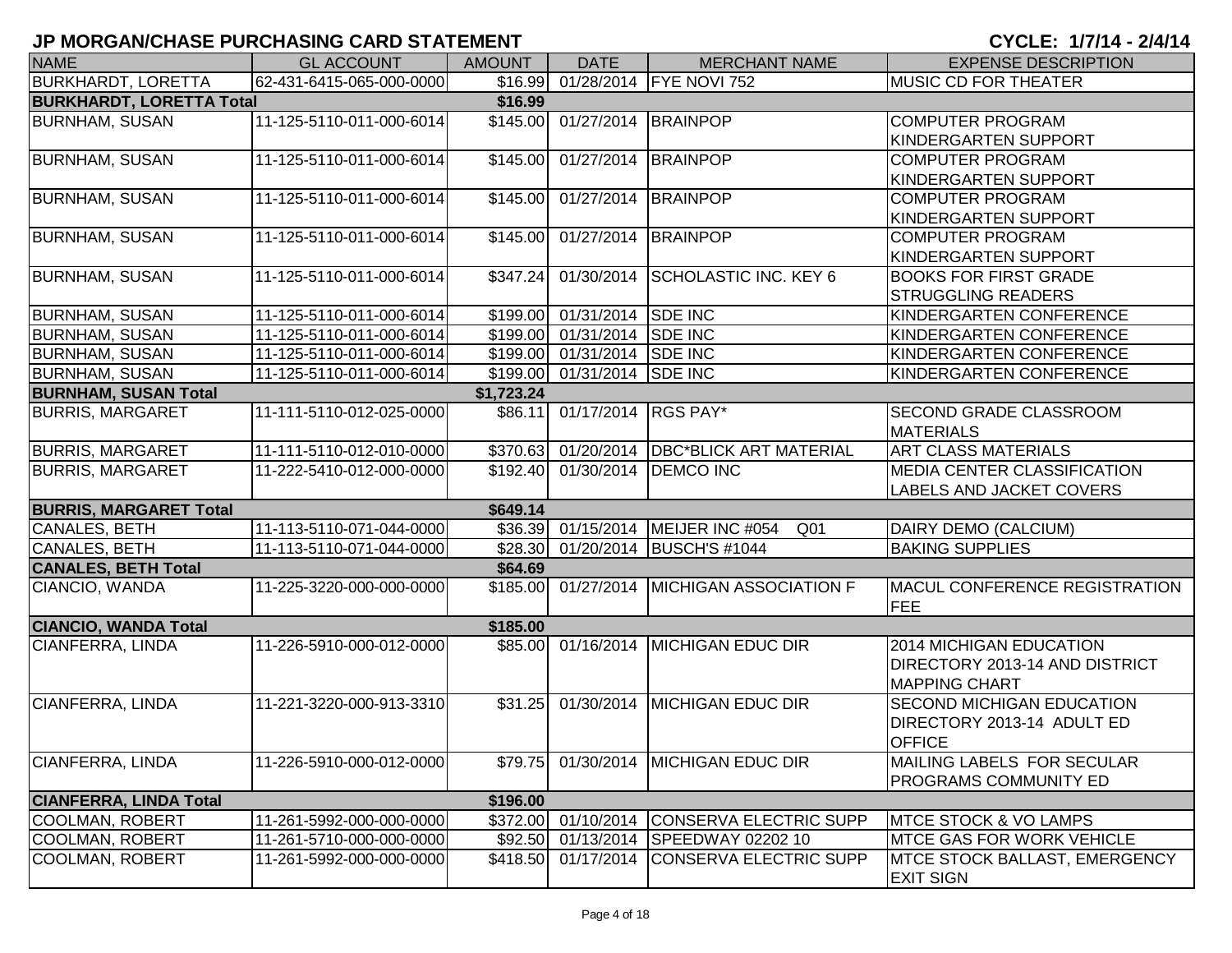| <b>NAME</b>                     | <b>GL ACCOUNT</b>        | <b>AMOUNT</b> | <b>DATE</b>                  | <b>MERCHANT NAME</b>                                  | <b>EXPENSE DESCRIPTION</b>                  |
|---------------------------------|--------------------------|---------------|------------------------------|-------------------------------------------------------|---------------------------------------------|
| <b>BURKHARDT, LORETTA</b>       | 62-431-6415-065-000-0000 | \$16.99       |                              | 01/28/2014 FYE NOVI 752                               | <b>MUSIC CD FOR THEATER</b>                 |
| <b>BURKHARDT, LORETTA Total</b> |                          | \$16.99       |                              |                                                       |                                             |
| <b>BURNHAM, SUSAN</b>           | 11-125-5110-011-000-6014 |               | \$145.00 01/27/2014 BRAINPOP |                                                       | <b>COMPUTER PROGRAM</b>                     |
|                                 |                          |               |                              |                                                       | KINDERGARTEN SUPPORT                        |
| <b>BURNHAM, SUSAN</b>           | 11-125-5110-011-000-6014 | \$145.00      | 01/27/2014 BRAINPOP          |                                                       | <b>COMPUTER PROGRAM</b>                     |
|                                 |                          |               |                              |                                                       | KINDERGARTEN SUPPORT                        |
| <b>BURNHAM, SUSAN</b>           | 11-125-5110-011-000-6014 | \$145.00      | 01/27/2014                   | <b>BRAINPOP</b>                                       | <b>COMPUTER PROGRAM</b>                     |
|                                 |                          |               |                              |                                                       | <b>KINDERGARTEN SUPPORT</b>                 |
| <b>BURNHAM, SUSAN</b>           | 11-125-5110-011-000-6014 | \$145.00      | 01/27/2014                   | BRAINPOP                                              | <b>COMPUTER PROGRAM</b>                     |
|                                 |                          |               |                              |                                                       | KINDERGARTEN SUPPORT                        |
| <b>BURNHAM, SUSAN</b>           | 11-125-5110-011-000-6014 | \$347.24]     | 01/30/2014                   | <b>SCHOLASTIC INC. KEY 6</b>                          | <b>BOOKS FOR FIRST GRADE</b>                |
|                                 |                          |               |                              |                                                       | <b>STRUGGLING READERS</b>                   |
| <b>BURNHAM, SUSAN</b>           | 11-125-5110-011-000-6014 |               | \$199.00 01/31/2014 SDE INC  |                                                       | KINDERGARTEN CONFERENCE                     |
| <b>BURNHAM, SUSAN</b>           | 11-125-5110-011-000-6014 |               | \$199.00 01/31/2014 SDE INC  |                                                       | KINDERGARTEN CONFERENCE                     |
| <b>BURNHAM, SUSAN</b>           | 11-125-5110-011-000-6014 |               | \$199.00 01/31/2014 SDE INC  |                                                       | KINDERGARTEN CONFERENCE                     |
| <b>BURNHAM, SUSAN</b>           | 11-125-5110-011-000-6014 |               | \$199.00 01/31/2014 SDE INC  |                                                       | KINDERGARTEN CONFERENCE                     |
| <b>BURNHAM, SUSAN Total</b>     |                          | \$1,723.24    |                              |                                                       |                                             |
| <b>BURRIS, MARGARET</b>         | 11-111-5110-012-025-0000 | \$86.11       | 01/17/2014 RGS PAY*          |                                                       | <b>SECOND GRADE CLASSROOM</b>               |
|                                 |                          |               |                              |                                                       | <b>MATERIALS</b>                            |
| <b>BURRIS, MARGARET</b>         | 11-111-5110-012-010-0000 |               |                              | \$370.63 01/20/2014 DBC*BLICK ART MATERIAL            | <b>ART CLASS MATERIALS</b>                  |
| <b>BURRIS, MARGARET</b>         | 11-222-5410-012-000-0000 |               |                              | \$192.40 01/30/2014 DEMCO INC                         | <b>MEDIA CENTER CLASSIFICATION</b>          |
|                                 |                          |               |                              |                                                       | <b>LABELS AND JACKET COVERS</b>             |
| <b>BURRIS, MARGARET Total</b>   |                          | \$649.14      |                              |                                                       |                                             |
| CANALES, BETH                   | 11-113-5110-071-044-0000 |               |                              | \$36.39 01/15/2014 MEIJER INC #054<br>Q <sub>01</sub> | DAIRY DEMO (CALCIUM)                        |
| <b>CANALES, BETH</b>            | 11-113-5110-071-044-0000 |               |                              | \$28.30 01/20/2014 BUSCH'S #1044                      | <b>BAKING SUPPLIES</b>                      |
| <b>CANALES, BETH Total</b>      |                          | \$64.69       |                              |                                                       |                                             |
| CIANCIO, WANDA                  | 11-225-3220-000-000-0000 |               |                              | \$185.00 01/27/2014 MICHIGAN ASSOCIATION F            | MACUL CONFERENCE REGISTRATION<br><b>FEE</b> |
| <b>CIANCIO, WANDA Total</b>     |                          | \$185.00      |                              |                                                       |                                             |
| CIANFERRA, LINDA                | 11-226-5910-000-012-0000 |               |                              | \$85.00 01/16/2014 MICHIGAN EDUC DIR                  | <b>2014 MICHIGAN EDUCATION</b>              |
|                                 |                          |               |                              |                                                       | <b>DIRECTORY 2013-14 AND DISTRICT</b>       |
|                                 |                          |               |                              |                                                       | <b>MAPPING CHART</b>                        |
| CIANFERRA, LINDA                | 11-221-3220-000-913-3310 | \$31.25       |                              | 01/30/2014 MICHIGAN EDUC DIR                          | <b>SECOND MICHIGAN EDUCATION</b>            |
|                                 |                          |               |                              |                                                       | DIRECTORY 2013-14 ADULT ED                  |
|                                 |                          |               |                              |                                                       | <b>OFFICE</b>                               |
| CIANFERRA, LINDA                | 11-226-5910-000-012-0000 |               |                              | \$79.75 01/30/2014 MICHIGAN EDUC DIR                  | MAILING LABELS FOR SECULAR                  |
|                                 |                          |               |                              |                                                       | <b>PROGRAMS COMMUNITY ED</b>                |
| <b>CIANFERRA, LINDA Total</b>   |                          | \$196.00      |                              |                                                       |                                             |
| <b>COOLMAN, ROBERT</b>          | 11-261-5992-000-000-0000 |               | \$372.00 01/10/2014          | <b>CONSERVA ELECTRIC SUPP</b>                         | <b>IMTCE STOCK &amp; VO LAMPS</b>           |
| COOLMAN, ROBERT                 | 11-261-5710-000-000-0000 | \$92.50       |                              | 01/13/2014 SPEEDWAY 02202 10                          | <b>IMTCE GAS FOR WORK VEHICLE</b>           |
| <b>COOLMAN, ROBERT</b>          | 11-261-5992-000-000-0000 | \$418.50      |                              | 01/17/2014 CONSERVA ELECTRIC SUPP                     | <b>MTCE STOCK BALLAST, EMERGENCY</b>        |
|                                 |                          |               |                              |                                                       | <b>EXIT SIGN</b>                            |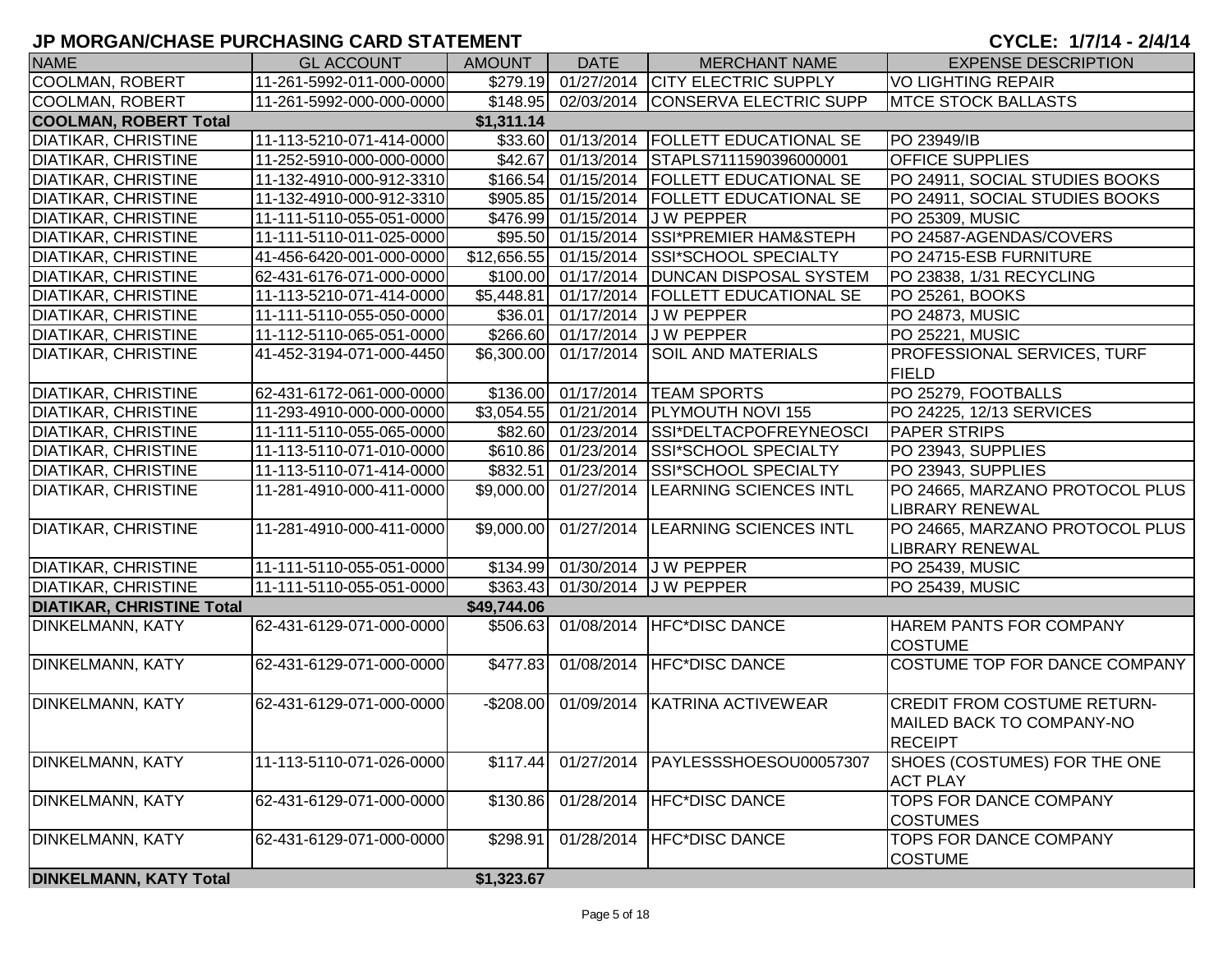| <b>NAME</b>                      | <b>GL ACCOUNT</b>        | <b>AMOUNT</b> | <b>DATE</b> | <b>MERCHANT NAME</b>                         | <b>EXPENSE DESCRIPTION</b>                                                        |
|----------------------------------|--------------------------|---------------|-------------|----------------------------------------------|-----------------------------------------------------------------------------------|
| <b>COOLMAN, ROBERT</b>           | 11-261-5992-011-000-0000 |               |             | \$279.19 01/27/2014 CITY ELECTRIC SUPPLY     | <b>VO LIGHTING REPAIR</b>                                                         |
| COOLMAN, ROBERT                  | 11-261-5992-000-000-0000 |               |             | \$148.95 02/03/2014 CONSERVA ELECTRIC SUPP   | <b>MTCE STOCK BALLASTS</b>                                                        |
| <b>COOLMAN, ROBERT Total</b>     |                          | \$1,311.14    |             |                                              |                                                                                   |
| <b>DIATIKAR, CHRISTINE</b>       | 11-113-5210-071-414-0000 |               |             | \$33.60 01/13/2014 FOLLETT EDUCATIONAL SE    | PO 23949/IB                                                                       |
| <b>DIATIKAR, CHRISTINE</b>       | 11-252-5910-000-000-0000 |               |             | \$42.67 01/13/2014 STAPLS7111590396000001    | <b>OFFICE SUPPLIES</b>                                                            |
| <b>DIATIKAR, CHRISTINE</b>       | 11-132-4910-000-912-3310 |               |             | \$166.54 01/15/2014 FOLLETT EDUCATIONAL SE   | PO 24911, SOCIAL STUDIES BOOKS                                                    |
| DIATIKAR, CHRISTINE              | 11-132-4910-000-912-3310 |               |             | \$905.85 01/15/2014 FOLLETT EDUCATIONAL SE   | PO 24911, SOCIAL STUDIES BOOKS                                                    |
| DIATIKAR, CHRISTINE              | 11-111-5110-055-051-0000 |               |             | \$476.99 01/15/2014 J W PEPPER               | PO 25309, MUSIC                                                                   |
| <b>DIATIKAR, CHRISTINE</b>       | 11-111-5110-011-025-0000 |               |             | \$95.50 01/15/2014 SSI*PREMIER HAM&STEPH     | PO 24587-AGENDAS/COVERS                                                           |
| <b>DIATIKAR, CHRISTINE</b>       | 41-456-6420-001-000-0000 |               |             | \$12,656.55 01/15/2014 SSI*SCHOOL SPECIALTY  | PO 24715-ESB FURNITURE                                                            |
| <b>DIATIKAR, CHRISTINE</b>       | 62-431-6176-071-000-0000 |               |             | \$100.00 01/17/2014 DUNCAN DISPOSAL SYSTEM   | PO 23838, 1/31 RECYCLING                                                          |
| <b>DIATIKAR, CHRISTINE</b>       | 11-113-5210-071-414-0000 |               |             | \$5,448.81 01/17/2014 FOLLETT EDUCATIONAL SE | PO 25261, BOOKS                                                                   |
| <b>DIATIKAR, CHRISTINE</b>       | 11-111-5110-055-050-0000 |               |             | \$36.01 01/17/2014 J W PEPPER                | PO 24873, MUSIC                                                                   |
| <b>DIATIKAR, CHRISTINE</b>       | 11-112-5110-065-051-0000 |               |             | \$266.60 01/17/2014 J W PEPPER               | PO 25221, MUSIC                                                                   |
| <b>DIATIKAR, CHRISTINE</b>       | 41-452-3194-071-000-4450 |               |             | \$6,300.00 01/17/2014 SOIL AND MATERIALS     | PROFESSIONAL SERVICES, TURF<br><b>FIELD</b>                                       |
| <b>DIATIKAR, CHRISTINE</b>       | 62-431-6172-061-000-0000 |               |             | \$136.00 01/17/2014 TEAM SPORTS              | PO 25279, FOOTBALLS                                                               |
| <b>DIATIKAR, CHRISTINE</b>       | 11-293-4910-000-000-0000 |               |             | \$3,054.55 01/21/2014 PLYMOUTH NOVI 155      | PO 24225, 12/13 SERVICES                                                          |
| <b>DIATIKAR, CHRISTINE</b>       | 11-111-5110-055-065-0000 |               |             | \$82.60 01/23/2014 SSI*DELTACPOFREYNEOSCI    | <b>PAPER STRIPS</b>                                                               |
| DIATIKAR, CHRISTINE              | 11-113-5110-071-010-0000 |               |             | \$610.86 01/23/2014 SSI*SCHOOL SPECIALTY     | PO 23943, SUPPLIES                                                                |
| <b>DIATIKAR, CHRISTINE</b>       | 11-113-5110-071-414-0000 |               |             | \$832.51 01/23/2014 SSI*SCHOOL SPECIALTY     | PO 23943, SUPPLIES                                                                |
| <b>DIATIKAR, CHRISTINE</b>       | 11-281-4910-000-411-0000 |               |             | \$9,000.00 01/27/2014 LEARNING SCIENCES INTL | PO 24665, MARZANO PROTOCOL PLUS                                                   |
|                                  |                          |               |             |                                              | <b>LIBRARY RENEWAL</b>                                                            |
| <b>DIATIKAR, CHRISTINE</b>       | 11-281-4910-000-411-0000 |               |             | \$9,000.00 01/27/2014 LEARNING SCIENCES INTL | PO 24665, MARZANO PROTOCOL PLUS<br><b>LIBRARY RENEWAL</b>                         |
| <b>DIATIKAR, CHRISTINE</b>       | 11-111-5110-055-051-0000 |               |             | \$134.99 01/30/2014 J W PEPPER               | PO 25439, MUSIC                                                                   |
| <b>DIATIKAR, CHRISTINE</b>       | 11-111-5110-055-051-0000 |               |             | \$363.43 01/30/2014 J W PEPPER               | <b>PO 25439, MUSIC</b>                                                            |
| <b>DIATIKAR, CHRISTINE Total</b> |                          | \$49,744.06   |             |                                              |                                                                                   |
| DINKELMANN, KATY                 | 62-431-6129-071-000-0000 |               |             | \$506.63 01/08/2014 HFC*DISC DANCE           | HAREM PANTS FOR COMPANY<br><b>COSTUME</b>                                         |
| DINKELMANN, KATY                 | 62-431-6129-071-000-0000 |               |             | \$477.83 01/08/2014 HFC*DISC DANCE           | COSTUME TOP FOR DANCE COMPANY                                                     |
| <b>DINKELMANN, KATY</b>          | 62-431-6129-071-000-0000 |               |             | -\$208.00 01/09/2014 KATRINA ACTIVEWEAR      | <b>CREDIT FROM COSTUME RETURN-</b><br>MAILED BACK TO COMPANY-NO<br><b>RECEIPT</b> |
| DINKELMANN, KATY                 | 11-113-5110-071-026-0000 | \$117.44      |             | 01/27/2014   PAYLESSSHOESOU00057307          | SHOES (COSTUMES) FOR THE ONE<br><b>ACT PLAY</b>                                   |
| <b>DINKELMANN, KATY</b>          | 62-431-6129-071-000-0000 | \$130.86      |             | 01/28/2014   HFC*DISC DANCE                  | TOPS FOR DANCE COMPANY<br><b>COSTUMES</b>                                         |
| <b>DINKELMANN, KATY</b>          | 62-431-6129-071-000-0000 | \$298.91      |             | 01/28/2014   HFC*DISC DANCE                  | TOPS FOR DANCE COMPANY<br><b>COSTUME</b>                                          |
| <b>DINKELMANN, KATY Total</b>    |                          | \$1,323.67    |             |                                              |                                                                                   |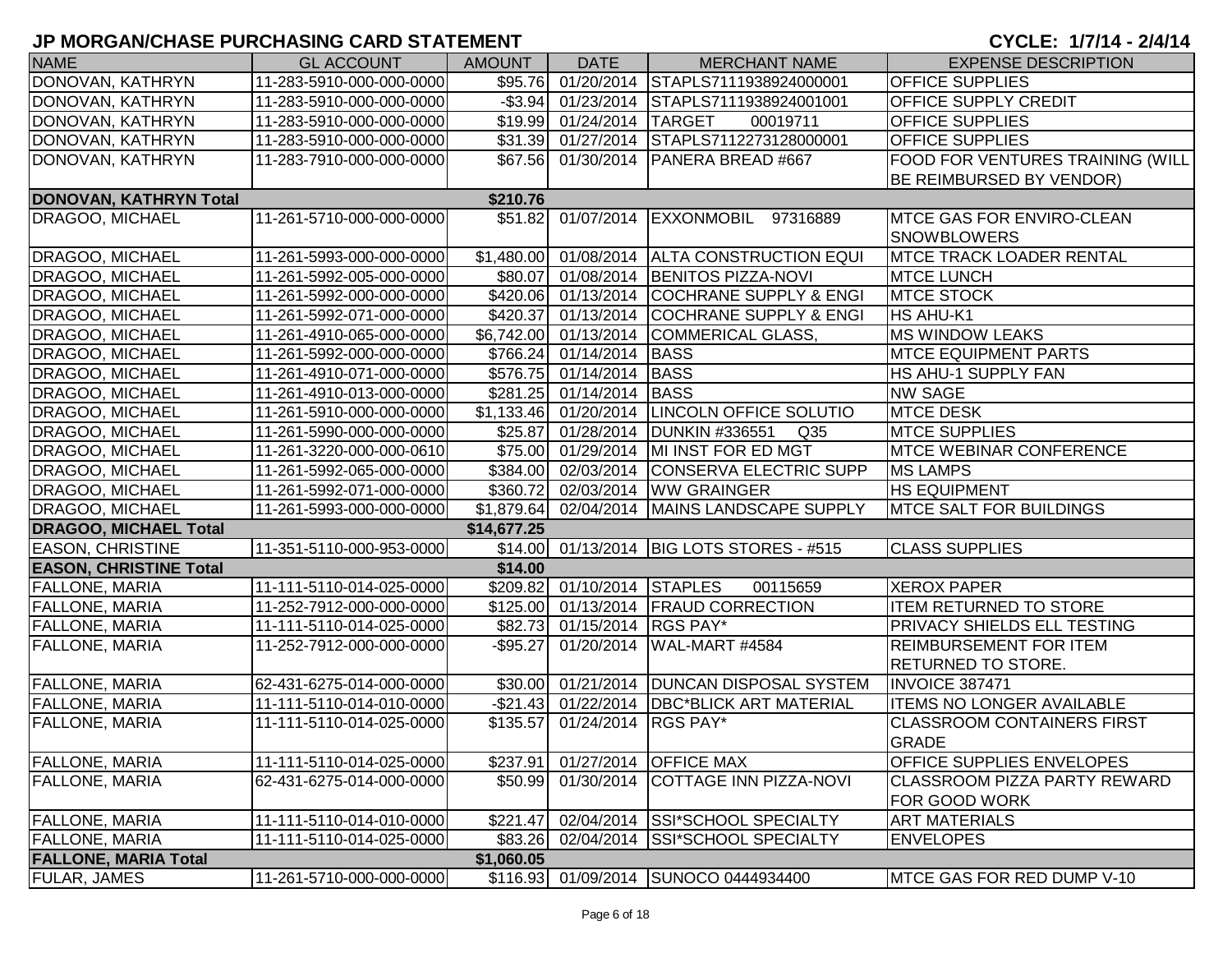| <b>NAME</b>                   | <b>GL ACCOUNT</b>        | <b>AMOUNT</b> | <b>DATE</b>                 | <b>MERCHANT NAME</b>                         | <b>EXPENSE DESCRIPTION</b>                                   |
|-------------------------------|--------------------------|---------------|-----------------------------|----------------------------------------------|--------------------------------------------------------------|
| DONOVAN, KATHRYN              | 11-283-5910-000-000-0000 |               |                             | \$95.76 01/20/2014 STAPLS7111938924000001    | <b>OFFICE SUPPLIES</b>                                       |
| DONOVAN, KATHRYN              | 11-283-5910-000-000-0000 |               |                             | -\$3.94 01/23/2014 STAPLS7111938924001001    | <b>OFFICE SUPPLY CREDIT</b>                                  |
| DONOVAN, KATHRYN              | 11-283-5910-000-000-0000 |               | \$19.99 01/24/2014 TARGET   | 00019711                                     | <b>OFFICE SUPPLIES</b>                                       |
| DONOVAN, KATHRYN              | 11-283-5910-000-000-0000 |               |                             | \$31.39 01/27/2014 STAPLS7112273128000001    | <b>OFFICE SUPPLIES</b>                                       |
| DONOVAN, KATHRYN              | 11-283-7910-000-000-0000 |               |                             | \$67.56 01/30/2014 PANERA BREAD #667         | FOOD FOR VENTURES TRAINING (WILL<br>BE REIMBURSED BY VENDOR) |
| DONOVAN, KATHRYN Total        |                          | \$210.76      |                             |                                              |                                                              |
| <b>DRAGOO, MICHAEL</b>        | 11-261-5710-000-000-0000 |               |                             | \$51.82 01/07/2014 EXXONMOBIL 97316889       | <b>MTCE GAS FOR ENVIRO-CLEAN</b>                             |
|                               |                          |               |                             |                                              | <b>SNOWBLOWERS</b>                                           |
| DRAGOO, MICHAEL               | 11-261-5993-000-000-0000 |               |                             | \$1,480.00 01/08/2014 ALTA CONSTRUCTION EQUI | <b>MTCE TRACK LOADER RENTAL</b>                              |
| DRAGOO, MICHAEL               | 11-261-5992-005-000-0000 |               |                             | \$80.07 01/08/2014 BENITOS PIZZA-NOVI        | <b>MTCE LUNCH</b>                                            |
| <b>DRAGOO, MICHAEL</b>        | 11-261-5992-000-000-0000 |               |                             | \$420.06 01/13/2014 COCHRANE SUPPLY & ENGI   | <b>MTCE STOCK</b>                                            |
| DRAGOO, MICHAEL               | 11-261-5992-071-000-0000 |               |                             | \$420.37 01/13/2014 COCHRANE SUPPLY & ENGI   | HS AHU-K1                                                    |
| DRAGOO, MICHAEL               | 11-261-4910-065-000-0000 |               |                             | \$6,742.00 01/13/2014 COMMERICAL GLASS,      | <b>MS WINDOW LEAKS</b>                                       |
| DRAGOO, MICHAEL               | 11-261-5992-000-000-0000 |               | \$766.24 01/14/2014 BASS    |                                              | <b>MTCE EQUIPMENT PARTS</b>                                  |
| DRAGOO, MICHAEL               | 11-261-4910-071-000-0000 |               | \$576.75 01/14/2014 BASS    |                                              | HS AHU-1 SUPPLY FAN                                          |
| DRAGOO, MICHAEL               | 11-261-4910-013-000-0000 |               | \$281.25 01/14/2014 BASS    |                                              | <b>NW SAGE</b>                                               |
| DRAGOO, MICHAEL               | 11-261-5910-000-000-0000 |               |                             | \$1,133.46 01/20/2014 LINCOLN OFFICE SOLUTIO | <b>MTCE DESK</b>                                             |
| DRAGOO, MICHAEL               | 11-261-5990-000-000-0000 |               |                             | \$25.87 01/28/2014 DUNKIN #336551<br>Q35     | <b>MTCE SUPPLIES</b>                                         |
| DRAGOO, MICHAEL               | 11-261-3220-000-000-0610 |               |                             | \$75.00 01/29/2014 MI INST FOR ED MGT        | <b>MTCE WEBINAR CONFERENCE</b>                               |
| DRAGOO, MICHAEL               | 11-261-5992-065-000-0000 |               |                             | \$384.00 02/03/2014 CONSERVA ELECTRIC SUPP   | <b>MS LAMPS</b>                                              |
| DRAGOO, MICHAEL               | 11-261-5992-071-000-0000 |               |                             | \$360.72 02/03/2014 WW GRAINGER              | <b>HS EQUIPMENT</b>                                          |
| DRAGOO, MICHAEL               | 11-261-5993-000-000-0000 |               |                             | \$1,879.64 02/04/2014 MAINS LANDSCAPE SUPPLY | <b>MTCE SALT FOR BUILDINGS</b>                               |
| <b>DRAGOO, MICHAEL Total</b>  |                          | \$14,677.25   |                             |                                              |                                                              |
| <b>EASON, CHRISTINE</b>       | 11-351-5110-000-953-0000 |               |                             | \$14.00 01/13/2014 BIG LOTS STORES - #515    | <b>CLASS SUPPLIES</b>                                        |
| <b>EASON, CHRISTINE Total</b> |                          | \$14.00       |                             |                                              |                                                              |
| <b>FALLONE, MARIA</b>         | 11-111-5110-014-025-0000 |               | \$209.82 01/10/2014 STAPLES | 00115659                                     | <b>XEROX PAPER</b>                                           |
| <b>FALLONE, MARIA</b>         | 11-252-7912-000-000-0000 |               |                             | \$125.00 01/13/2014 FRAUD CORRECTION         | <b>ITEM RETURNED TO STORE</b>                                |
| <b>FALLONE, MARIA</b>         | 11-111-5110-014-025-0000 |               | \$82.73 01/15/2014 RGS PAY* |                                              | PRIVACY SHIELDS ELL TESTING                                  |
| FALLONE, MARIA                | 11-252-7912-000-000-0000 | $-$ \$95.27   |                             | 01/20/2014 WAL-MART #4584                    | <b>REIMBURSEMENT FOR ITEM</b>                                |
|                               |                          |               |                             |                                              | <b>RETURNED TO STORE.</b>                                    |
| <b>FALLONE, MARIA</b>         | 62-431-6275-014-000-0000 |               |                             | \$30.00 01/21/2014 DUNCAN DISPOSAL SYSTEM    | <b>INVOICE 387471</b>                                        |
| <b>FALLONE, MARIA</b>         | 11-111-5110-014-010-0000 |               |                             | -\$21.43 01/22/2014 DBC*BLICK ART MATERIAL   | <b>ITEMS NO LONGER AVAILABLE</b>                             |
| FALLONE, MARIA                | 11-111-5110-014-025-0000 | \$135.57      | 01/24/2014                  | <b>RGS PAY*</b>                              | <b>CLASSROOM CONTAINERS FIRST</b>                            |
|                               |                          |               |                             |                                              | <b>GRADE</b>                                                 |
| <b>FALLONE, MARIA</b>         | 11-111-5110-014-025-0000 | \$237.91      |                             | 01/27/2014 OFFICE MAX                        | OFFICE SUPPLIES ENVELOPES                                    |
| <b>FALLONE, MARIA</b>         | 62-431-6275-014-000-0000 | \$50.99       |                             | 01/30/2014 COTTAGE INN PIZZA-NOVI            | <b>CLASSROOM PIZZA PARTY REWARD</b>                          |
|                               |                          |               |                             |                                              | FOR GOOD WORK                                                |
| <b>FALLONE, MARIA</b>         | 11-111-5110-014-010-0000 | \$221.47      |                             | 02/04/2014 SSI*SCHOOL SPECIALTY              | <b>ART MATERIALS</b>                                         |
| <b>FALLONE, MARIA</b>         | 11-111-5110-014-025-0000 | \$83.26       |                             | 02/04/2014 SSI*SCHOOL SPECIALTY              | <b>ENVELOPES</b>                                             |
| <b>FALLONE, MARIA Total</b>   |                          | \$1,060.05    |                             |                                              |                                                              |
| <b>FULAR, JAMES</b>           | 11-261-5710-000-000-0000 |               |                             | \$116.93 01/09/2014 SUNOCO 0444934400        | MTCE GAS FOR RED DUMP V-10                                   |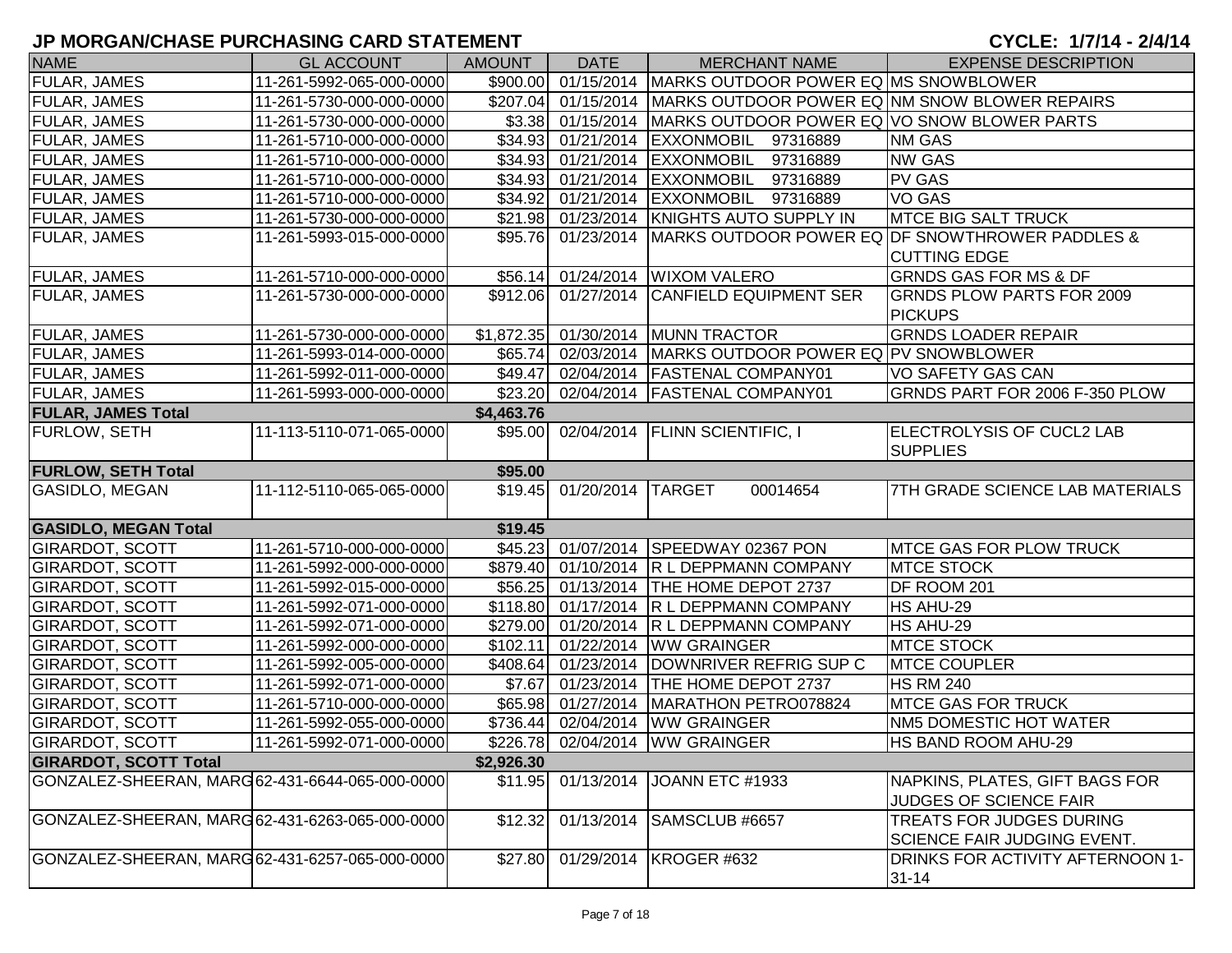| <b>NAME</b>                                     | <b>GL ACCOUNT</b>        | <b>AMOUNT</b> | <b>DATE</b>          | <b>MERCHANT NAME</b>                                              | <b>EXPENSE DESCRIPTION</b>                                             |
|-------------------------------------------------|--------------------------|---------------|----------------------|-------------------------------------------------------------------|------------------------------------------------------------------------|
| FULAR, JAMES                                    | 11-261-5992-065-000-0000 | \$900.00      | 01/15/2014           | MARKS OUTDOOR POWER EQ MS SNOWBLOWER                              |                                                                        |
| <b>FULAR, JAMES</b>                             | 11-261-5730-000-000-0000 |               |                      | \$207.04 01/15/2014 MARKS OUTDOOR POWER EQ NM SNOW BLOWER REPAIRS |                                                                        |
| <b>FULAR, JAMES</b>                             | 11-261-5730-000-000-0000 |               | \$3.38 01/15/2014    | MARKS OUTDOOR POWER EQ VO SNOW BLOWER PARTS                       |                                                                        |
| <b>FULAR, JAMES</b>                             | 11-261-5710-000-000-0000 |               |                      | \$34.93 01/21/2014 EXXONMOBIL 97316889                            | <b>NM GAS</b>                                                          |
| <b>FULAR, JAMES</b>                             | 11-261-5710-000-000-0000 |               |                      | \$34.93 01/21/2014 EXXONMOBIL<br>97316889                         | <b>NW GAS</b>                                                          |
| <b>FULAR, JAMES</b>                             | 11-261-5710-000-000-0000 |               |                      | \$34.93 01/21/2014 EXXONMOBIL<br>97316889                         | <b>PV GAS</b>                                                          |
| <b>FULAR, JAMES</b>                             | 11-261-5710-000-000-0000 |               |                      | \$34.92 01/21/2014 EXXONMOBIL 97316889                            | <b>VO GAS</b>                                                          |
| <b>FULAR, JAMES</b>                             | 11-261-5730-000-000-0000 |               |                      | \$21.98 01/23/2014 KNIGHTS AUTO SUPPLY IN                         | <b>MTCE BIG SALT TRUCK</b>                                             |
| <b>FULAR, JAMES</b>                             | 11-261-5993-015-000-0000 |               | \$95.76 01/23/2014   |                                                                   | MARKS OUTDOOR POWER EQ DF SNOWTHROWER PADDLES &<br><b>CUTTING EDGE</b> |
| <b>FULAR, JAMES</b>                             | 11-261-5710-000-000-0000 |               |                      | \$56.14 01/24/2014 WIXOM VALERO                                   | <b>GRNDS GAS FOR MS &amp; DF</b>                                       |
| <b>FULAR, JAMES</b>                             | 11-261-5730-000-000-0000 |               | \$912.06 01/27/2014  | <b>CANFIELD EQUIPMENT SER</b>                                     | <b>GRNDS PLOW PARTS FOR 2009</b>                                       |
|                                                 |                          |               |                      |                                                                   | <b>PICKUPS</b>                                                         |
| <b>FULAR, JAMES</b>                             | 11-261-5730-000-000-0000 |               |                      | \$1,872.35 01/30/2014 MUNN TRACTOR                                | <b>GRNDS LOADER REPAIR</b>                                             |
| <b>FULAR, JAMES</b>                             | 11-261-5993-014-000-0000 |               | \$65.74 02/03/2014   | MARKS OUTDOOR POWER EQ PV SNOWBLOWER                              |                                                                        |
| <b>FULAR, JAMES</b>                             | 11-261-5992-011-000-0000 |               | \$49.47 02/04/2014   | <b>FASTENAL COMPANY01</b>                                         | VO SAFETY GAS CAN                                                      |
| <b>FULAR, JAMES</b>                             | 11-261-5993-000-000-0000 |               |                      | \$23.20 02/04/2014 FASTENAL COMPANY01                             | GRNDS PART FOR 2006 F-350 PLOW                                         |
| <b>FULAR, JAMES Total</b>                       |                          | \$4,463.76    |                      |                                                                   |                                                                        |
| <b>FURLOW, SETH</b>                             | 11-113-5110-071-065-0000 |               |                      | \$95.00 02/04/2014 FLINN SCIENTIFIC, I                            | ELECTROLYSIS OF CUCL2 LAB<br><b>SUPPLIES</b>                           |
| <b>FURLOW, SETH Total</b>                       |                          | \$95.00       |                      |                                                                   |                                                                        |
| GASIDLO, MEGAN                                  | 11-112-5110-065-065-0000 |               | \$19.45 01/20/2014   | <b>TARGET</b><br>00014654                                         | 7TH GRADE SCIENCE LAB MATERIALS                                        |
|                                                 |                          |               |                      |                                                                   |                                                                        |
| <b>GASIDLO, MEGAN Total</b>                     |                          | \$19.45       |                      |                                                                   |                                                                        |
| <b>GIRARDOT, SCOTT</b>                          | 11-261-5710-000-000-0000 |               |                      | \$45.23 01/07/2014 SPEEDWAY 02367 PON                             | <b>MTCE GAS FOR PLOW TRUCK</b>                                         |
| <b>GIRARDOT, SCOTT</b>                          | 11-261-5992-000-000-0000 |               |                      | \$879.40 01/10/2014 R L DEPPMANN COMPANY                          | <b>MTCE STOCK</b>                                                      |
| <b>GIRARDOT, SCOTT</b>                          | 11-261-5992-015-000-0000 |               | \$56.25 01/13/2014   | <b>THE HOME DEPOT 2737</b>                                        | DF ROOM 201                                                            |
| <b>GIRARDOT, SCOTT</b>                          | 11-261-5992-071-000-0000 |               | $$118.80$ 01/17/2014 | <b>R L DEPPMANN COMPANY</b>                                       | HS AHU-29                                                              |
| <b>GIRARDOT, SCOTT</b>                          | 11-261-5992-071-000-0000 |               |                      | \$279.00 01/20/2014 R L DEPPMANN COMPANY                          | HS AHU-29                                                              |
| <b>GIRARDOT, SCOTT</b>                          | 11-261-5992-000-000-0000 |               |                      | \$102.11 01/22/2014 WW GRAINGER                                   | <b>MTCE STOCK</b>                                                      |
| <b>GIRARDOT, SCOTT</b>                          | 11-261-5992-005-000-0000 |               |                      | \$408.64 01/23/2014 DOWNRIVER REFRIG SUP C                        | <b>MTCE COUPLER</b>                                                    |
| <b>GIRARDOT, SCOTT</b>                          | 11-261-5992-071-000-0000 | \$7.67        |                      | 01/23/2014 THE HOME DEPOT 2737                                    | <b>HS RM 240</b>                                                       |
| <b>GIRARDOT, SCOTT</b>                          | 11-261-5710-000-000-0000 |               |                      | \$65.98 01/27/2014 MARATHON PETRO078824                           | <b>MTCE GAS FOR TRUCK</b>                                              |
| <b>GIRARDOT, SCOTT</b>                          | 11-261-5992-055-000-0000 | \$736.44      | 02/04/2014           | <b>WW GRAINGER</b>                                                | NM5 DOMESTIC HOT WATER                                                 |
| <b>GIRARDOT, SCOTT</b>                          | 11-261-5992-071-000-0000 |               |                      | \$226.78 02/04/2014 WW GRAINGER                                   | HS BAND ROOM AHU-29                                                    |
| <b>GIRARDOT, SCOTT Total</b>                    |                          | \$2,926.30    |                      |                                                                   |                                                                        |
| GONZALEZ-SHEERAN, MARG 62-431-6644-065-000-0000 |                          | \$11.95       | 01/13/2014           | JOANN ETC #1933                                                   | NAPKINS, PLATES, GIFT BAGS FOR                                         |
|                                                 |                          |               |                      |                                                                   | JUDGES OF SCIENCE FAIR                                                 |
| GONZALEZ-SHEERAN, MARG 62-431-6263-065-000-0000 |                          | \$12.32       | 01/13/2014           | SAMSCLUB #6657                                                    | TREATS FOR JUDGES DURING                                               |
|                                                 |                          |               |                      |                                                                   | SCIENCE FAIR JUDGING EVENT.                                            |
| GONZALEZ-SHEERAN, MARG 62-431-6257-065-000-0000 |                          | \$27.80       | 01/29/2014           | KROGER #632                                                       | DRINKS FOR ACTIVITY AFTERNOON 1-                                       |
|                                                 |                          |               |                      |                                                                   | $31 - 14$                                                              |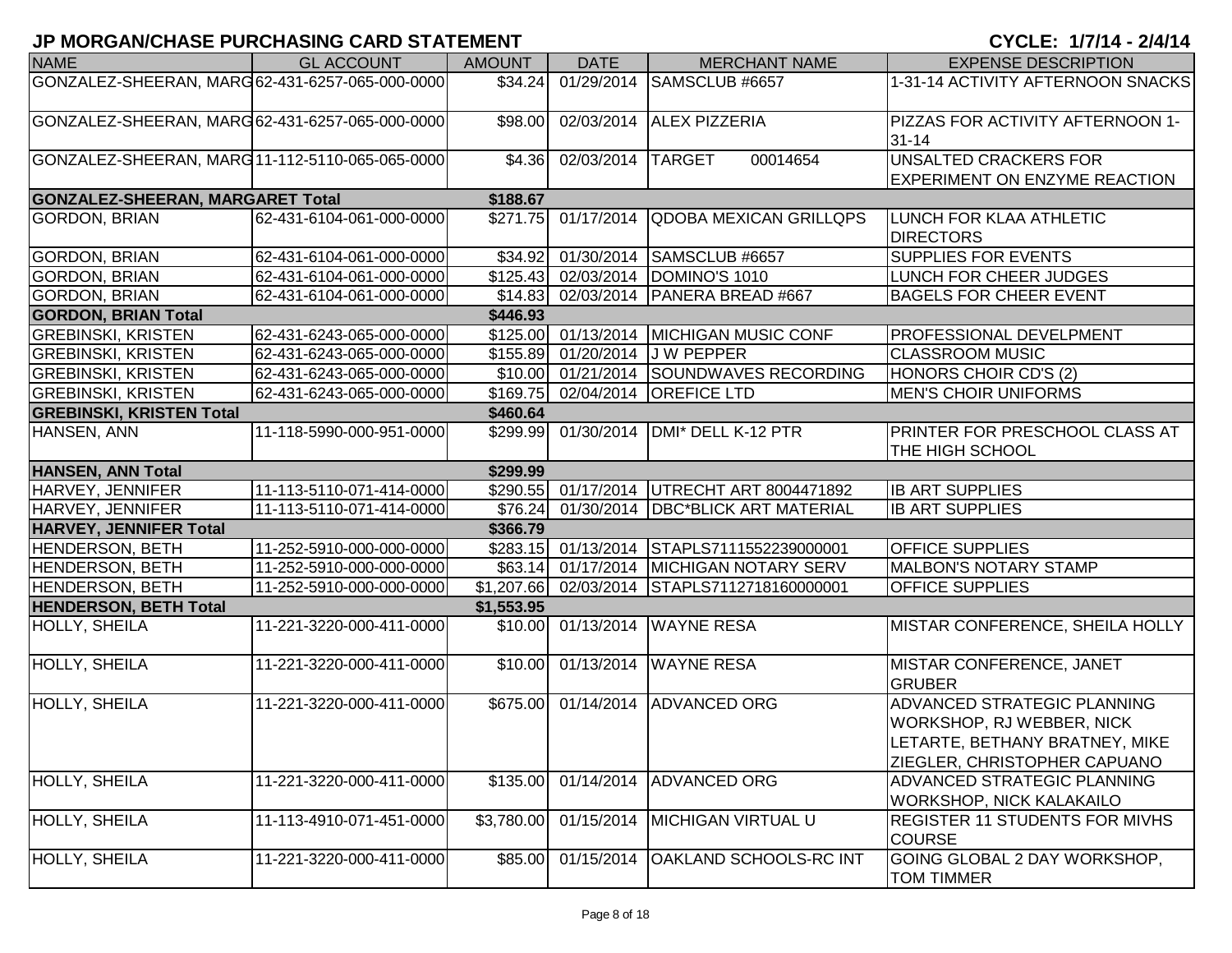| <b>NAME</b>                                     | <b>GL ACCOUNT</b>        | <b>AMOUNT</b>        | <b>DATE</b>                    | <b>MERCHANT NAME</b>                       | <b>EXPENSE DESCRIPTION</b>                                                                                                 |
|-------------------------------------------------|--------------------------|----------------------|--------------------------------|--------------------------------------------|----------------------------------------------------------------------------------------------------------------------------|
| GONZALEZ-SHEERAN, MARG 62-431-6257-065-000-0000 |                          | \$34.24              | 01/29/2014                     | SAMSCLUB #6657                             | 1-31-14 ACTIVITY AFTERNOON SNACKS                                                                                          |
| GONZALEZ-SHEERAN, MARG62-431-6257-065-000-0000  |                          | \$98.00              | 02/03/2014                     | <b>ALEX PIZZERIA</b>                       | PIZZAS FOR ACTIVITY AFTERNOON 1-<br>$31 - 14$                                                                              |
| GONZALEZ-SHEERAN, MARG 11-112-5110-065-065-0000 |                          | \$4.36               | 02/03/2014                     | <b>TARGET</b><br>00014654                  | <b>UNSALTED CRACKERS FOR</b><br><b>EXPERIMENT ON ENZYME REACTION</b>                                                       |
| <b>GONZALEZ-SHEERAN, MARGARET Total</b>         |                          | \$188.67             |                                |                                            |                                                                                                                            |
| <b>GORDON, BRIAN</b>                            | 62-431-6104-061-000-0000 | \$271.75             | 01/17/2014                     | <b>QDOBA MEXICAN GRILLQPS</b>              | LUNCH FOR KLAA ATHLETIC<br><b>DIRECTORS</b>                                                                                |
| <b>GORDON, BRIAN</b>                            | 62-431-6104-061-000-0000 |                      |                                | \$34.92 01/30/2014 SAMSCLUB #6657          | <b>SUPPLIES FOR EVENTS</b>                                                                                                 |
| <b>GORDON, BRIAN</b>                            | 62-431-6104-061-000-0000 |                      | \$125.43 02/03/2014            | DOMINO'S 1010                              | LUNCH FOR CHEER JUDGES                                                                                                     |
| <b>GORDON, BRIAN</b>                            | 62-431-6104-061-000-0000 | \$14.83              | 02/03/2014                     | PANERA BREAD #667                          | <b>BAGELS FOR CHEER EVENT</b>                                                                                              |
| <b>GORDON, BRIAN Total</b>                      |                          | \$446.93             |                                |                                            |                                                                                                                            |
| <b>GREBINSKI, KRISTEN</b>                       | 62-431-6243-065-000-0000 |                      |                                | \$125.00 01/13/2014 MICHIGAN MUSIC CONF    | PROFESSIONAL DEVELPMENT                                                                                                    |
| <b>GREBINSKI, KRISTEN</b>                       | 62-431-6243-065-000-0000 |                      | \$155.89 01/20/2014            | <b>JW PEPPER</b>                           | <b>CLASSROOM MUSIC</b>                                                                                                     |
| <b>GREBINSKI, KRISTEN</b>                       | 62-431-6243-065-000-0000 |                      | \$10.00 01/21/2014             | SOUNDWAVES RECORDING                       | HONORS CHOIR CD'S (2)                                                                                                      |
| <b>GREBINSKI, KRISTEN</b>                       | 62-431-6243-065-000-0000 |                      | \$169.75 02/04/2014            | <b>OREFICE LTD</b>                         | <b>MEN'S CHOIR UNIFORMS</b>                                                                                                |
| <b>GREBINSKI, KRISTEN Total</b>                 |                          | \$460.64             |                                |                                            |                                                                                                                            |
| HANSEN, ANN                                     | 11-118-5990-000-951-0000 | \$299.99             | 01/30/2014                     | DMI* DELL K-12 PTR                         | PRINTER FOR PRESCHOOL CLASS AT<br>THE HIGH SCHOOL                                                                          |
| <b>HANSEN, ANN Total</b>                        |                          | \$299.99             |                                |                                            |                                                                                                                            |
| HARVEY, JENNIFER                                | 11-113-5110-071-414-0000 |                      |                                | \$290.55 01/17/2014 UTRECHT ART 8004471892 | <b>IB ART SUPPLIES</b>                                                                                                     |
| HARVEY, JENNIFER                                | 11-113-5110-071-414-0000 | \$76.24              |                                | 01/30/2014   DBC*BLICK ART MATERIAL        | <b>IB ART SUPPLIES</b>                                                                                                     |
| <b>HARVEY, JENNIFER Total</b>                   |                          | \$366.79             |                                |                                            |                                                                                                                            |
| <b>HENDERSON, BETH</b>                          | 11-252-5910-000-000-0000 | \$283.15             | 01/13/2014                     | STAPLS7111552239000001                     | <b>OFFICE SUPPLIES</b>                                                                                                     |
| <b>HENDERSON, BETH</b>                          | 11-252-5910-000-000-0000 |                      | $\overline{$63.14}$ 01/17/2014 | <b>MICHIGAN NOTARY SERV</b>                | <b>MALBON'S NOTARY STAMP</b>                                                                                               |
| <b>HENDERSON, BETH</b>                          | 11-252-5910-000-000-0000 |                      | $$1,207.66$ 02/03/2014         | STAPLS7112718160000001                     | <b>OFFICE SUPPLIES</b>                                                                                                     |
| <b>HENDERSON, BETH Total</b>                    |                          | \$1,553.95           |                                |                                            |                                                                                                                            |
| <b>HOLLY, SHEILA</b>                            | 11-221-3220-000-411-0000 |                      | $$10.00$ 01/13/2014            | <b>WAYNE RESA</b>                          | MISTAR CONFERENCE, SHEILA HOLLY                                                                                            |
| HOLLY, SHEILA                                   | 11-221-3220-000-411-0000 | \$10.00              | 01/13/2014                     | <b>WAYNE RESA</b>                          | MISTAR CONFERENCE, JANET<br><b>GRUBER</b>                                                                                  |
| <b>HOLLY, SHEILA</b>                            | 11-221-3220-000-411-0000 | $\overline{$675.00}$ | 01/14/2014                     | ADVANCED ORG                               | ADVANCED STRATEGIC PLANNING<br>WORKSHOP, RJ WEBBER, NICK<br>LETARTE, BETHANY BRATNEY, MIKE<br>ZIEGLER, CHRISTOPHER CAPUANO |
| <b>HOLLY, SHEILA</b>                            | 11-221-3220-000-411-0000 | \$135.00             | 01/14/2014                     | <b>ADVANCED ORG</b>                        | ADVANCED STRATEGIC PLANNING<br><b>WORKSHOP, NICK KALAKAILO</b>                                                             |
| <b>HOLLY, SHEILA</b>                            | 11-113-4910-071-451-0000 | \$3,780.00           | 01/15/2014                     | <b>MICHIGAN VIRTUAL U</b>                  | <b>REGISTER 11 STUDENTS FOR MIVHS</b><br><b>COURSE</b>                                                                     |
| HOLLY, SHEILA                                   | 11-221-3220-000-411-0000 | \$85.00              | 01/15/2014                     | <b>OAKLAND SCHOOLS-RC INT</b>              | GOING GLOBAL 2 DAY WORKSHOP,<br><b>TOM TIMMER</b>                                                                          |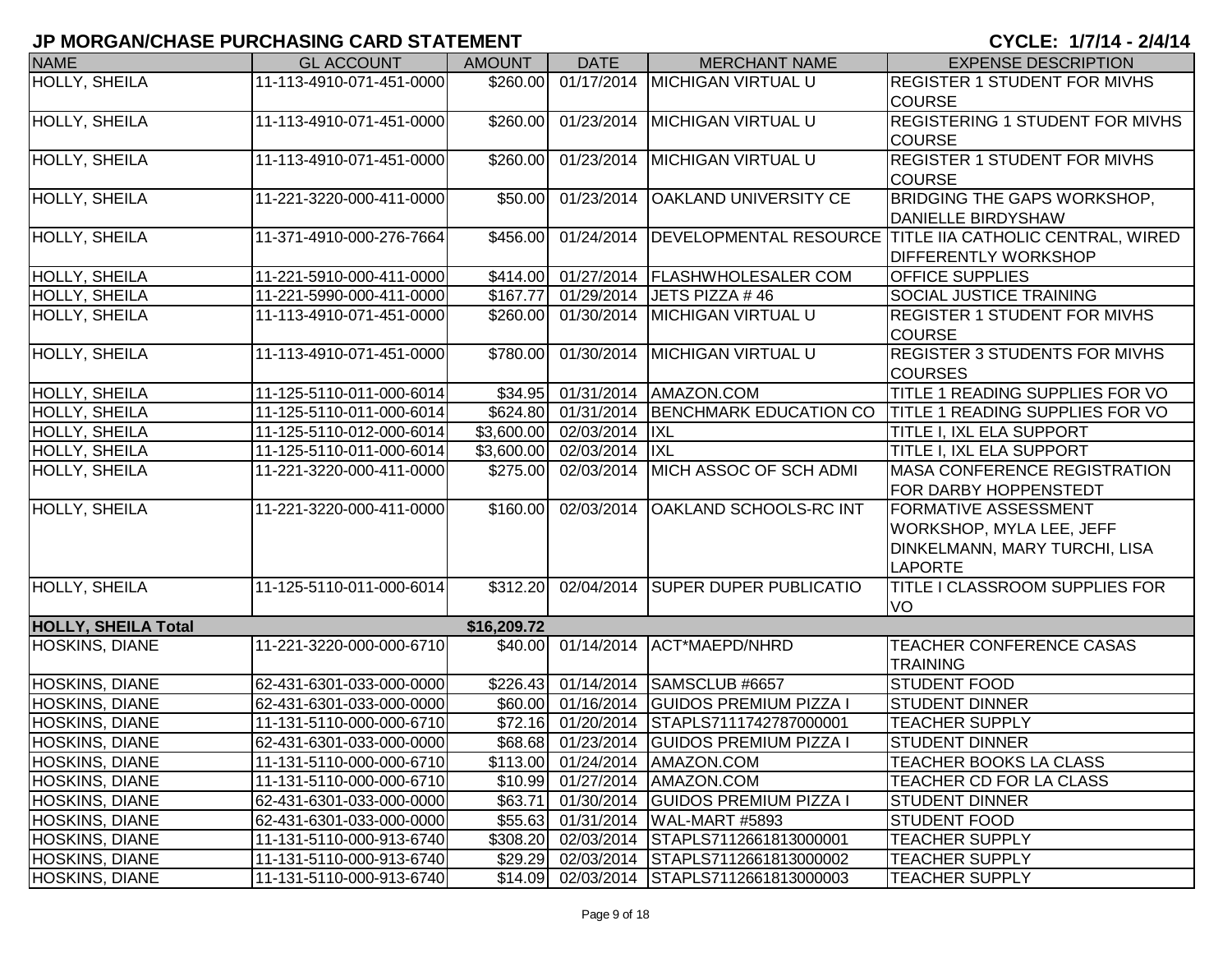| <b>NAME</b>                | <b>GL ACCOUNT</b>        | <b>AMOUNT</b> | <b>DATE</b>                      | <b>MERCHANT NAME</b>                       | <b>EXPENSE DESCRIPTION</b>                               |
|----------------------------|--------------------------|---------------|----------------------------------|--------------------------------------------|----------------------------------------------------------|
| <b>HOLLY, SHEILA</b>       | 11-113-4910-071-451-0000 |               |                                  | \$260.00 01/17/2014 MICHIGAN VIRTUAL U     | <b>REGISTER 1 STUDENT FOR MIVHS</b>                      |
|                            |                          |               |                                  |                                            | <b>COURSE</b>                                            |
| HOLLY, SHEILA              | 11-113-4910-071-451-0000 | \$260.00      |                                  | 01/23/2014 MICHIGAN VIRTUAL U              | <b>REGISTERING 1 STUDENT FOR MIVHS</b>                   |
|                            |                          |               |                                  |                                            | <b>COURSE</b>                                            |
| HOLLY, SHEILA              | 11-113-4910-071-451-0000 | \$260.00      | 01/23/2014                       | <b>MICHIGAN VIRTUAL U</b>                  | <b>REGISTER 1 STUDENT FOR MIVHS</b>                      |
|                            |                          |               |                                  |                                            | <b>COURSE</b>                                            |
| HOLLY, SHEILA              | 11-221-3220-000-411-0000 | \$50.00       | 01/23/2014                       | <b>OAKLAND UNIVERSITY CE</b>               | <b>BRIDGING THE GAPS WORKSHOP,</b>                       |
|                            |                          |               |                                  |                                            | <b>DANIELLE BIRDYSHAW</b>                                |
| HOLLY, SHEILA              | 11-371-4910-000-276-7664 | \$456.00      | 01/24/2014                       |                                            | DEVELOPMENTAL RESOURCE TITLE IIA CATHOLIC CENTRAL, WIRED |
|                            |                          |               |                                  |                                            | <b>DIFFERENTLY WORKSHOP</b>                              |
| HOLLY, SHEILA              | 11-221-5910-000-411-0000 | \$414.00      | 01/27/2014                       | <b>FLASHWHOLESALER COM</b>                 | OFFICE SUPPLIES                                          |
| HOLLY, SHEILA              | 11-221-5990-000-411-0000 | \$167.77      | 01/29/2014                       | JETS PIZZA #46                             | SOCIAL JUSTICE TRAINING                                  |
| HOLLY, SHEILA              | 11-113-4910-071-451-0000 | \$260.00      | 01/30/2014                       | <b>MICHIGAN VIRTUAL U</b>                  | <b>REGISTER 1 STUDENT FOR MIVHS</b>                      |
|                            |                          |               |                                  |                                            | <b>COURSE</b>                                            |
| HOLLY, SHEILA              | 11-113-4910-071-451-0000 | \$780.00      |                                  | 01/30/2014 MICHIGAN VIRTUAL U              | <b>REGISTER 3 STUDENTS FOR MIVHS</b>                     |
|                            |                          |               |                                  |                                            | <b>COURSES</b>                                           |
| HOLLY, SHEILA              | 11-125-5110-011-000-6014 | \$34.95       | 01/31/2014                       | AMAZON.COM                                 | TITLE 1 READING SUPPLIES FOR VO                          |
| HOLLY, SHEILA              | 11-125-5110-011-000-6014 |               | \$624.80 01/31/2014              | BENCHMARK EDUCATION CO                     | <b>TITLE 1 READING SUPPLIES FOR VO</b>                   |
| <b>HOLLY, SHEILA</b>       | 11-125-5110-012-000-6014 |               | \$3,600.00 02/03/2014            | <b>IXL</b>                                 | <b>TITLE I, IXL ELA SUPPORT</b>                          |
| HOLLY, SHEILA              | 11-125-5110-011-000-6014 |               | \$3,600.00 02/03/2014            | <b>IXL</b>                                 | <b>TITLE I, IXL ELA SUPPORT</b>                          |
| HOLLY, SHEILA              | 11-221-3220-000-411-0000 |               | \$275.00 02/03/2014              | MICH ASSOC OF SCH ADMI                     | <b>MASA CONFERENCE REGISTRATION</b>                      |
|                            |                          |               |                                  |                                            | FOR DARBY HOPPENSTEDT                                    |
| HOLLY, SHEILA              | 11-221-3220-000-411-0000 | \$160.00      | 02/03/2014                       | <b>OAKLAND SCHOOLS-RC INT</b>              | <b>FORMATIVE ASSESSMENT</b>                              |
|                            |                          |               |                                  |                                            | WORKSHOP, MYLA LEE, JEFF                                 |
|                            |                          |               |                                  |                                            | DINKELMANN, MARY TURCHI, LISA                            |
|                            |                          |               |                                  |                                            | <b>LAPORTE</b>                                           |
| <b>HOLLY, SHEILA</b>       | 11-125-5110-011-000-6014 |               |                                  | \$312.20 02/04/2014 SUPER DUPER PUBLICATIO | <b>TITLE I CLASSROOM SUPPLIES FOR</b>                    |
|                            |                          |               |                                  |                                            | VO                                                       |
| <b>HOLLY, SHEILA Total</b> |                          | \$16,209.72   |                                  |                                            |                                                          |
| HOSKINS, DIANE             | 11-221-3220-000-000-6710 |               | $$40.00$ $0\overline{1/14/2014}$ | ACT*MAEPD/NHRD                             | TEACHER CONFERENCE CASAS                                 |
|                            |                          |               |                                  |                                            | <b>TRAINING</b>                                          |
| HOSKINS, DIANE             | 62-431-6301-033-000-0000 | \$226.43      | 01/14/2014                       | SAMSCLUB #6657                             | <b>STUDENT FOOD</b>                                      |
| <b>HOSKINS, DIANE</b>      | 62-431-6301-033-000-0000 |               | \$60.00 01/16/2014               | <b>GUIDOS PREMIUM PIZZA I</b>              | <b>STUDENT DINNER</b>                                    |
| HOSKINS, DIANE             | 11-131-5110-000-000-6710 | \$72.16       | 01/20/2014                       | STAPLS7111742787000001                     | <b>TEACHER SUPPLY</b>                                    |
| <b>HOSKINS, DIANE</b>      | 62-431-6301-033-000-0000 |               |                                  | \$68.68 01/23/2014 GUIDOS PREMIUM PIZZA I  | <b>STUDENT DINNER</b>                                    |
| <b>HOSKINS, DIANE</b>      | 11-131-5110-000-000-6710 |               |                                  | \$113.00 01/24/2014 AMAZON.COM             | TEACHER BOOKS LA CLASS                                   |
| <b>HOSKINS, DIANE</b>      | 11-131-5110-000-000-6710 |               |                                  | \$10.99 01/27/2014 AMAZON.COM              | TEACHER CD FOR LA CLASS                                  |
| <b>HOSKINS, DIANE</b>      | 62-431-6301-033-000-0000 | \$63.71       |                                  | 01/30/2014 GUIDOS PREMIUM PIZZA I          | <b>STUDENT DINNER</b>                                    |
| <b>HOSKINS, DIANE</b>      | 62-431-6301-033-000-0000 |               |                                  | \$55.63 01/31/2014 WAL-MART #5893          | <b>STUDENT FOOD</b>                                      |
| <b>HOSKINS, DIANE</b>      | 11-131-5110-000-913-6740 |               |                                  | \$308.20 02/03/2014 STAPLS7112661813000001 | <b>TEACHER SUPPLY</b>                                    |
| <b>HOSKINS, DIANE</b>      | 11-131-5110-000-913-6740 |               |                                  | \$29.29 02/03/2014 STAPLS7112661813000002  | <b>TEACHER SUPPLY</b>                                    |
| <b>HOSKINS, DIANE</b>      | 11-131-5110-000-913-6740 |               |                                  | \$14.09 02/03/2014 STAPLS7112661813000003  | <b>TEACHER SUPPLY</b>                                    |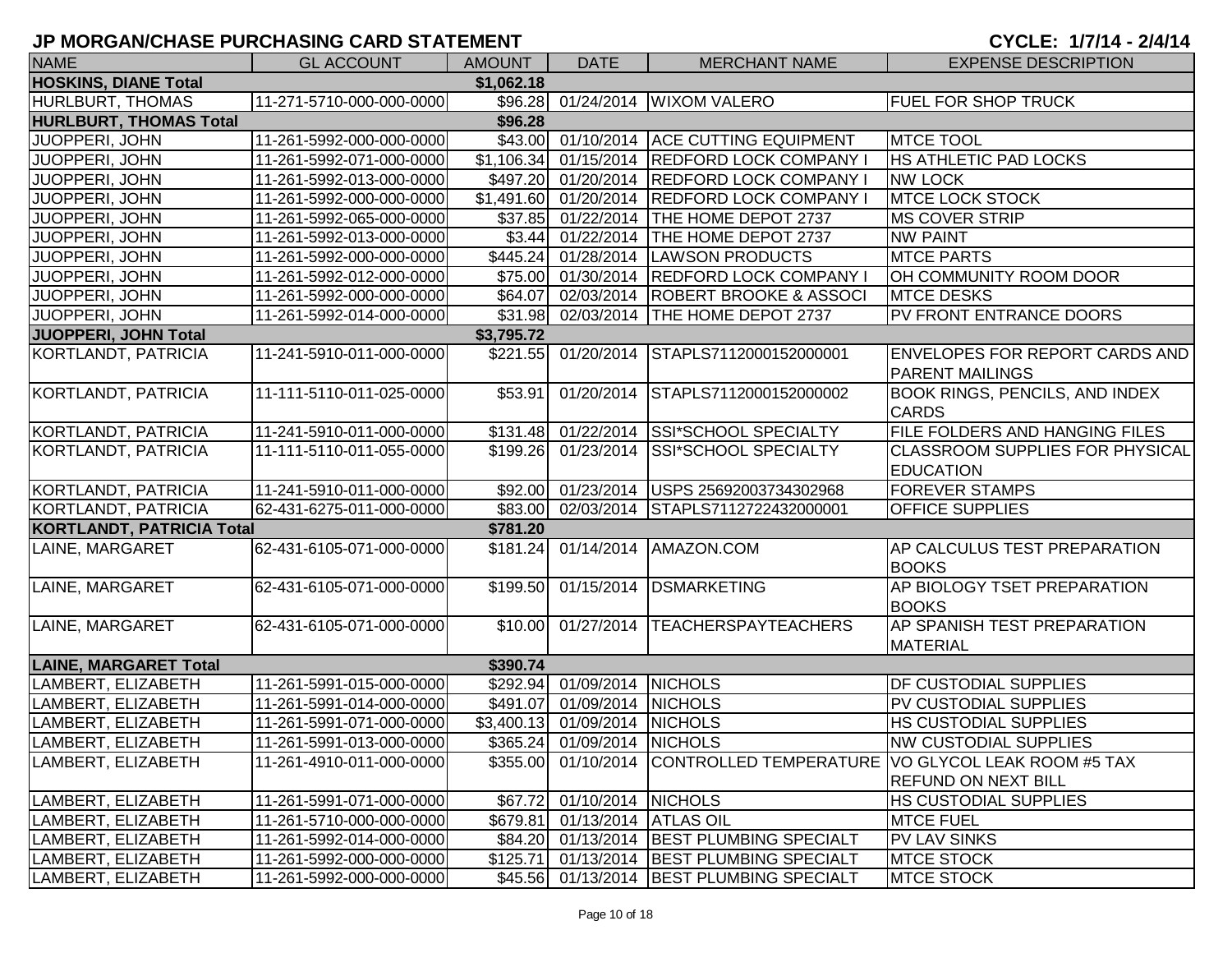# **JP MORGAN/CHASE PURCHASING CARD STATEMENT**

|  | CYCLE: 1/7/14 - 2/4/14 |  |
|--|------------------------|--|
|--|------------------------|--|

| <b>NAME</b>                      | <b>GL ACCOUNT</b>        | AMOUNT     | <b>DATE</b>                   | <b>MERCHANT NAME</b>                         | <b>EXPENSE DESCRIPTION</b>                                                                          |
|----------------------------------|--------------------------|------------|-------------------------------|----------------------------------------------|-----------------------------------------------------------------------------------------------------|
| <b>HOSKINS, DIANE Total</b>      |                          | \$1,062.18 |                               |                                              |                                                                                                     |
| HURLBURT, THOMAS                 | 11-271-5710-000-000-0000 |            |                               | \$96.28 01/24/2014 WIXOM VALERO              | <b>FUEL FOR SHOP TRUCK</b>                                                                          |
| <b>HURLBURT, THOMAS Total</b>    |                          | \$96.28    |                               |                                              |                                                                                                     |
| JUOPPERI, JOHN                   | 11-261-5992-000-000-0000 |            |                               | \$43.00 01/10/2014 ACE CUTTING EQUIPMENT     | <b>MTCE TOOL</b>                                                                                    |
| JUOPPERI, JOHN                   | 11-261-5992-071-000-0000 |            |                               | \$1,106.34 01/15/2014 REDFORD LOCK COMPANY I | HS ATHLETIC PAD LOCKS                                                                               |
| JUOPPERI, JOHN                   | 11-261-5992-013-000-0000 |            |                               | \$497.20 01/20/2014 REDFORD LOCK COMPANY I   | <b>NW LOCK</b>                                                                                      |
| JUOPPERI, JOHN                   | 11-261-5992-000-000-0000 |            |                               | \$1,491.60 01/20/2014 REDFORD LOCK COMPANY I | <b>MTCE LOCK STOCK</b>                                                                              |
| JUOPPERI, JOHN                   | 11-261-5992-065-000-0000 |            |                               | \$37.85 01/22/2014 THE HOME DEPOT 2737       | <b>MS COVER STRIP</b>                                                                               |
| JUOPPERI, JOHN                   | 11-261-5992-013-000-0000 |            |                               | \$3.44 01/22/2014 THE HOME DEPOT 2737        | <b>NW PAINT</b>                                                                                     |
| JUOPPERI, JOHN                   | 11-261-5992-000-000-0000 |            |                               | \$445.24 01/28/2014 LAWSON PRODUCTS          | <b>MTCE PARTS</b>                                                                                   |
| JUOPPERI, JOHN                   | 11-261-5992-012-000-0000 | \$75.00    |                               | 01/30/2014 REDFORD LOCK COMPANY I            | OH COMMUNITY ROOM DOOR                                                                              |
| JUOPPERI, JOHN                   | 11-261-5992-000-000-0000 | \$64.07    |                               | 02/03/2014   ROBERT BROOKE & ASSOCI          | <b>MTCE DESKS</b>                                                                                   |
| JUOPPERI, JOHN                   | 11-261-5992-014-000-0000 |            |                               | \$31.98 02/03/2014 THE HOME DEPOT 2737       | <b>PV FRONT ENTRANCE DOORS</b>                                                                      |
| JUOPPERI, JOHN Total             |                          | \$3,795.72 |                               |                                              |                                                                                                     |
| KORTLANDT, PATRICIA              | 11-241-5910-011-000-0000 |            |                               | \$221.55 01/20/2014 STAPLS7112000152000001   | <b>ENVELOPES FOR REPORT CARDS AND</b><br><b>PARENT MAILINGS</b>                                     |
| KORTLANDT, PATRICIA              | 11-111-5110-011-025-0000 | \$53.91    |                               | 01/20/2014 STAPLS7112000152000002            | <b>BOOK RINGS, PENCILS, AND INDEX</b><br><b>CARDS</b>                                               |
| KORTLANDT, PATRICIA              | 11-241-5910-011-000-0000 |            |                               | \$131.48 01/22/2014 SSI*SCHOOL SPECIALTY     | FILE FOLDERS AND HANGING FILES                                                                      |
| KORTLANDT, PATRICIA              | 11-111-5110-011-055-0000 |            |                               | \$199.26 01/23/2014 SSI*SCHOOL SPECIALTY     | CLASSROOM SUPPLIES FOR PHYSICAL<br><b>EDUCATION</b>                                                 |
| KORTLANDT, PATRICIA              | 11-241-5910-011-000-0000 |            |                               | \$92.00 01/23/2014 USPS 25692003734302968    | <b>FOREVER STAMPS</b>                                                                               |
| KORTLANDT, PATRICIA              | 62-431-6275-011-000-0000 | \$83.00    |                               | 02/03/2014 STAPLS7112722432000001            | <b>OFFICE SUPPLIES</b>                                                                              |
| <b>KORTLANDT, PATRICIA Total</b> |                          | \$781.20   |                               |                                              |                                                                                                     |
| LAINE, MARGARET                  | 62-431-6105-071-000-0000 |            |                               | \$181.24 01/14/2014 AMAZON.COM               | <b>AP CALCULUS TEST PREPARATION</b><br><b>BOOKS</b>                                                 |
| LAINE, MARGARET                  | 62-431-6105-071-000-0000 | \$199.50   |                               | 01/15/2014 DSMARKETING                       | AP BIOLOGY TSET PREPARATION<br><b>BOOKS</b>                                                         |
| LAINE, MARGARET                  | 62-431-6105-071-000-0000 |            |                               | \$10.00 01/27/2014 TEACHERSPAYTEACHERS       | AP SPANISH TEST PREPARATION<br><b>MATERIAL</b>                                                      |
| <b>LAINE, MARGARET Total</b>     |                          | \$390.74   |                               |                                              |                                                                                                     |
| LAMBERT, ELIZABETH               | 11-261-5991-015-000-0000 |            | \$292.94 01/09/2014 NICHOLS   |                                              | DF CUSTODIAL SUPPLIES                                                                               |
| LAMBERT, ELIZABETH               | 11-261-5991-014-000-0000 |            | \$491.07 01/09/2014 NICHOLS   |                                              | PV CUSTODIAL SUPPLIES                                                                               |
| LAMBERT, ELIZABETH               | 11-261-5991-071-000-0000 |            | \$3,400.13 01/09/2014 NICHOLS |                                              | HS CUSTODIAL SUPPLIES                                                                               |
| LAMBERT, ELIZABETH               | 11-261-5991-013-000-0000 |            | \$365.24 01/09/2014 NICHOLS   |                                              | <b>NW CUSTODIAL SUPPLIES</b>                                                                        |
| LAMBERT, ELIZABETH               | 11-261-4910-011-000-0000 |            |                               |                                              | \$355.00 01/10/2014 CONTROLLED TEMPERATURE VO GLYCOL LEAK ROOM #5 TAX<br><b>REFUND ON NEXT BILL</b> |
| LAMBERT, ELIZABETH               | 11-261-5991-071-000-0000 |            | \$67.72 01/10/2014 NICHOLS    |                                              | <b>HS CUSTODIAL SUPPLIES</b>                                                                        |
| LAMBERT, ELIZABETH               | 11-261-5710-000-000-0000 |            | \$679.81 01/13/2014 ATLAS OIL |                                              | <b>MTCE FUEL</b>                                                                                    |
| LAMBERT, ELIZABETH               | 11-261-5992-014-000-0000 |            |                               | \$84.20 01/13/2014 BEST PLUMBING SPECIALT    | <b>PV LAV SINKS</b>                                                                                 |
| LAMBERT, ELIZABETH               | 11-261-5992-000-000-0000 |            |                               | \$125.71 01/13/2014 BEST PLUMBING SPECIALT   | <b>MTCE STOCK</b>                                                                                   |
| LAMBERT, ELIZABETH               | 11-261-5992-000-000-0000 |            |                               | \$45.56 01/13/2014 BEST PLUMBING SPECIALT    | <b>MTCE STOCK</b>                                                                                   |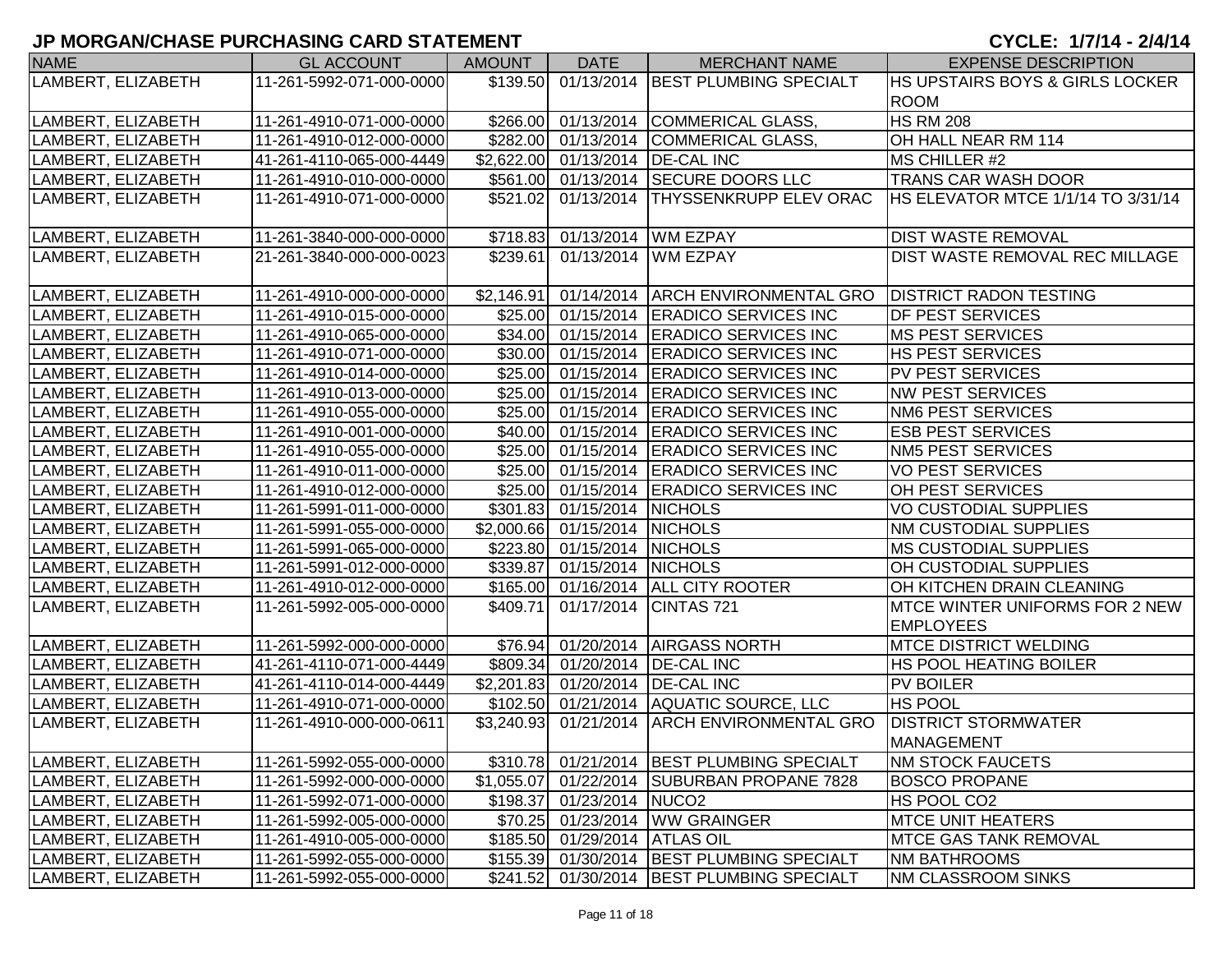# **JP MORGAN/CHASE PURCHASING CARD STATEMENT**

## CYCLE: 1/7/14 - 2/4/14

| <b>NAME</b>        | <b>GL ACCOUNT</b>        | <b>AMOUNT</b> | <b>DATE</b>                   | <b>MERCHANT NAME</b>                         | <b>EXPENSE DESCRIPTION</b>                |
|--------------------|--------------------------|---------------|-------------------------------|----------------------------------------------|-------------------------------------------|
| LAMBERT, ELIZABETH | 11-261-5992-071-000-0000 |               |                               | \$139.50 01/13/2014 BEST PLUMBING SPECIALT   | HS UPSTAIRS BOYS & GIRLS LOCKER           |
|                    |                          |               |                               |                                              | <b>ROOM</b>                               |
| LAMBERT, ELIZABETH | 11-261-4910-071-000-0000 |               |                               | \$266.00 01/13/2014 COMMERICAL GLASS,        | <b>HS RM 208</b>                          |
| LAMBERT, ELIZABETH | 11-261-4910-012-000-0000 |               |                               | \$282.00 01/13/2014 COMMERICAL GLASS,        | OH HALL NEAR RM 114                       |
| LAMBERT, ELIZABETH | 41-261-4110-065-000-4449 |               |                               | \$2,622.00 01/13/2014 DE-CAL INC             | MS CHILLER #2                             |
| LAMBERT, ELIZABETH | 11-261-4910-010-000-0000 |               |                               | \$561.00 01/13/2014 SECURE DOORS LLC         | <b>TRANS CAR WASH DOOR</b>                |
| LAMBERT, ELIZABETH | 11-261-4910-071-000-0000 |               |                               | \$521.02 01/13/2014 THYSSENKRUPP ELEV ORAC   | <b>HS ELEVATOR MTCE 1/1/14 TO 3/31/14</b> |
|                    |                          |               |                               |                                              |                                           |
| LAMBERT, ELIZABETH | 11-261-3840-000-000-0000 |               |                               | \$718.83 01/13/2014 WM EZPAY                 | <b>DIST WASTE REMOVAL</b>                 |
| LAMBERT, ELIZABETH | 21-261-3840-000-000-0023 | \$239.61      |                               | 01/13/2014 WM EZPAY                          | DIST WASTE REMOVAL REC MILLAGE            |
|                    |                          |               |                               |                                              |                                           |
| LAMBERT, ELIZABETH | 11-261-4910-000-000-0000 |               |                               | \$2,146.91 01/14/2014 ARCH ENVIRONMENTAL GRO | <b>DISTRICT RADON TESTING</b>             |
| LAMBERT, ELIZABETH | 11-261-4910-015-000-0000 |               |                               | \$25.00 01/15/2014 ERADICO SERVICES INC      | <b>DF PEST SERVICES</b>                   |
| LAMBERT, ELIZABETH | 11-261-4910-065-000-0000 |               |                               | \$34.00 01/15/2014 ERADICO SERVICES INC      | <b>MS PEST SERVICES</b>                   |
| LAMBERT, ELIZABETH | 11-261-4910-071-000-0000 |               |                               | \$30.00 01/15/2014 ERADICO SERVICES INC      | <b>HS PEST SERVICES</b>                   |
| LAMBERT, ELIZABETH | 11-261-4910-014-000-0000 |               |                               | \$25.00 01/15/2014 ERADICO SERVICES INC      | <b>PV PEST SERVICES</b>                   |
| LAMBERT, ELIZABETH | 11-261-4910-013-000-0000 |               |                               | \$25.00 01/15/2014 ERADICO SERVICES INC      | <b>NW PEST SERVICES</b>                   |
| LAMBERT, ELIZABETH | 11-261-4910-055-000-0000 |               |                               | \$25.00 01/15/2014 ERADICO SERVICES INC      | <b>NM6 PEST SERVICES</b>                  |
| LAMBERT, ELIZABETH | 11-261-4910-001-000-0000 |               |                               | \$40.00 01/15/2014 ERADICO SERVICES INC      | <b>ESB PEST SERVICES</b>                  |
| LAMBERT, ELIZABETH | 11-261-4910-055-000-0000 |               |                               | \$25.00 01/15/2014 ERADICO SERVICES INC      | <b>NM5 PEST SERVICES</b>                  |
| LAMBERT, ELIZABETH | 11-261-4910-011-000-0000 |               |                               | \$25.00 01/15/2014 ERADICO SERVICES INC      | <b>VO PEST SERVICES</b>                   |
| LAMBERT, ELIZABETH | 11-261-4910-012-000-0000 |               |                               | \$25.00 01/15/2014 ERADICO SERVICES INC      | OH PEST SERVICES                          |
| LAMBERT, ELIZABETH | 11-261-5991-011-000-0000 |               | \$301.83 01/15/2014 NICHOLS   |                                              | <b>VO CUSTODIAL SUPPLIES</b>              |
| LAMBERT, ELIZABETH | 11-261-5991-055-000-0000 |               | \$2,000.66 01/15/2014 NICHOLS |                                              | <b>NM CUSTODIAL SUPPLIES</b>              |
| LAMBERT, ELIZABETH | 11-261-5991-065-000-0000 |               | \$223.80 01/15/2014 NICHOLS   |                                              | <b>MS CUSTODIAL SUPPLIES</b>              |
| LAMBERT, ELIZABETH | 11-261-5991-012-000-0000 |               | \$339.87 01/15/2014 NICHOLS   |                                              | OH CUSTODIAL SUPPLIES                     |
| LAMBERT, ELIZABETH | 11-261-4910-012-000-0000 |               |                               | \$165.00 01/16/2014 ALL CITY ROOTER          | OH KITCHEN DRAIN CLEANING                 |
| LAMBERT, ELIZABETH | 11-261-5992-005-000-0000 | \$409.71      |                               | 01/17/2014 CINTAS 721                        | MTCE WINTER UNIFORMS FOR 2 NEW            |
|                    |                          |               |                               |                                              | <b>EMPLOYEES</b>                          |
| LAMBERT, ELIZABETH | 11-261-5992-000-000-0000 |               |                               | \$76.94 01/20/2014 AIRGASS NORTH             | <b>MTCE DISTRICT WELDING</b>              |
| LAMBERT, ELIZABETH | 41-261-4110-071-000-4449 |               |                               | \$809.34 01/20/2014 DE-CAL INC               | <b>HS POOL HEATING BOILER</b>             |
| LAMBERT, ELIZABETH | 41-261-4110-014-000-4449 |               |                               | \$2,201.83 01/20/2014 DE-CAL INC             | <b>PV BOILER</b>                          |
| LAMBERT, ELIZABETH | 11-261-4910-071-000-0000 |               |                               | \$102.50 01/21/2014 AQUATIC SOURCE, LLC      | <b>HS POOL</b>                            |
| LAMBERT, ELIZABETH | 11-261-4910-000-000-0611 | \$3,240.93    | 01/21/2014                    | <b>ARCH ENVIRONMENTAL GRO</b>                | <b>DISTRICT STORMWATER</b>                |
|                    |                          |               |                               |                                              | <b>MANAGEMENT</b>                         |
| LAMBERT, ELIZABETH | 11-261-5992-055-000-0000 |               |                               | \$310.78 01/21/2014 BEST PLUMBING SPECIALT   | <b>NM STOCK FAUCETS</b>                   |
| LAMBERT, ELIZABETH | 11-261-5992-000-000-0000 | \$1,055.07    |                               | 01/22/2014 SUBURBAN PROPANE 7828             | <b>BOSCO PROPANE</b>                      |
| LAMBERT, ELIZABETH | 11-261-5992-071-000-0000 |               | \$198.37 01/23/2014 NUCO2     |                                              | HS POOL CO <sub>2</sub>                   |
| LAMBERT, ELIZABETH | 11-261-5992-005-000-0000 |               |                               | \$70.25 01/23/2014 WW GRAINGER               | <b>MTCE UNIT HEATERS</b>                  |
| LAMBERT, ELIZABETH | 11-261-4910-005-000-0000 |               | \$185.50 01/29/2014 ATLAS OIL |                                              | <b>MTCE GAS TANK REMOVAL</b>              |
| LAMBERT, ELIZABETH | 11-261-5992-055-000-0000 |               |                               | \$155.39 01/30/2014 BEST PLUMBING SPECIALT   | <b>NM BATHROOMS</b>                       |
| LAMBERT, ELIZABETH | 11-261-5992-055-000-0000 |               |                               | \$241.52 01/30/2014 BEST PLUMBING SPECIALT   | <b>NM CLASSROOM SINKS</b>                 |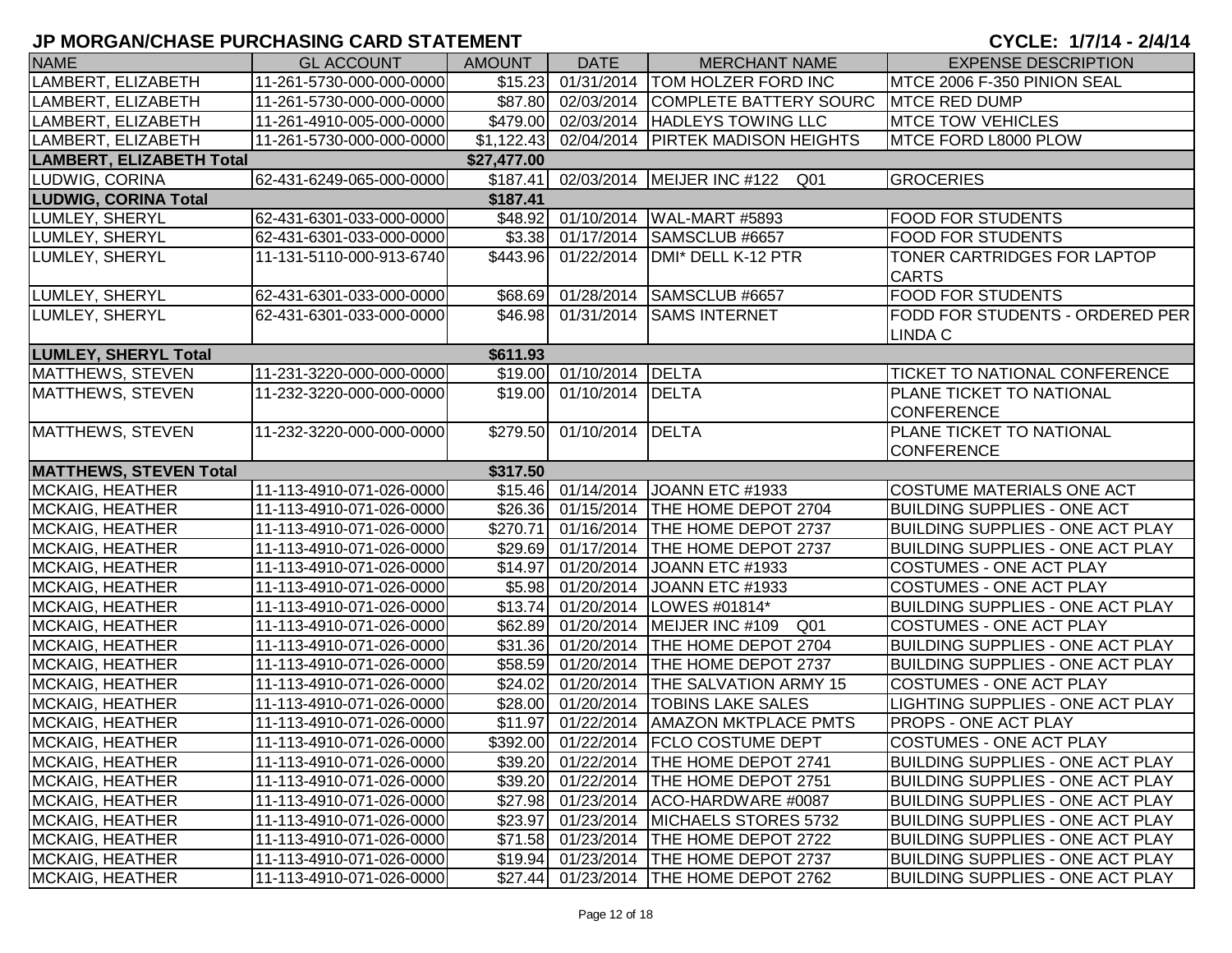| 01/31/2014 TOM HOLZER FORD INC<br>LAMBERT, ELIZABETH<br>\$15.23<br>MTCE 2006 F-350 PINION SEAL<br>11-261-5730-000-000-0000<br>LAMBERT, ELIZABETH<br>11-261-5730-000-000-0000<br>\$87.80 02/03/2014<br>COMPLETE BATTERY SOURC<br><b>MTCE RED DUMP</b><br>\$479.00 02/03/2014 HADLEYS TOWING LLC<br><b>MTCE TOW VEHICLES</b><br>LAMBERT, ELIZABETH<br>11-261-4910-005-000-0000<br>LAMBERT, ELIZABETH<br>\$1,122.43 02/04/2014 PIRTEK MADISON HEIGHTS<br>MTCE FORD L8000 PLOW<br>11-261-5730-000-000-0000<br><b>LAMBERT, ELIZABETH Total</b><br>\$27,477.00<br>LUDWIG, CORINA<br>62-431-6249-065-000-0000<br>\$187.41 02/03/2014 MEIJER INC #122 Q01<br><b>GROCERIES</b><br><b>LUDWIG, CORINA Total</b><br>\$187.41<br>62-431-6301-033-000-0000<br>\$48.92 01/10/2014<br>LUMLEY, SHERYL<br>WAL-MART #5893<br><b>FOOD FOR STUDENTS</b><br>LUMLEY, SHERYL<br>62-431-6301-033-000-0000<br>\$3.38 01/17/2014<br>SAMSCLUB #6657<br>FOOD FOR STUDENTS<br>\$443.96<br>LUMLEY, SHERYL<br>01/22/2014<br>DMI* DELL K-12 PTR<br>TONER CARTRIDGES FOR LAPTOP<br>11-131-5110-000-913-6740<br><b>CARTS</b><br>\$68.69 01/28/2014<br><b>FOOD FOR STUDENTS</b><br>LUMLEY, SHERYL<br>62-431-6301-033-000-0000<br>SAMSCLUB #6657<br>\$46.98 01/31/2014<br>FODD FOR STUDENTS - ORDERED PER<br>LUMLEY, SHERYL<br>62-431-6301-033-000-0000<br><b>SAMS INTERNET</b><br><b>LINDA C</b><br><b>LUMLEY, SHERYL Total</b><br>\$611.93<br>MATTHEWS, STEVEN<br>\$19.00 01/10/2014<br>DELTA<br>11-231-3220-000-000-0000<br>TICKET TO NATIONAL CONFERENCE<br>PLANE TICKET TO NATIONAL<br>MATTHEWS, STEVEN<br>11-232-3220-000-000-0000<br>\$19.00 01/10/2014 DELTA<br><b>CONFERENCE</b><br><b>MATTHEWS, STEVEN</b><br>11-232-3220-000-000-0000<br>\$279.50 01/10/2014 DELTA<br>PLANE TICKET TO NATIONAL<br><b>CONFERENCE</b><br><b>MATTHEWS, STEVEN Total</b><br>\$317.50<br>\$15.46 01/14/2014 JOANN ETC #1933<br><b>MCKAIG, HEATHER</b><br>11-113-4910-071-026-0000<br><b>COSTUME MATERIALS ONE ACT</b><br><b>MCKAIG, HEATHER</b><br>11-113-4910-071-026-0000<br>\$26.36 01/15/2014 THE HOME DEPOT 2704<br><b>BUILDING SUPPLIES - ONE ACT</b><br>\$270.71 01/16/2014 THE HOME DEPOT 2737<br><b>MCKAIG, HEATHER</b><br>11-113-4910-071-026-0000<br><b>BUILDING SUPPLIES - ONE ACT PLAY</b><br>\$29.69 01/17/2014 THE HOME DEPOT 2737<br><b>BUILDING SUPPLIES - ONE ACT PLAY</b><br>MCKAIG, HEATHER<br>11-113-4910-071-026-0000<br>\$14.97 01/20/2014<br><b>MCKAIG, HEATHER</b><br>11-113-4910-071-026-0000<br>JOANN ETC #1933<br><b>COSTUMES - ONE ACT PLAY</b><br>MCKAIG, HEATHER<br>\$5.98 01/20/2014<br><b>COSTUMES - ONE ACT PLAY</b><br>11-113-4910-071-026-0000<br>JOANN ETC #1933<br>$$13.74$ 01/20/2014<br>MCKAIG, HEATHER<br>11-113-4910-071-026-0000<br>LOWES #01814*<br><b>BUILDING SUPPLIES - ONE ACT PLAY</b><br>\$62.89 01/20/2014<br>MEIJER INC #109 Q01<br><b>COSTUMES - ONE ACT PLAY</b><br>MCKAIG, HEATHER<br>11-113-4910-071-026-0000<br>\$31.36 01/20/2014<br>THE HOME DEPOT 2704<br><b>BUILDING SUPPLIES - ONE ACT PLAY</b><br><b>MCKAIG, HEATHER</b><br>11-113-4910-071-026-0000<br>\$58.59 01/20/2014<br>MCKAIG, HEATHER<br><b>THE HOME DEPOT 2737</b><br><b>BUILDING SUPPLIES - ONE ACT PLAY</b><br>11-113-4910-071-026-0000<br>\$24.02 01/20/2014<br><b>THE SALVATION ARMY 15</b><br>MCKAIG, HEATHER<br>11-113-4910-071-026-0000<br><b>COSTUMES - ONE ACT PLAY</b><br>MCKAIG, HEATHER<br>\$28.00 01/20/2014<br><b>TOBINS LAKE SALES</b><br>LIGHTING SUPPLIES - ONE ACT PLAY<br>11-113-4910-071-026-0000<br><b>MCKAIG, HEATHER</b><br>\$11.97<br>01/22/2014<br><b>AMAZON MKTPLACE PMTS</b><br>11-113-4910-071-026-0000<br>PROPS - ONE ACT PLAY<br>\$392.00 01/22/2014 FCLO COSTUME DEPT<br><b>COSTUMES - ONE ACT PLAY</b><br><b>MCKAIG, HEATHER</b><br>11-113-4910-071-026-0000<br>MCKAIG, HEATHER<br>11-113-4910-071-026-0000<br>\$39.20 01/22/2014 THE HOME DEPOT 2741<br><b>BUILDING SUPPLIES - ONE ACT PLAY</b><br><b>MCKAIG, HEATHER</b><br>11-113-4910-071-026-0000<br>\$39.20<br>01/22/2014 THE HOME DEPOT 2751<br><b>BUILDING SUPPLIES - ONE ACT PLAY</b><br>MCKAIG, HEATHER<br>\$27.98 01/23/2014 ACO-HARDWARE #0087<br><b>BUILDING SUPPLIES - ONE ACT PLAY</b><br>11-113-4910-071-026-0000<br>01/23/2014 MICHAELS STORES 5732<br><b>MCKAIG, HEATHER</b><br>11-113-4910-071-026-0000<br>\$23.97<br><b>BUILDING SUPPLIES - ONE ACT PLAY</b><br>\$71.58 01/23/2014 THE HOME DEPOT 2722 |                        |                          |        |             |                      |                                         |
|-------------------------------------------------------------------------------------------------------------------------------------------------------------------------------------------------------------------------------------------------------------------------------------------------------------------------------------------------------------------------------------------------------------------------------------------------------------------------------------------------------------------------------------------------------------------------------------------------------------------------------------------------------------------------------------------------------------------------------------------------------------------------------------------------------------------------------------------------------------------------------------------------------------------------------------------------------------------------------------------------------------------------------------------------------------------------------------------------------------------------------------------------------------------------------------------------------------------------------------------------------------------------------------------------------------------------------------------------------------------------------------------------------------------------------------------------------------------------------------------------------------------------------------------------------------------------------------------------------------------------------------------------------------------------------------------------------------------------------------------------------------------------------------------------------------------------------------------------------------------------------------------------------------------------------------------------------------------------------------------------------------------------------------------------------------------------------------------------------------------------------------------------------------------------------------------------------------------------------------------------------------------------------------------------------------------------------------------------------------------------------------------------------------------------------------------------------------------------------------------------------------------------------------------------------------------------------------------------------------------------------------------------------------------------------------------------------------------------------------------------------------------------------------------------------------------------------------------------------------------------------------------------------------------------------------------------------------------------------------------------------------------------------------------------------------------------------------------------------------------------------------------------------------------------------------------------------------------------------------------------------------------------------------------------------------------------------------------------------------------------------------------------------------------------------------------------------------------------------------------------------------------------------------------------------------------------------------------------------------------------------------------------------------------------------------------------------------------------------------------------------------------------------------------------------------------------------------------------------------------------------------------------------------------------------------------------------------------------------------------------------------------------------------------------------------------------------------------------------------------------------------------------------------------------------------------------------------------------------------------------------------------------------------------------------------------------------------------------------------------------------------|------------------------|--------------------------|--------|-------------|----------------------|-----------------------------------------|
|                                                                                                                                                                                                                                                                                                                                                                                                                                                                                                                                                                                                                                                                                                                                                                                                                                                                                                                                                                                                                                                                                                                                                                                                                                                                                                                                                                                                                                                                                                                                                                                                                                                                                                                                                                                                                                                                                                                                                                                                                                                                                                                                                                                                                                                                                                                                                                                                                                                                                                                                                                                                                                                                                                                                                                                                                                                                                                                                                                                                                                                                                                                                                                                                                                                                                                                                                                                                                                                                                                                                                                                                                                                                                                                                                                                                                                                                                                                                                                                                                                                                                                                                                                                                                                                                                                                                                                                     | <b>NAME</b>            | <b>GL ACCOUNT</b>        | AMOUNT | <b>DATE</b> | <b>MERCHANT NAME</b> | <b>EXPENSE DESCRIPTION</b>              |
|                                                                                                                                                                                                                                                                                                                                                                                                                                                                                                                                                                                                                                                                                                                                                                                                                                                                                                                                                                                                                                                                                                                                                                                                                                                                                                                                                                                                                                                                                                                                                                                                                                                                                                                                                                                                                                                                                                                                                                                                                                                                                                                                                                                                                                                                                                                                                                                                                                                                                                                                                                                                                                                                                                                                                                                                                                                                                                                                                                                                                                                                                                                                                                                                                                                                                                                                                                                                                                                                                                                                                                                                                                                                                                                                                                                                                                                                                                                                                                                                                                                                                                                                                                                                                                                                                                                                                                                     |                        |                          |        |             |                      |                                         |
|                                                                                                                                                                                                                                                                                                                                                                                                                                                                                                                                                                                                                                                                                                                                                                                                                                                                                                                                                                                                                                                                                                                                                                                                                                                                                                                                                                                                                                                                                                                                                                                                                                                                                                                                                                                                                                                                                                                                                                                                                                                                                                                                                                                                                                                                                                                                                                                                                                                                                                                                                                                                                                                                                                                                                                                                                                                                                                                                                                                                                                                                                                                                                                                                                                                                                                                                                                                                                                                                                                                                                                                                                                                                                                                                                                                                                                                                                                                                                                                                                                                                                                                                                                                                                                                                                                                                                                                     |                        |                          |        |             |                      |                                         |
|                                                                                                                                                                                                                                                                                                                                                                                                                                                                                                                                                                                                                                                                                                                                                                                                                                                                                                                                                                                                                                                                                                                                                                                                                                                                                                                                                                                                                                                                                                                                                                                                                                                                                                                                                                                                                                                                                                                                                                                                                                                                                                                                                                                                                                                                                                                                                                                                                                                                                                                                                                                                                                                                                                                                                                                                                                                                                                                                                                                                                                                                                                                                                                                                                                                                                                                                                                                                                                                                                                                                                                                                                                                                                                                                                                                                                                                                                                                                                                                                                                                                                                                                                                                                                                                                                                                                                                                     |                        |                          |        |             |                      |                                         |
|                                                                                                                                                                                                                                                                                                                                                                                                                                                                                                                                                                                                                                                                                                                                                                                                                                                                                                                                                                                                                                                                                                                                                                                                                                                                                                                                                                                                                                                                                                                                                                                                                                                                                                                                                                                                                                                                                                                                                                                                                                                                                                                                                                                                                                                                                                                                                                                                                                                                                                                                                                                                                                                                                                                                                                                                                                                                                                                                                                                                                                                                                                                                                                                                                                                                                                                                                                                                                                                                                                                                                                                                                                                                                                                                                                                                                                                                                                                                                                                                                                                                                                                                                                                                                                                                                                                                                                                     |                        |                          |        |             |                      |                                         |
|                                                                                                                                                                                                                                                                                                                                                                                                                                                                                                                                                                                                                                                                                                                                                                                                                                                                                                                                                                                                                                                                                                                                                                                                                                                                                                                                                                                                                                                                                                                                                                                                                                                                                                                                                                                                                                                                                                                                                                                                                                                                                                                                                                                                                                                                                                                                                                                                                                                                                                                                                                                                                                                                                                                                                                                                                                                                                                                                                                                                                                                                                                                                                                                                                                                                                                                                                                                                                                                                                                                                                                                                                                                                                                                                                                                                                                                                                                                                                                                                                                                                                                                                                                                                                                                                                                                                                                                     |                        |                          |        |             |                      |                                         |
|                                                                                                                                                                                                                                                                                                                                                                                                                                                                                                                                                                                                                                                                                                                                                                                                                                                                                                                                                                                                                                                                                                                                                                                                                                                                                                                                                                                                                                                                                                                                                                                                                                                                                                                                                                                                                                                                                                                                                                                                                                                                                                                                                                                                                                                                                                                                                                                                                                                                                                                                                                                                                                                                                                                                                                                                                                                                                                                                                                                                                                                                                                                                                                                                                                                                                                                                                                                                                                                                                                                                                                                                                                                                                                                                                                                                                                                                                                                                                                                                                                                                                                                                                                                                                                                                                                                                                                                     |                        |                          |        |             |                      |                                         |
|                                                                                                                                                                                                                                                                                                                                                                                                                                                                                                                                                                                                                                                                                                                                                                                                                                                                                                                                                                                                                                                                                                                                                                                                                                                                                                                                                                                                                                                                                                                                                                                                                                                                                                                                                                                                                                                                                                                                                                                                                                                                                                                                                                                                                                                                                                                                                                                                                                                                                                                                                                                                                                                                                                                                                                                                                                                                                                                                                                                                                                                                                                                                                                                                                                                                                                                                                                                                                                                                                                                                                                                                                                                                                                                                                                                                                                                                                                                                                                                                                                                                                                                                                                                                                                                                                                                                                                                     |                        |                          |        |             |                      |                                         |
|                                                                                                                                                                                                                                                                                                                                                                                                                                                                                                                                                                                                                                                                                                                                                                                                                                                                                                                                                                                                                                                                                                                                                                                                                                                                                                                                                                                                                                                                                                                                                                                                                                                                                                                                                                                                                                                                                                                                                                                                                                                                                                                                                                                                                                                                                                                                                                                                                                                                                                                                                                                                                                                                                                                                                                                                                                                                                                                                                                                                                                                                                                                                                                                                                                                                                                                                                                                                                                                                                                                                                                                                                                                                                                                                                                                                                                                                                                                                                                                                                                                                                                                                                                                                                                                                                                                                                                                     |                        |                          |        |             |                      |                                         |
|                                                                                                                                                                                                                                                                                                                                                                                                                                                                                                                                                                                                                                                                                                                                                                                                                                                                                                                                                                                                                                                                                                                                                                                                                                                                                                                                                                                                                                                                                                                                                                                                                                                                                                                                                                                                                                                                                                                                                                                                                                                                                                                                                                                                                                                                                                                                                                                                                                                                                                                                                                                                                                                                                                                                                                                                                                                                                                                                                                                                                                                                                                                                                                                                                                                                                                                                                                                                                                                                                                                                                                                                                                                                                                                                                                                                                                                                                                                                                                                                                                                                                                                                                                                                                                                                                                                                                                                     |                        |                          |        |             |                      |                                         |
|                                                                                                                                                                                                                                                                                                                                                                                                                                                                                                                                                                                                                                                                                                                                                                                                                                                                                                                                                                                                                                                                                                                                                                                                                                                                                                                                                                                                                                                                                                                                                                                                                                                                                                                                                                                                                                                                                                                                                                                                                                                                                                                                                                                                                                                                                                                                                                                                                                                                                                                                                                                                                                                                                                                                                                                                                                                                                                                                                                                                                                                                                                                                                                                                                                                                                                                                                                                                                                                                                                                                                                                                                                                                                                                                                                                                                                                                                                                                                                                                                                                                                                                                                                                                                                                                                                                                                                                     |                        |                          |        |             |                      |                                         |
|                                                                                                                                                                                                                                                                                                                                                                                                                                                                                                                                                                                                                                                                                                                                                                                                                                                                                                                                                                                                                                                                                                                                                                                                                                                                                                                                                                                                                                                                                                                                                                                                                                                                                                                                                                                                                                                                                                                                                                                                                                                                                                                                                                                                                                                                                                                                                                                                                                                                                                                                                                                                                                                                                                                                                                                                                                                                                                                                                                                                                                                                                                                                                                                                                                                                                                                                                                                                                                                                                                                                                                                                                                                                                                                                                                                                                                                                                                                                                                                                                                                                                                                                                                                                                                                                                                                                                                                     |                        |                          |        |             |                      |                                         |
|                                                                                                                                                                                                                                                                                                                                                                                                                                                                                                                                                                                                                                                                                                                                                                                                                                                                                                                                                                                                                                                                                                                                                                                                                                                                                                                                                                                                                                                                                                                                                                                                                                                                                                                                                                                                                                                                                                                                                                                                                                                                                                                                                                                                                                                                                                                                                                                                                                                                                                                                                                                                                                                                                                                                                                                                                                                                                                                                                                                                                                                                                                                                                                                                                                                                                                                                                                                                                                                                                                                                                                                                                                                                                                                                                                                                                                                                                                                                                                                                                                                                                                                                                                                                                                                                                                                                                                                     |                        |                          |        |             |                      |                                         |
|                                                                                                                                                                                                                                                                                                                                                                                                                                                                                                                                                                                                                                                                                                                                                                                                                                                                                                                                                                                                                                                                                                                                                                                                                                                                                                                                                                                                                                                                                                                                                                                                                                                                                                                                                                                                                                                                                                                                                                                                                                                                                                                                                                                                                                                                                                                                                                                                                                                                                                                                                                                                                                                                                                                                                                                                                                                                                                                                                                                                                                                                                                                                                                                                                                                                                                                                                                                                                                                                                                                                                                                                                                                                                                                                                                                                                                                                                                                                                                                                                                                                                                                                                                                                                                                                                                                                                                                     |                        |                          |        |             |                      |                                         |
|                                                                                                                                                                                                                                                                                                                                                                                                                                                                                                                                                                                                                                                                                                                                                                                                                                                                                                                                                                                                                                                                                                                                                                                                                                                                                                                                                                                                                                                                                                                                                                                                                                                                                                                                                                                                                                                                                                                                                                                                                                                                                                                                                                                                                                                                                                                                                                                                                                                                                                                                                                                                                                                                                                                                                                                                                                                                                                                                                                                                                                                                                                                                                                                                                                                                                                                                                                                                                                                                                                                                                                                                                                                                                                                                                                                                                                                                                                                                                                                                                                                                                                                                                                                                                                                                                                                                                                                     |                        |                          |        |             |                      |                                         |
|                                                                                                                                                                                                                                                                                                                                                                                                                                                                                                                                                                                                                                                                                                                                                                                                                                                                                                                                                                                                                                                                                                                                                                                                                                                                                                                                                                                                                                                                                                                                                                                                                                                                                                                                                                                                                                                                                                                                                                                                                                                                                                                                                                                                                                                                                                                                                                                                                                                                                                                                                                                                                                                                                                                                                                                                                                                                                                                                                                                                                                                                                                                                                                                                                                                                                                                                                                                                                                                                                                                                                                                                                                                                                                                                                                                                                                                                                                                                                                                                                                                                                                                                                                                                                                                                                                                                                                                     |                        |                          |        |             |                      |                                         |
|                                                                                                                                                                                                                                                                                                                                                                                                                                                                                                                                                                                                                                                                                                                                                                                                                                                                                                                                                                                                                                                                                                                                                                                                                                                                                                                                                                                                                                                                                                                                                                                                                                                                                                                                                                                                                                                                                                                                                                                                                                                                                                                                                                                                                                                                                                                                                                                                                                                                                                                                                                                                                                                                                                                                                                                                                                                                                                                                                                                                                                                                                                                                                                                                                                                                                                                                                                                                                                                                                                                                                                                                                                                                                                                                                                                                                                                                                                                                                                                                                                                                                                                                                                                                                                                                                                                                                                                     |                        |                          |        |             |                      |                                         |
|                                                                                                                                                                                                                                                                                                                                                                                                                                                                                                                                                                                                                                                                                                                                                                                                                                                                                                                                                                                                                                                                                                                                                                                                                                                                                                                                                                                                                                                                                                                                                                                                                                                                                                                                                                                                                                                                                                                                                                                                                                                                                                                                                                                                                                                                                                                                                                                                                                                                                                                                                                                                                                                                                                                                                                                                                                                                                                                                                                                                                                                                                                                                                                                                                                                                                                                                                                                                                                                                                                                                                                                                                                                                                                                                                                                                                                                                                                                                                                                                                                                                                                                                                                                                                                                                                                                                                                                     |                        |                          |        |             |                      |                                         |
|                                                                                                                                                                                                                                                                                                                                                                                                                                                                                                                                                                                                                                                                                                                                                                                                                                                                                                                                                                                                                                                                                                                                                                                                                                                                                                                                                                                                                                                                                                                                                                                                                                                                                                                                                                                                                                                                                                                                                                                                                                                                                                                                                                                                                                                                                                                                                                                                                                                                                                                                                                                                                                                                                                                                                                                                                                                                                                                                                                                                                                                                                                                                                                                                                                                                                                                                                                                                                                                                                                                                                                                                                                                                                                                                                                                                                                                                                                                                                                                                                                                                                                                                                                                                                                                                                                                                                                                     |                        |                          |        |             |                      |                                         |
|                                                                                                                                                                                                                                                                                                                                                                                                                                                                                                                                                                                                                                                                                                                                                                                                                                                                                                                                                                                                                                                                                                                                                                                                                                                                                                                                                                                                                                                                                                                                                                                                                                                                                                                                                                                                                                                                                                                                                                                                                                                                                                                                                                                                                                                                                                                                                                                                                                                                                                                                                                                                                                                                                                                                                                                                                                                                                                                                                                                                                                                                                                                                                                                                                                                                                                                                                                                                                                                                                                                                                                                                                                                                                                                                                                                                                                                                                                                                                                                                                                                                                                                                                                                                                                                                                                                                                                                     |                        |                          |        |             |                      |                                         |
|                                                                                                                                                                                                                                                                                                                                                                                                                                                                                                                                                                                                                                                                                                                                                                                                                                                                                                                                                                                                                                                                                                                                                                                                                                                                                                                                                                                                                                                                                                                                                                                                                                                                                                                                                                                                                                                                                                                                                                                                                                                                                                                                                                                                                                                                                                                                                                                                                                                                                                                                                                                                                                                                                                                                                                                                                                                                                                                                                                                                                                                                                                                                                                                                                                                                                                                                                                                                                                                                                                                                                                                                                                                                                                                                                                                                                                                                                                                                                                                                                                                                                                                                                                                                                                                                                                                                                                                     |                        |                          |        |             |                      |                                         |
|                                                                                                                                                                                                                                                                                                                                                                                                                                                                                                                                                                                                                                                                                                                                                                                                                                                                                                                                                                                                                                                                                                                                                                                                                                                                                                                                                                                                                                                                                                                                                                                                                                                                                                                                                                                                                                                                                                                                                                                                                                                                                                                                                                                                                                                                                                                                                                                                                                                                                                                                                                                                                                                                                                                                                                                                                                                                                                                                                                                                                                                                                                                                                                                                                                                                                                                                                                                                                                                                                                                                                                                                                                                                                                                                                                                                                                                                                                                                                                                                                                                                                                                                                                                                                                                                                                                                                                                     |                        |                          |        |             |                      |                                         |
|                                                                                                                                                                                                                                                                                                                                                                                                                                                                                                                                                                                                                                                                                                                                                                                                                                                                                                                                                                                                                                                                                                                                                                                                                                                                                                                                                                                                                                                                                                                                                                                                                                                                                                                                                                                                                                                                                                                                                                                                                                                                                                                                                                                                                                                                                                                                                                                                                                                                                                                                                                                                                                                                                                                                                                                                                                                                                                                                                                                                                                                                                                                                                                                                                                                                                                                                                                                                                                                                                                                                                                                                                                                                                                                                                                                                                                                                                                                                                                                                                                                                                                                                                                                                                                                                                                                                                                                     |                        |                          |        |             |                      |                                         |
|                                                                                                                                                                                                                                                                                                                                                                                                                                                                                                                                                                                                                                                                                                                                                                                                                                                                                                                                                                                                                                                                                                                                                                                                                                                                                                                                                                                                                                                                                                                                                                                                                                                                                                                                                                                                                                                                                                                                                                                                                                                                                                                                                                                                                                                                                                                                                                                                                                                                                                                                                                                                                                                                                                                                                                                                                                                                                                                                                                                                                                                                                                                                                                                                                                                                                                                                                                                                                                                                                                                                                                                                                                                                                                                                                                                                                                                                                                                                                                                                                                                                                                                                                                                                                                                                                                                                                                                     |                        |                          |        |             |                      |                                         |
|                                                                                                                                                                                                                                                                                                                                                                                                                                                                                                                                                                                                                                                                                                                                                                                                                                                                                                                                                                                                                                                                                                                                                                                                                                                                                                                                                                                                                                                                                                                                                                                                                                                                                                                                                                                                                                                                                                                                                                                                                                                                                                                                                                                                                                                                                                                                                                                                                                                                                                                                                                                                                                                                                                                                                                                                                                                                                                                                                                                                                                                                                                                                                                                                                                                                                                                                                                                                                                                                                                                                                                                                                                                                                                                                                                                                                                                                                                                                                                                                                                                                                                                                                                                                                                                                                                                                                                                     |                        |                          |        |             |                      |                                         |
|                                                                                                                                                                                                                                                                                                                                                                                                                                                                                                                                                                                                                                                                                                                                                                                                                                                                                                                                                                                                                                                                                                                                                                                                                                                                                                                                                                                                                                                                                                                                                                                                                                                                                                                                                                                                                                                                                                                                                                                                                                                                                                                                                                                                                                                                                                                                                                                                                                                                                                                                                                                                                                                                                                                                                                                                                                                                                                                                                                                                                                                                                                                                                                                                                                                                                                                                                                                                                                                                                                                                                                                                                                                                                                                                                                                                                                                                                                                                                                                                                                                                                                                                                                                                                                                                                                                                                                                     |                        |                          |        |             |                      |                                         |
|                                                                                                                                                                                                                                                                                                                                                                                                                                                                                                                                                                                                                                                                                                                                                                                                                                                                                                                                                                                                                                                                                                                                                                                                                                                                                                                                                                                                                                                                                                                                                                                                                                                                                                                                                                                                                                                                                                                                                                                                                                                                                                                                                                                                                                                                                                                                                                                                                                                                                                                                                                                                                                                                                                                                                                                                                                                                                                                                                                                                                                                                                                                                                                                                                                                                                                                                                                                                                                                                                                                                                                                                                                                                                                                                                                                                                                                                                                                                                                                                                                                                                                                                                                                                                                                                                                                                                                                     |                        |                          |        |             |                      |                                         |
|                                                                                                                                                                                                                                                                                                                                                                                                                                                                                                                                                                                                                                                                                                                                                                                                                                                                                                                                                                                                                                                                                                                                                                                                                                                                                                                                                                                                                                                                                                                                                                                                                                                                                                                                                                                                                                                                                                                                                                                                                                                                                                                                                                                                                                                                                                                                                                                                                                                                                                                                                                                                                                                                                                                                                                                                                                                                                                                                                                                                                                                                                                                                                                                                                                                                                                                                                                                                                                                                                                                                                                                                                                                                                                                                                                                                                                                                                                                                                                                                                                                                                                                                                                                                                                                                                                                                                                                     |                        |                          |        |             |                      |                                         |
|                                                                                                                                                                                                                                                                                                                                                                                                                                                                                                                                                                                                                                                                                                                                                                                                                                                                                                                                                                                                                                                                                                                                                                                                                                                                                                                                                                                                                                                                                                                                                                                                                                                                                                                                                                                                                                                                                                                                                                                                                                                                                                                                                                                                                                                                                                                                                                                                                                                                                                                                                                                                                                                                                                                                                                                                                                                                                                                                                                                                                                                                                                                                                                                                                                                                                                                                                                                                                                                                                                                                                                                                                                                                                                                                                                                                                                                                                                                                                                                                                                                                                                                                                                                                                                                                                                                                                                                     |                        |                          |        |             |                      |                                         |
|                                                                                                                                                                                                                                                                                                                                                                                                                                                                                                                                                                                                                                                                                                                                                                                                                                                                                                                                                                                                                                                                                                                                                                                                                                                                                                                                                                                                                                                                                                                                                                                                                                                                                                                                                                                                                                                                                                                                                                                                                                                                                                                                                                                                                                                                                                                                                                                                                                                                                                                                                                                                                                                                                                                                                                                                                                                                                                                                                                                                                                                                                                                                                                                                                                                                                                                                                                                                                                                                                                                                                                                                                                                                                                                                                                                                                                                                                                                                                                                                                                                                                                                                                                                                                                                                                                                                                                                     |                        |                          |        |             |                      |                                         |
|                                                                                                                                                                                                                                                                                                                                                                                                                                                                                                                                                                                                                                                                                                                                                                                                                                                                                                                                                                                                                                                                                                                                                                                                                                                                                                                                                                                                                                                                                                                                                                                                                                                                                                                                                                                                                                                                                                                                                                                                                                                                                                                                                                                                                                                                                                                                                                                                                                                                                                                                                                                                                                                                                                                                                                                                                                                                                                                                                                                                                                                                                                                                                                                                                                                                                                                                                                                                                                                                                                                                                                                                                                                                                                                                                                                                                                                                                                                                                                                                                                                                                                                                                                                                                                                                                                                                                                                     |                        |                          |        |             |                      |                                         |
|                                                                                                                                                                                                                                                                                                                                                                                                                                                                                                                                                                                                                                                                                                                                                                                                                                                                                                                                                                                                                                                                                                                                                                                                                                                                                                                                                                                                                                                                                                                                                                                                                                                                                                                                                                                                                                                                                                                                                                                                                                                                                                                                                                                                                                                                                                                                                                                                                                                                                                                                                                                                                                                                                                                                                                                                                                                                                                                                                                                                                                                                                                                                                                                                                                                                                                                                                                                                                                                                                                                                                                                                                                                                                                                                                                                                                                                                                                                                                                                                                                                                                                                                                                                                                                                                                                                                                                                     |                        |                          |        |             |                      |                                         |
|                                                                                                                                                                                                                                                                                                                                                                                                                                                                                                                                                                                                                                                                                                                                                                                                                                                                                                                                                                                                                                                                                                                                                                                                                                                                                                                                                                                                                                                                                                                                                                                                                                                                                                                                                                                                                                                                                                                                                                                                                                                                                                                                                                                                                                                                                                                                                                                                                                                                                                                                                                                                                                                                                                                                                                                                                                                                                                                                                                                                                                                                                                                                                                                                                                                                                                                                                                                                                                                                                                                                                                                                                                                                                                                                                                                                                                                                                                                                                                                                                                                                                                                                                                                                                                                                                                                                                                                     |                        |                          |        |             |                      |                                         |
|                                                                                                                                                                                                                                                                                                                                                                                                                                                                                                                                                                                                                                                                                                                                                                                                                                                                                                                                                                                                                                                                                                                                                                                                                                                                                                                                                                                                                                                                                                                                                                                                                                                                                                                                                                                                                                                                                                                                                                                                                                                                                                                                                                                                                                                                                                                                                                                                                                                                                                                                                                                                                                                                                                                                                                                                                                                                                                                                                                                                                                                                                                                                                                                                                                                                                                                                                                                                                                                                                                                                                                                                                                                                                                                                                                                                                                                                                                                                                                                                                                                                                                                                                                                                                                                                                                                                                                                     |                        |                          |        |             |                      |                                         |
|                                                                                                                                                                                                                                                                                                                                                                                                                                                                                                                                                                                                                                                                                                                                                                                                                                                                                                                                                                                                                                                                                                                                                                                                                                                                                                                                                                                                                                                                                                                                                                                                                                                                                                                                                                                                                                                                                                                                                                                                                                                                                                                                                                                                                                                                                                                                                                                                                                                                                                                                                                                                                                                                                                                                                                                                                                                                                                                                                                                                                                                                                                                                                                                                                                                                                                                                                                                                                                                                                                                                                                                                                                                                                                                                                                                                                                                                                                                                                                                                                                                                                                                                                                                                                                                                                                                                                                                     |                        |                          |        |             |                      |                                         |
|                                                                                                                                                                                                                                                                                                                                                                                                                                                                                                                                                                                                                                                                                                                                                                                                                                                                                                                                                                                                                                                                                                                                                                                                                                                                                                                                                                                                                                                                                                                                                                                                                                                                                                                                                                                                                                                                                                                                                                                                                                                                                                                                                                                                                                                                                                                                                                                                                                                                                                                                                                                                                                                                                                                                                                                                                                                                                                                                                                                                                                                                                                                                                                                                                                                                                                                                                                                                                                                                                                                                                                                                                                                                                                                                                                                                                                                                                                                                                                                                                                                                                                                                                                                                                                                                                                                                                                                     |                        |                          |        |             |                      |                                         |
|                                                                                                                                                                                                                                                                                                                                                                                                                                                                                                                                                                                                                                                                                                                                                                                                                                                                                                                                                                                                                                                                                                                                                                                                                                                                                                                                                                                                                                                                                                                                                                                                                                                                                                                                                                                                                                                                                                                                                                                                                                                                                                                                                                                                                                                                                                                                                                                                                                                                                                                                                                                                                                                                                                                                                                                                                                                                                                                                                                                                                                                                                                                                                                                                                                                                                                                                                                                                                                                                                                                                                                                                                                                                                                                                                                                                                                                                                                                                                                                                                                                                                                                                                                                                                                                                                                                                                                                     |                        |                          |        |             |                      |                                         |
|                                                                                                                                                                                                                                                                                                                                                                                                                                                                                                                                                                                                                                                                                                                                                                                                                                                                                                                                                                                                                                                                                                                                                                                                                                                                                                                                                                                                                                                                                                                                                                                                                                                                                                                                                                                                                                                                                                                                                                                                                                                                                                                                                                                                                                                                                                                                                                                                                                                                                                                                                                                                                                                                                                                                                                                                                                                                                                                                                                                                                                                                                                                                                                                                                                                                                                                                                                                                                                                                                                                                                                                                                                                                                                                                                                                                                                                                                                                                                                                                                                                                                                                                                                                                                                                                                                                                                                                     |                        |                          |        |             |                      |                                         |
|                                                                                                                                                                                                                                                                                                                                                                                                                                                                                                                                                                                                                                                                                                                                                                                                                                                                                                                                                                                                                                                                                                                                                                                                                                                                                                                                                                                                                                                                                                                                                                                                                                                                                                                                                                                                                                                                                                                                                                                                                                                                                                                                                                                                                                                                                                                                                                                                                                                                                                                                                                                                                                                                                                                                                                                                                                                                                                                                                                                                                                                                                                                                                                                                                                                                                                                                                                                                                                                                                                                                                                                                                                                                                                                                                                                                                                                                                                                                                                                                                                                                                                                                                                                                                                                                                                                                                                                     |                        |                          |        |             |                      |                                         |
|                                                                                                                                                                                                                                                                                                                                                                                                                                                                                                                                                                                                                                                                                                                                                                                                                                                                                                                                                                                                                                                                                                                                                                                                                                                                                                                                                                                                                                                                                                                                                                                                                                                                                                                                                                                                                                                                                                                                                                                                                                                                                                                                                                                                                                                                                                                                                                                                                                                                                                                                                                                                                                                                                                                                                                                                                                                                                                                                                                                                                                                                                                                                                                                                                                                                                                                                                                                                                                                                                                                                                                                                                                                                                                                                                                                                                                                                                                                                                                                                                                                                                                                                                                                                                                                                                                                                                                                     | <b>MCKAIG, HEATHER</b> | 11-113-4910-071-026-0000 |        |             |                      | <b>BUILDING SUPPLIES - ONE ACT PLAY</b> |
| MCKAIG, HEATHER<br><b>BUILDING SUPPLIES - ONE ACT PLAY</b><br>11-113-4910-071-026-0000<br>\$19.94 01/23/2014 THE HOME DEPOT 2737                                                                                                                                                                                                                                                                                                                                                                                                                                                                                                                                                                                                                                                                                                                                                                                                                                                                                                                                                                                                                                                                                                                                                                                                                                                                                                                                                                                                                                                                                                                                                                                                                                                                                                                                                                                                                                                                                                                                                                                                                                                                                                                                                                                                                                                                                                                                                                                                                                                                                                                                                                                                                                                                                                                                                                                                                                                                                                                                                                                                                                                                                                                                                                                                                                                                                                                                                                                                                                                                                                                                                                                                                                                                                                                                                                                                                                                                                                                                                                                                                                                                                                                                                                                                                                                    |                        |                          |        |             |                      |                                         |
| MCKAIG, HEATHER<br>11-113-4910-071-026-0000<br>\$27.44 01/23/2014 THE HOME DEPOT 2762<br><b>BUILDING SUPPLIES - ONE ACT PLAY</b>                                                                                                                                                                                                                                                                                                                                                                                                                                                                                                                                                                                                                                                                                                                                                                                                                                                                                                                                                                                                                                                                                                                                                                                                                                                                                                                                                                                                                                                                                                                                                                                                                                                                                                                                                                                                                                                                                                                                                                                                                                                                                                                                                                                                                                                                                                                                                                                                                                                                                                                                                                                                                                                                                                                                                                                                                                                                                                                                                                                                                                                                                                                                                                                                                                                                                                                                                                                                                                                                                                                                                                                                                                                                                                                                                                                                                                                                                                                                                                                                                                                                                                                                                                                                                                                    |                        |                          |        |             |                      |                                         |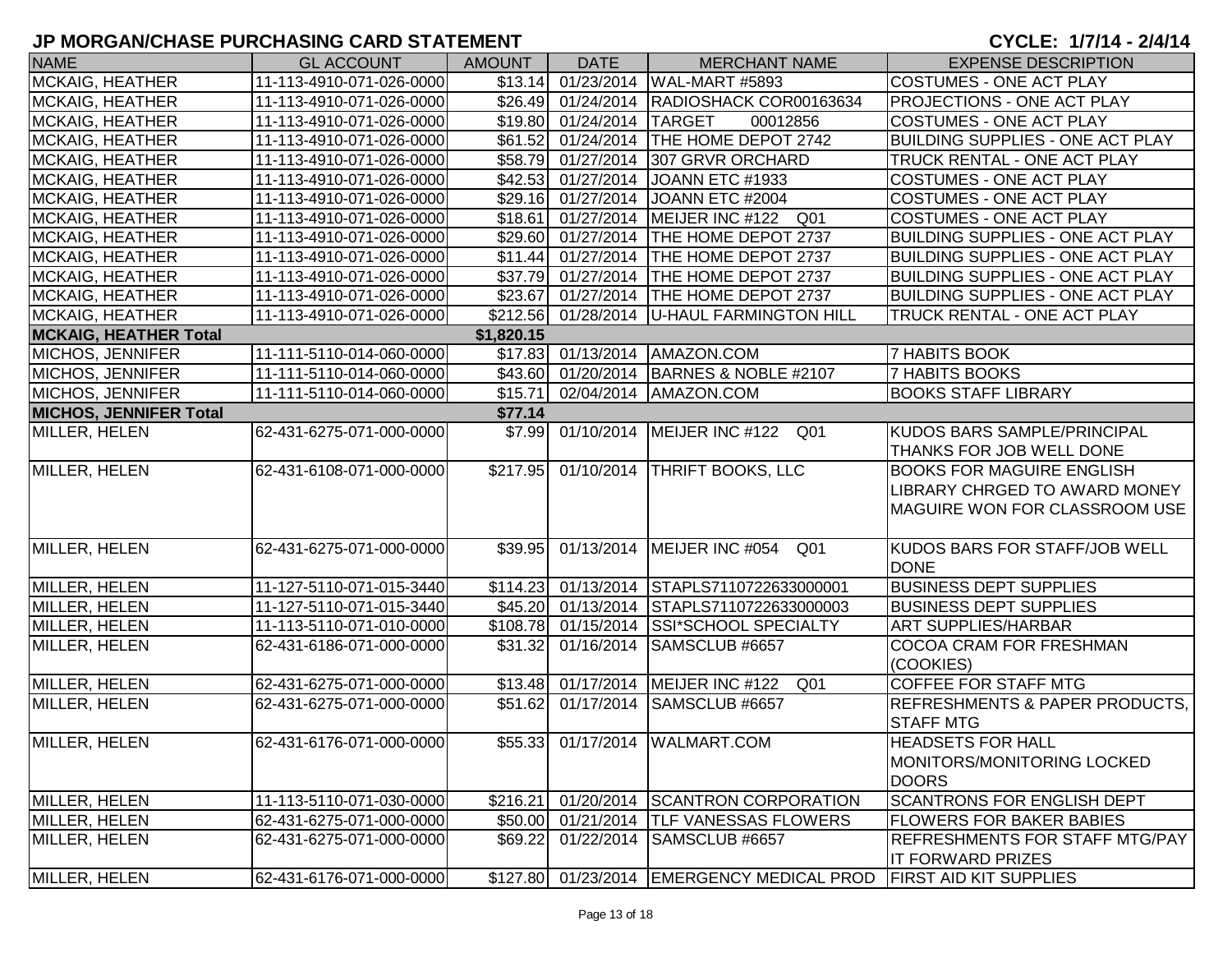| <b>NAME</b>                   | <b>GL ACCOUNT</b>        | <b>AMOUNT</b> | <b>DATE</b>                                 | <b>MERCHANT NAME</b>                                              | <b>EXPENSE DESCRIPTION</b>                |
|-------------------------------|--------------------------|---------------|---------------------------------------------|-------------------------------------------------------------------|-------------------------------------------|
| <b>MCKAIG, HEATHER</b>        | 11-113-4910-071-026-0000 |               |                                             | \$13.14 01/23/2014   WAL-MART #5893                               | <b>COSTUMES - ONE ACT PLAY</b>            |
| <b>MCKAIG, HEATHER</b>        | 11-113-4910-071-026-0000 |               |                                             | \$26.49 01/24/2014 RADIOSHACK COR00163634                         | <b>PROJECTIONS - ONE ACT PLAY</b>         |
| <b>MCKAIG, HEATHER</b>        | 11-113-4910-071-026-0000 |               | \$19.80 01/24/2014                          | <b>TARGET</b><br>00012856                                         | <b>COSTUMES - ONE ACT PLAY</b>            |
| MCKAIG, HEATHER               | 11-113-4910-071-026-0000 |               |                                             | \$61.52 01/24/2014 THE HOME DEPOT 2742                            | <b>BUILDING SUPPLIES - ONE ACT PLAY</b>   |
| <b>MCKAIG, HEATHER</b>        | 11-113-4910-071-026-0000 |               | $\overline{$}58.79$ $\overline{01/27/2014}$ | 307 GRVR ORCHARD                                                  | TRUCK RENTAL - ONE ACT PLAY               |
| <b>MCKAIG, HEATHER</b>        | 11-113-4910-071-026-0000 |               | \$42.53 01/27/2014                          | JOANN ETC #1933                                                   | <b>COSTUMES - ONE ACT PLAY</b>            |
| MCKAIG, HEATHER               | 11-113-4910-071-026-0000 |               |                                             | \$29.16 01/27/2014 JOANN ETC #2004                                | <b>COSTUMES - ONE ACT PLAY</b>            |
| MCKAIG, HEATHER               | 11-113-4910-071-026-0000 |               |                                             | \$18.61 01/27/2014 MEIJER INC #122 Q01                            | COSTUMES - ONE ACT PLAY                   |
| <b>MCKAIG, HEATHER</b>        | 11-113-4910-071-026-0000 |               | \$29.60 01/27/2014                          | <b>THE HOME DEPOT 2737</b>                                        | <b>BUILDING SUPPLIES - ONE ACT PLAY</b>   |
| <b>MCKAIG, HEATHER</b>        | 11-113-4910-071-026-0000 |               | $$11.44$ 01/27/2014                         | <b>THE HOME DEPOT 2737</b>                                        | <b>BUILDING SUPPLIES - ONE ACT PLAY</b>   |
| MCKAIG, HEATHER               | 11-113-4910-071-026-0000 |               | \$37.79 01/27/2014                          | <b>THE HOME DEPOT 2737</b>                                        | <b>BUILDING SUPPLIES - ONE ACT PLAY</b>   |
| MCKAIG, HEATHER               | 11-113-4910-071-026-0000 |               | \$23.67 01/27/2014                          | <b>THE HOME DEPOT 2737</b>                                        | <b>BUILDING SUPPLIES - ONE ACT PLAY</b>   |
| MCKAIG, HEATHER               | 11-113-4910-071-026-0000 |               | \$212.56 01/28/2014                         | U-HAUL FARMINGTON HILL                                            | TRUCK RENTAL - ONE ACT PLAY               |
| <b>MCKAIG, HEATHER Total</b>  |                          | \$1,820.15    |                                             |                                                                   |                                           |
| <b>MICHOS, JENNIFER</b>       | 11-111-5110-014-060-0000 |               |                                             | \$17.83 01/13/2014 AMAZON.COM                                     | <b>7 HABITS BOOK</b>                      |
| MICHOS, JENNIFER              | 11-111-5110-014-060-0000 |               |                                             | \$43.60 01/20/2014 BARNES & NOBLE #2107                           | <b>7 HABITS BOOKS</b>                     |
| MICHOS, JENNIFER              | 11-111-5110-014-060-0000 | \$15.71       | 02/04/2014                                  | AMAZON.COM                                                        | <b>BOOKS STAFF LIBRARY</b>                |
| <b>MICHOS, JENNIFER Total</b> |                          | \$77.14       |                                             |                                                                   |                                           |
| MILLER, HELEN                 | 62-431-6275-071-000-0000 |               |                                             | \$7.99 01/10/2014 MEIJER INC #122<br>Q01                          | <b>KUDOS BARS SAMPLE/PRINCIPAL</b>        |
|                               |                          |               |                                             |                                                                   | THANKS FOR JOB WELL DONE                  |
| MILLER, HELEN                 | 62-431-6108-071-000-0000 | \$217.95      |                                             | 01/10/2014 THRIFT BOOKS, LLC                                      | <b>BOOKS FOR MAGUIRE ENGLISH</b>          |
|                               |                          |               |                                             |                                                                   | <b>LIBRARY CHRGED TO AWARD MONEY</b>      |
|                               |                          |               |                                             |                                                                   | MAGUIRE WON FOR CLASSROOM USE             |
|                               |                          |               |                                             |                                                                   |                                           |
| MILLER, HELEN                 | 62-431-6275-071-000-0000 | \$39.95       |                                             | 01/13/2014   MEIJER INC #054<br>Q01                               | <b>KUDOS BARS FOR STAFF/JOB WELL</b>      |
|                               |                          |               |                                             |                                                                   | <b>DONE</b>                               |
| MILLER, HELEN                 | 11-127-5110-071-015-3440 |               |                                             | \$114.23 01/13/2014 STAPLS7110722633000001                        | <b>BUSINESS DEPT SUPPLIES</b>             |
| MILLER, HELEN                 | 11-127-5110-071-015-3440 |               |                                             | \$45.20 01/13/2014 STAPLS7110722633000003                         | <b>BUSINESS DEPT SUPPLIES</b>             |
| MILLER, HELEN                 | 11-113-5110-071-010-0000 |               |                                             | \$108.78 01/15/2014 SSI*SCHOOL SPECIALTY                          | <b>ART SUPPLIES/HARBAR</b>                |
| MILLER, HELEN                 | 62-431-6186-071-000-0000 | \$31.32       | 01/16/2014                                  | SAMSCLUB #6657                                                    | <b>COCOA CRAM FOR FRESHMAN</b>            |
|                               |                          |               |                                             |                                                                   | (COOKIES)                                 |
| MILLER, HELEN                 | 62-431-6275-071-000-0000 |               |                                             | \$13.48 01/17/2014 MEIJER INC #122<br>Q01                         | <b>COFFEE FOR STAFF MTG</b>               |
| MILLER, HELEN                 | 62-431-6275-071-000-0000 | \$51.62       | 01/17/2014                                  | SAMSCLUB #6657                                                    | <b>REFRESHMENTS &amp; PAPER PRODUCTS,</b> |
|                               |                          |               |                                             |                                                                   | <b>STAFF MTG</b>                          |
| MILLER, HELEN                 | 62-431-6176-071-000-0000 |               |                                             | \$55.33 01/17/2014 WALMART.COM                                    | <b>HEADSETS FOR HALL</b>                  |
|                               |                          |               |                                             |                                                                   | MONITORS/MONITORING LOCKED                |
|                               |                          |               |                                             |                                                                   | <b>DOORS</b>                              |
| MILLER, HELEN                 | 11-113-5110-071-030-0000 | \$216.21      | 01/20/2014                                  | <b>SCANTRON CORPORATION</b>                                       | <b>SCANTRONS FOR ENGLISH DEPT</b>         |
| MILLER, HELEN                 | 62-431-6275-071-000-0000 | \$50.00       | 01/21/2014                                  | <b>ITLF VANESSAS FLOWERS</b>                                      | <b>FLOWERS FOR BAKER BABIES</b>           |
| MILLER, HELEN                 | 62-431-6275-071-000-0000 | \$69.22       | 01/22/2014                                  | SAMSCLUB #6657                                                    | <b>REFRESHMENTS FOR STAFF MTG/PAY</b>     |
|                               |                          |               |                                             |                                                                   | <b>IT FORWARD PRIZES</b>                  |
| MILLER, HELEN                 | 62-431-6176-071-000-0000 |               |                                             | \$127.80 01/23/2014 EMERGENCY MEDICAL PROD FIRST AID KIT SUPPLIES |                                           |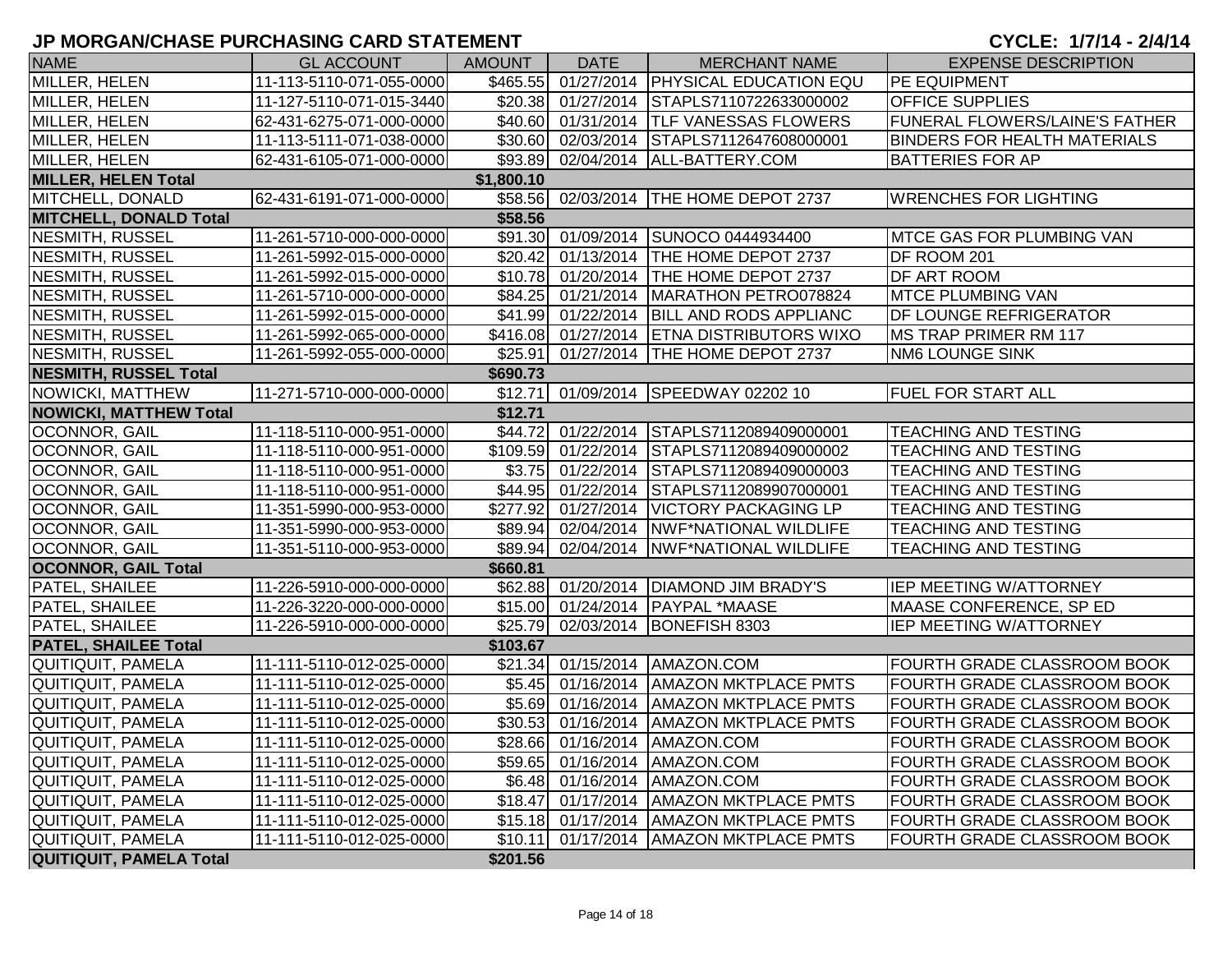| <b>NAME</b>                    | <b>GL ACCOUNT</b>        | AMOUNT     | <b>DATE</b>         | <b>MERCHANT NAME</b>                      | <b>EXPENSE DESCRIPTION</b>          |
|--------------------------------|--------------------------|------------|---------------------|-------------------------------------------|-------------------------------------|
| MILLER, HELEN                  | 11-113-5110-071-055-0000 | \$465.55   |                     | 01/27/2014   PHYSICAL EDUCATION EQU       | PE EQUIPMENT                        |
| MILLER, HELEN                  | 11-127-5110-071-015-3440 |            |                     | \$20.38 01/27/2014 STAPLS7110722633000002 | <b>OFFICE SUPPLIES</b>              |
| MILLER, HELEN                  | 62-431-6275-071-000-0000 |            |                     | \$40.60 01/31/2014 TLF VANESSAS FLOWERS   | FUNERAL FLOWERS/LAINE'S FATHER      |
| MILLER, HELEN                  | 11-113-5111-071-038-0000 |            |                     | \$30.60 02/03/2014 STAPLS7112647608000001 | <b>BINDERS FOR HEALTH MATERIALS</b> |
| MILLER, HELEN                  | 62-431-6105-071-000-0000 |            |                     | \$93.89 02/04/2014 ALL-BATTERY.COM        | <b>BATTERIES FOR AP</b>             |
| <b>MILLER, HELEN Total</b>     |                          | \$1,800.10 |                     |                                           |                                     |
| MITCHELL, DONALD               | 62-431-6191-071-000-0000 |            |                     | \$58.56 02/03/2014 THE HOME DEPOT 2737    | <b>WRENCHES FOR LIGHTING</b>        |
| <b>MITCHELL, DONALD Total</b>  |                          | \$58.56    |                     |                                           |                                     |
| NESMITH, RUSSEL                | 11-261-5710-000-000-0000 |            |                     | \$91.30 01/09/2014 SUNOCO 0444934400      | <b>MTCE GAS FOR PLUMBING VAN</b>    |
| NESMITH, RUSSEL                | 11-261-5992-015-000-0000 |            | \$20.42 01/13/2014  | <b>THE HOME DEPOT 2737</b>                | DF ROOM 201                         |
| <b>NESMITH, RUSSEL</b>         | 11-261-5992-015-000-0000 | \$10.78    | 01/20/2014          | <b>THE HOME DEPOT 2737</b>                | DF ART ROOM                         |
| NESMITH, RUSSEL                | 11-261-5710-000-000-0000 | \$84.25    | $\sqrt{01/21/2014}$ | MARATHON PETRO078824                      | MTCE PLUMBING VAN                   |
| <b>NESMITH, RUSSEL</b>         | 11-261-5992-015-000-0000 |            | \$41.99 01/22/2014  | <b>BILL AND RODS APPLIANC</b>             | DF LOUNGE REFRIGERATOR              |
| <b>NESMITH, RUSSEL</b>         | 11-261-5992-065-000-0000 |            | \$416.08 01/27/2014 | <b>ETNA DISTRIBUTORS WIXO</b>             | <b>MS TRAP PRIMER RM 117</b>        |
| NESMITH, RUSSEL                | 11-261-5992-055-000-0000 | \$25.91    | 01/27/2014          | <b>THE HOME DEPOT 2737</b>                | NM6 LOUNGE SINK                     |
| <b>NESMITH, RUSSEL Total</b>   |                          | \$690.73   |                     |                                           |                                     |
| NOWICKI, MATTHEW               | 11-271-5710-000-000-0000 | \$12.71    | 01/09/2014          | SPEEDWAY 02202 10                         | <b>FUEL FOR START ALL</b>           |
| <b>NOWICKI, MATTHEW Total</b>  |                          | \$12.71    |                     |                                           |                                     |
| OCONNOR, GAIL                  | 11-118-5110-000-951-0000 |            | \$44.72 01/22/2014  | STAPLS7112089409000001                    | TEACHING AND TESTING                |
| OCONNOR, GAIL                  | 11-118-5110-000-951-0000 |            | \$109.59 01/22/2014 | STAPLS7112089409000002                    | <b>TEACHING AND TESTING</b>         |
| <b>OCONNOR, GAIL</b>           | 11-118-5110-000-951-0000 |            | $$3.75$ 01/22/2014  | STAPLS7112089409000003                    | <b>TEACHING AND TESTING</b>         |
| <b>OCONNOR, GAIL</b>           | 11-118-5110-000-951-0000 |            | \$44.95 01/22/2014  | STAPLS7112089907000001                    | <b>TEACHING AND TESTING</b>         |
| <b>OCONNOR, GAIL</b>           | 11-351-5990-000-953-0000 | \$277.92   | 01/27/2014          | <b>VICTORY PACKAGING LP</b>               | <b>TEACHING AND TESTING</b>         |
| <b>OCONNOR, GAIL</b>           | 11-351-5990-000-953-0000 | \$89.94    | 02/04/2014          | <b>NWF*NATIONAL WILDLIFE</b>              | TEACHING AND TESTING                |
| <b>OCONNOR, GAIL</b>           | 11-351-5110-000-953-0000 | \$89.94    | 02/04/2014          | <b>NWF*NATIONAL WILDLIFE</b>              | TEACHING AND TESTING                |
| <b>OCONNOR, GAIL Total</b>     |                          | \$660.81   |                     |                                           |                                     |
| <b>PATEL, SHAILEE</b>          | 11-226-5910-000-000-0000 |            |                     | \$62.88 01/20/2014 DIAMOND JIM BRADY'S    | IEP MEETING W/ATTORNEY              |
| <b>PATEL, SHAILEE</b>          | 11-226-3220-000-000-0000 |            |                     | \$15.00 01/24/2014   PAYPAL *MAASE        | MAASE CONFERENCE, SP ED             |
| <b>PATEL, SHAILEE</b>          | 11-226-5910-000-000-0000 | \$25.79    | 02/03/2014          | BONEFISH 8303                             | IEP MEETING W/ATTORNEY              |
| <b>PATEL, SHAILEE Total</b>    |                          | \$103.67   |                     |                                           |                                     |
| QUITIQUIT, PAMELA              | 11-111-5110-012-025-0000 | \$21.34    | 01/15/2014          | AMAZON.COM                                | FOURTH GRADE CLASSROOM BOOK         |
| QUITIQUIT, PAMELA              | 11-111-5110-012-025-0000 | \$5.45     | 01/16/2014          | <b>AMAZON MKTPLACE PMTS</b>               | <b>FOURTH GRADE CLASSROOM BOOK</b>  |
| QUITIQUIT, PAMELA              | 11-111-5110-012-025-0000 |            | \$5.69 01/16/2014   | <b>AMAZON MKTPLACE PMTS</b>               | <b>FOURTH GRADE CLASSROOM BOOK</b>  |
| QUITIQUIT, PAMELA              | 11-111-5110-012-025-0000 | \$30.53    | 01/16/2014          | <b>AMAZON MKTPLACE PMTS</b>               | FOURTH GRADE CLASSROOM BOOK         |
| QUITIQUIT, PAMELA              | 11-111-5110-012-025-0000 |            |                     | \$28.66 01/16/2014 AMAZON.COM             | FOURTH GRADE CLASSROOM BOOK         |
| QUITIQUIT, PAMELA              | 11-111-5110-012-025-0000 |            |                     | \$59.65 01/16/2014 AMAZON.COM             | <b>FOURTH GRADE CLASSROOM BOOK</b>  |
| QUITIQUIT, PAMELA              | 11-111-5110-012-025-0000 |            | \$6.48 01/16/2014   | AMAZON.COM                                | FOURTH GRADE CLASSROOM BOOK         |
| QUITIQUIT, PAMELA              | 11-111-5110-012-025-0000 | \$18.47    | 01/17/2014          | <b>AMAZON MKTPLACE PMTS</b>               | FOURTH GRADE CLASSROOM BOOK         |
| QUITIQUIT, PAMELA              | 11-111-5110-012-025-0000 |            | $$15.18$ 01/17/2014 | <b>AMAZON MKTPLACE PMTS</b>               | <b>FOURTH GRADE CLASSROOM BOOK</b>  |
| QUITIQUIT, PAMELA              | 11-111-5110-012-025-0000 | \$10.11    | 01/17/2014          | <b>AMAZON MKTPLACE PMTS</b>               | FOURTH GRADE CLASSROOM BOOK         |
| <b>QUITIQUIT, PAMELA Total</b> |                          | \$201.56   |                     |                                           |                                     |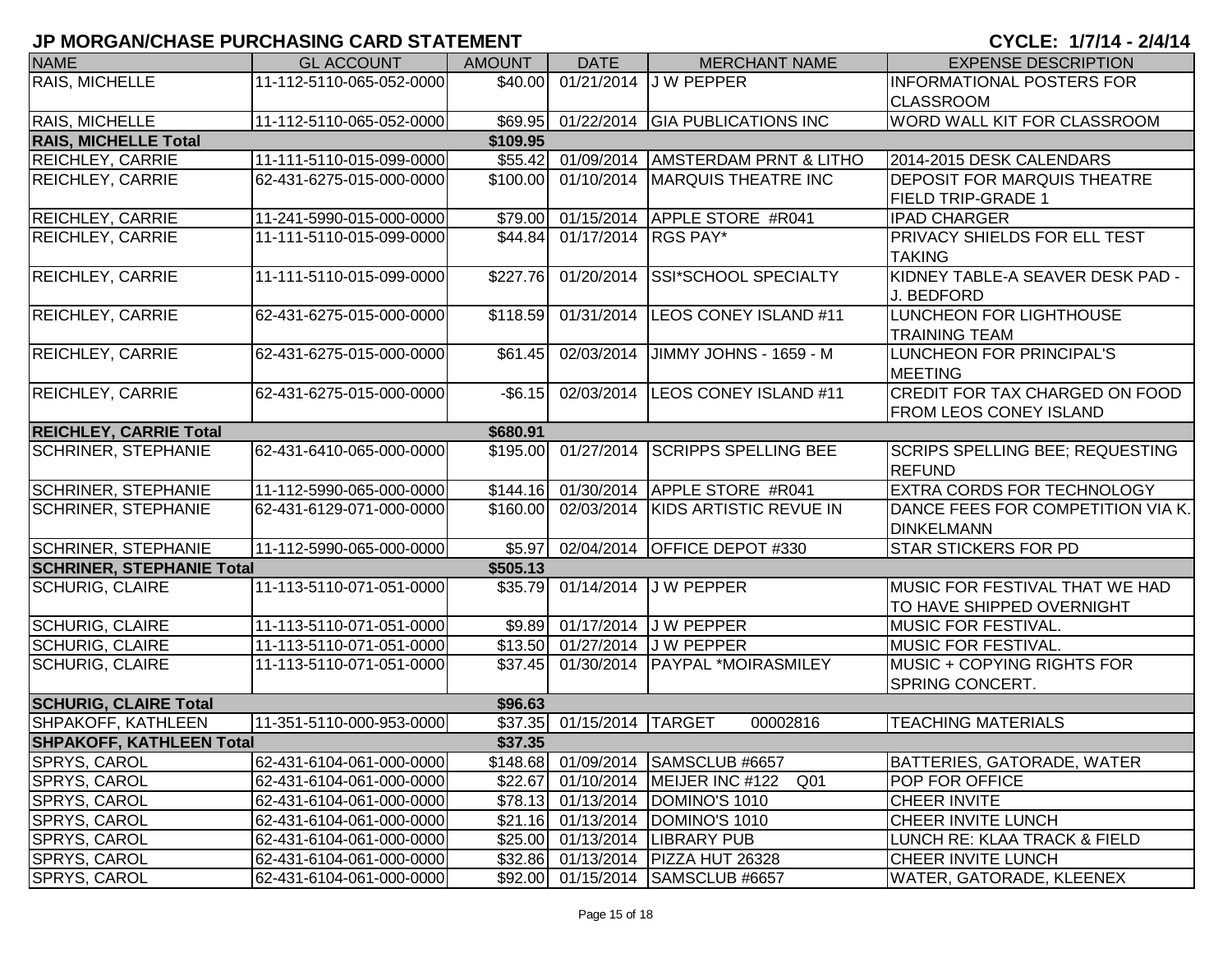| <b>NAME</b>                                  | <b>GL ACCOUNT</b>        | <b>AMOUNT</b> | <b>DATE</b>               | <b>MERCHANT NAME</b>                        | <b>EXPENSE DESCRIPTION</b>                                      |  |  |
|----------------------------------------------|--------------------------|---------------|---------------------------|---------------------------------------------|-----------------------------------------------------------------|--|--|
| <b>RAIS, MICHELLE</b>                        | 11-112-5110-065-052-0000 | \$40.00       |                           | 01/21/2014 J W PEPPER                       | <b>INFORMATIONAL POSTERS FOR</b>                                |  |  |
|                                              |                          |               |                           |                                             | <b>CLASSROOM</b>                                                |  |  |
| RAIS, MICHELLE                               | 11-112-5110-065-052-0000 |               |                           | \$69.95 01/22/2014 GIA PUBLICATIONS INC     | WORD WALL KIT FOR CLASSROOM                                     |  |  |
| <b>RAIS, MICHELLE Total</b>                  |                          | \$109.95      |                           |                                             |                                                                 |  |  |
| <b>REICHLEY, CARRIE</b>                      | 11-111-5110-015-099-0000 |               |                           | \$55.42 01/09/2014   AMSTERDAM PRNT & LITHO | 2014-2015 DESK CALENDARS                                        |  |  |
| <b>REICHLEY, CARRIE</b>                      | 62-431-6275-015-000-0000 |               |                           | \$100.00 01/10/2014 MARQUIS THEATRE INC     | <b>DEPOSIT FOR MARQUIS THEATRE</b>                              |  |  |
|                                              |                          |               |                           |                                             | <b>FIELD TRIP-GRADE 1</b>                                       |  |  |
| <b>REICHLEY, CARRIE</b>                      | 11-241-5990-015-000-0000 | \$79.00       |                           | 01/15/2014 APPLE STORE #R041                | <b>IPAD CHARGER</b>                                             |  |  |
| <b>REICHLEY, CARRIE</b>                      | 11-111-5110-015-099-0000 | \$44.84       | 01/17/2014 RGS PAY*       |                                             | <b>PRIVACY SHIELDS FOR ELL TEST</b><br><b>TAKING</b>            |  |  |
| <b>REICHLEY, CARRIE</b>                      | 11-111-5110-015-099-0000 | \$227.76      | 01/20/2014                | <b>SSI*SCHOOL SPECIALTY</b>                 | KIDNEY TABLE-A SEAVER DESK PAD -<br>J. BEDFORD                  |  |  |
| <b>REICHLEY, CARRIE</b>                      | 62-431-6275-015-000-0000 | \$118.59      | 01/31/2014                | LEOS CONEY ISLAND #11                       | LUNCHEON FOR LIGHTHOUSE<br><b>TRAINING TEAM</b>                 |  |  |
| <b>REICHLEY, CARRIE</b>                      | 62-431-6275-015-000-0000 | \$61.45       | 02/03/2014                | JIMMY JOHNS - 1659 - M                      | LUNCHEON FOR PRINCIPAL'S<br><b>MEETING</b>                      |  |  |
| <b>REICHLEY, CARRIE</b>                      | 62-431-6275-015-000-0000 | $-$6.15$      |                           | 02/03/2014 LEOS CONEY ISLAND #11            | CREDIT FOR TAX CHARGED ON FOOD<br><b>FROM LEOS CONEY ISLAND</b> |  |  |
| <b>REICHLEY, CARRIE Total</b>                |                          | \$680.91      |                           |                                             |                                                                 |  |  |
| <b>SCHRINER, STEPHANIE</b>                   | 62-431-6410-065-000-0000 | \$195.00      | 01/27/2014                | <b>SCRIPPS SPELLING BEE</b>                 | SCRIPS SPELLING BEE; REQUESTING<br><b>REFUND</b>                |  |  |
| <b>SCHRINER, STEPHANIE</b>                   | 11-112-5990-065-000-0000 |               |                           | \$144.16 01/30/2014 APPLE STORE #R041       | <b>EXTRA CORDS FOR TECHNOLOGY</b>                               |  |  |
| <b>SCHRINER, STEPHANIE</b>                   | 62-431-6129-071-000-0000 | \$160.00      | 02/03/2014                | KIDS ARTISTIC REVUE IN                      | DANCE FEES FOR COMPETITION VIA K.<br><b>DINKELMANN</b>          |  |  |
| <b>SCHRINER, STEPHANIE</b>                   | 11-112-5990-065-000-0000 | \$5.97        |                           | 02/04/2014 OFFICE DEPOT #330                | <b>STAR STICKERS FOR PD</b>                                     |  |  |
| \$505.13<br><b>SCHRINER, STEPHANIE Total</b> |                          |               |                           |                                             |                                                                 |  |  |
| <b>SCHURIG, CLAIRE</b>                       | 11-113-5110-071-051-0000 | \$35.79       |                           | 01/14/2014 J W PEPPER                       | MUSIC FOR FESTIVAL THAT WE HAD<br>TO HAVE SHIPPED OVERNIGHT     |  |  |
| <b>SCHURIG, CLAIRE</b>                       | 11-113-5110-071-051-0000 | \$9.89        |                           | 01/17/2014 J W PEPPER                       | MUSIC FOR FESTIVAL.                                             |  |  |
| <b>SCHURIG, CLAIRE</b>                       | 11-113-5110-071-051-0000 |               |                           | \$13.50 01/27/2014 J W PEPPER               | <b>MUSIC FOR FESTIVAL.</b>                                      |  |  |
| <b>SCHURIG, CLAIRE</b>                       | 11-113-5110-071-051-0000 | \$37.45       |                           | 01/30/2014   PAYPAL *MOIRASMILEY            | MUSIC + COPYING RIGHTS FOR<br>SPRING CONCERT.                   |  |  |
| <b>SCHURIG, CLAIRE Total</b>                 |                          | \$96.63       |                           |                                             |                                                                 |  |  |
| <b>SHPAKOFF, KATHLEEN</b>                    | 11-351-5110-000-953-0000 |               | \$37.35 01/15/2014 TARGET | 00002816                                    | <b>TEACHING MATERIALS</b>                                       |  |  |
| <b>SHPAKOFF, KATHLEEN Total</b>              |                          | \$37.35       |                           |                                             |                                                                 |  |  |
| <b>SPRYS, CAROL</b>                          | 62-431-6104-061-000-0000 |               |                           | \$148.68 01/09/2014 SAMSCLUB #6657          | BATTERIES, GATORADE, WATER                                      |  |  |
| <b>SPRYS, CAROL</b>                          | 62-431-6104-061-000-0000 |               |                           | \$22.67 01/10/2014 MEIJER INC #122<br>Q01   | POP FOR OFFICE                                                  |  |  |
| <b>SPRYS, CAROL</b>                          | 62-431-6104-061-000-0000 |               |                           | \$78.13 01/13/2014 DOMINO'S 1010            | <b>CHEER INVITE</b>                                             |  |  |
| <b>SPRYS, CAROL</b>                          | 62-431-6104-061-000-0000 |               |                           | \$21.16 01/13/2014 DOMINO'S 1010            | CHEER INVITE LUNCH                                              |  |  |
| <b>SPRYS, CAROL</b>                          | 62-431-6104-061-000-0000 |               |                           | \$25.00 01/13/2014 LIBRARY PUB              | LUNCH RE: KLAA TRACK & FIELD                                    |  |  |
| <b>SPRYS, CAROL</b>                          | 62-431-6104-061-000-0000 |               |                           | \$32.86 01/13/2014 PIZZA HUT 26328          | CHEER INVITE LUNCH                                              |  |  |
| SPRYS, CAROL                                 | 62-431-6104-061-000-0000 |               |                           | \$92.00 01/15/2014 SAMSCLUB #6657           | <b>WATER, GATORADE, KLEENEX</b>                                 |  |  |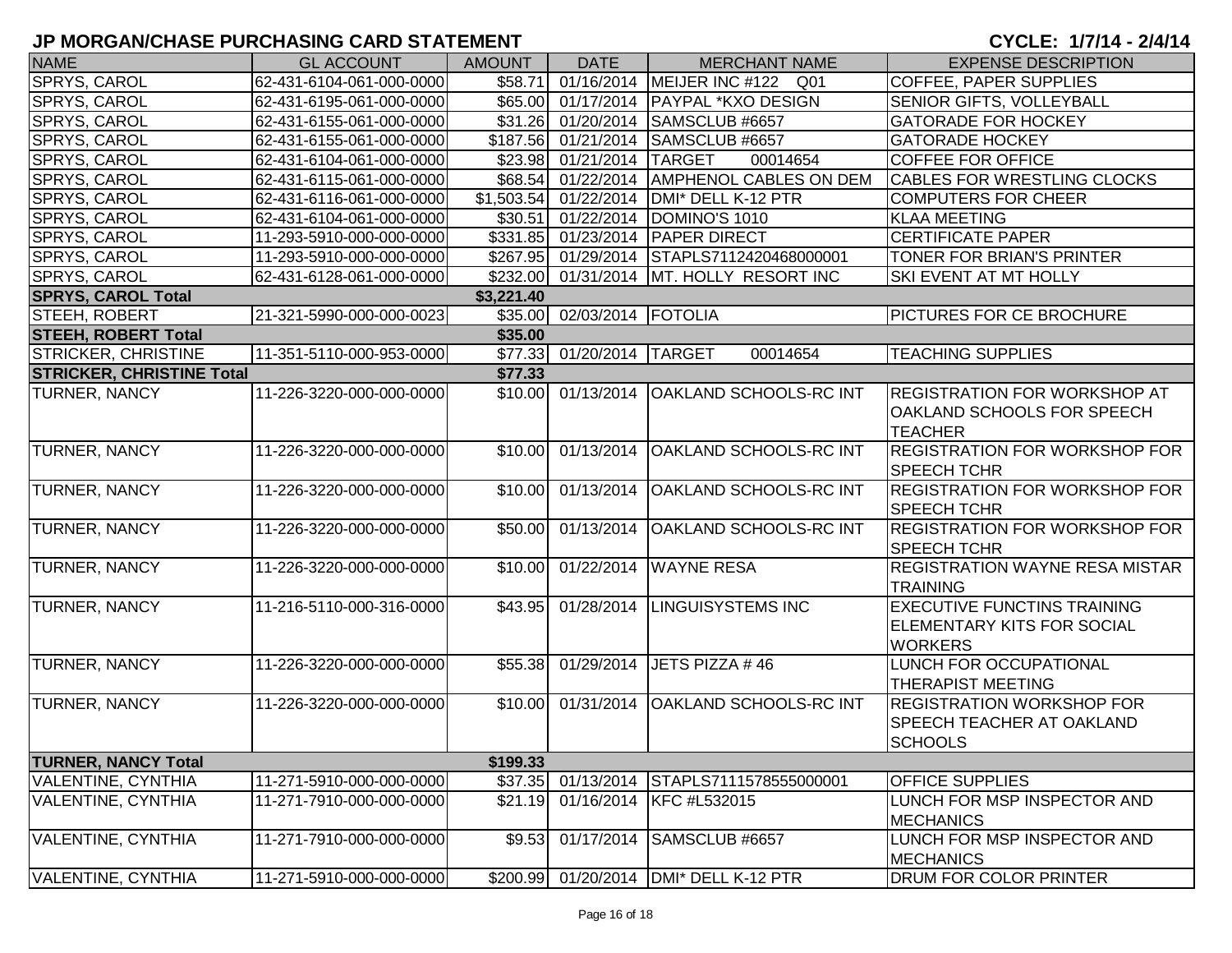| <b>NAME</b>                      | <b>GL ACCOUNT</b>        | <b>AMOUNT</b>           | <b>DATE</b>                | <b>MERCHANT NAME</b>                   | <b>EXPENSE DESCRIPTION</b>            |
|----------------------------------|--------------------------|-------------------------|----------------------------|----------------------------------------|---------------------------------------|
| SPRYS, CAROL                     | 62-431-6104-061-000-0000 | \$58.71                 | 01/16/2014                 | MEIJER INC #122 Q01                    | <b>COFFEE, PAPER SUPPLIES</b>         |
| SPRYS, CAROL                     | 62-431-6195-061-000-0000 | \$65.00                 |                            | 01/17/2014 PAYPAL *KXO DESIGN          | SENIOR GIFTS, VOLLEYBALL              |
| SPRYS, CAROL                     | 62-431-6155-061-000-0000 |                         | \$31.26 01/20/2014         | SAMSCLUB #6657                         | <b>GATORADE FOR HOCKEY</b>            |
| SPRYS, CAROL                     | 62-431-6155-061-000-0000 |                         | \$187.56 01/21/2014        | SAMSCLUB #6657                         | <b>GATORADE HOCKEY</b>                |
| SPRYS, CAROL                     | 62-431-6104-061-000-0000 |                         | \$23.98 01/21/2014         | <b>TARGET</b><br>00014654              | <b>COFFEE FOR OFFICE</b>              |
| SPRYS, CAROL                     | 62-431-6115-061-000-0000 |                         | \$68.54 01/22/2014         | <b>AMPHENOL CABLES ON DEM</b>          | <b>CABLES FOR WRESTLING CLOCKS</b>    |
| SPRYS, CAROL                     | 62-431-6116-061-000-0000 | $\overline{\$1,503.54}$ | 01/22/2014                 | DMI* DELL K-12 PTR                     | COMPUTERS FOR CHEER                   |
| SPRYS, CAROL                     | 62-431-6104-061-000-0000 | \$30.51                 | 01/22/2014                 | DOMINO'S 1010                          | <b>KLAA MEETING</b>                   |
| SPRYS, CAROL                     | 11-293-5910-000-000-0000 | \$331.85                | 01/23/2014                 | <b>PAPER DIRECT</b>                    | <b>CERTIFICATE PAPER</b>              |
| SPRYS, CAROL                     | 11-293-5910-000-000-0000 |                         | \$267.95 01/29/2014        | STAPLS7112420468000001                 | TONER FOR BRIAN'S PRINTER             |
| SPRYS, CAROL                     | 62-431-6128-061-000-0000 | \$232.00                | 01/31/2014                 | MT. HOLLY RESORT INC                   | SKI EVENT AT MT HOLLY                 |
| <b>SPRYS, CAROL Total</b>        |                          | \$3,221.40              |                            |                                        |                                       |
| STEEH, ROBERT                    | 21-321-5990-000-000-0023 |                         | \$35.00 02/03/2014 FOTOLIA |                                        | <b>PICTURES FOR CE BROCHURE</b>       |
| <b>STEEH, ROBERT Total</b>       |                          | \$35.00                 |                            |                                        |                                       |
| <b>STRICKER, CHRISTINE</b>       | 11-351-5110-000-953-0000 | \$77.33                 | 01/20/2014 TARGET          | 00014654                               | <b>TEACHING SUPPLIES</b>              |
| <b>STRICKER, CHRISTINE Total</b> |                          | \$77.33                 |                            |                                        |                                       |
| <b>TURNER, NANCY</b>             | 11-226-3220-000-000-0000 | \$10.00                 | 01/13/2014                 | <b>OAKLAND SCHOOLS-RC INT</b>          | <b>REGISTRATION FOR WORKSHOP AT</b>   |
|                                  |                          |                         |                            |                                        | <b>OAKLAND SCHOOLS FOR SPEECH</b>     |
|                                  |                          |                         |                            |                                        | <b>TEACHER</b>                        |
| TURNER, NANCY                    | 11-226-3220-000-000-0000 | \$10.00                 | 01/13/2014                 | <b>OAKLAND SCHOOLS-RC INT</b>          | <b>REGISTRATION FOR WORKSHOP FOR</b>  |
|                                  |                          |                         |                            |                                        | <b>SPEECH TCHR</b>                    |
| <b>TURNER, NANCY</b>             | 11-226-3220-000-000-0000 | \$10.00                 | 01/13/2014                 | <b>OAKLAND SCHOOLS-RC INT</b>          | <b>REGISTRATION FOR WORKSHOP FOR</b>  |
|                                  |                          |                         |                            |                                        | SPEECH TCHR                           |
| <b>TURNER, NANCY</b>             | 11-226-3220-000-000-0000 | \$50.00                 | 01/13/2014                 | <b>OAKLAND SCHOOLS-RC INT</b>          | <b>REGISTRATION FOR WORKSHOP FOR</b>  |
|                                  |                          |                         |                            |                                        | <b>SPEECH TCHR</b>                    |
| <b>TURNER, NANCY</b>             | 11-226-3220-000-000-0000 | \$10.00                 | 01/22/2014                 | <b>WAYNE RESA</b>                      | <b>REGISTRATION WAYNE RESA MISTAR</b> |
|                                  |                          |                         |                            |                                        | <b>TRAINING</b>                       |
| TURNER, NANCY                    | 11-216-5110-000-316-0000 | \$43.95                 | 01/28/2014                 | <b>LINGUISYSTEMS INC</b>               | <b>EXECUTIVE FUNCTINS TRAINING</b>    |
|                                  |                          |                         |                            |                                        | <b>ELEMENTARY KITS FOR SOCIAL</b>     |
|                                  |                          |                         |                            |                                        | <b>WORKERS</b>                        |
| <b>TURNER, NANCY</b>             | 11-226-3220-000-000-0000 | \$55.38                 | 01/29/2014                 | JETS PIZZA #46                         | <b>LUNCH FOR OCCUPATIONAL</b>         |
|                                  |                          |                         |                            |                                        | <b>THERAPIST MEETING</b>              |
| TURNER, NANCY                    | 11-226-3220-000-000-0000 | \$10.00                 | 01/31/2014                 | <b>OAKLAND SCHOOLS-RC INT</b>          | <b>REGISTRATION WORKSHOP FOR</b>      |
|                                  |                          |                         |                            |                                        | <b>SPEECH TEACHER AT OAKLAND</b>      |
|                                  |                          |                         |                            |                                        | <b>SCHOOLS</b>                        |
| <b>TURNER, NANCY Total</b>       |                          | \$199.33                |                            |                                        |                                       |
| VALENTINE, CYNTHIA               | 11-271-5910-000-000-0000 | \$37.35                 | 01/13/2014                 | STAPLS7111578555000001                 | <b>OFFICE SUPPLIES</b>                |
| <b>VALENTINE, CYNTHIA</b>        | 11-271-7910-000-000-0000 | \$21.19                 | 01/16/2014                 | KFC #L532015                           | LUNCH FOR MSP INSPECTOR AND           |
|                                  |                          |                         |                            |                                        | <b>MECHANICS</b>                      |
| <b>VALENTINE, CYNTHIA</b>        | 11-271-7910-000-000-0000 | \$9.53                  | 01/17/2014                 | SAMSCLUB #6657                         | LUNCH FOR MSP INSPECTOR AND           |
|                                  |                          |                         |                            |                                        | <b>MECHANICS</b>                      |
| <b>VALENTINE, CYNTHIA</b>        | 11-271-5910-000-000-0000 |                         |                            | \$200.99 01/20/2014 DMI* DELL K-12 PTR | <b>DRUM FOR COLOR PRINTER</b>         |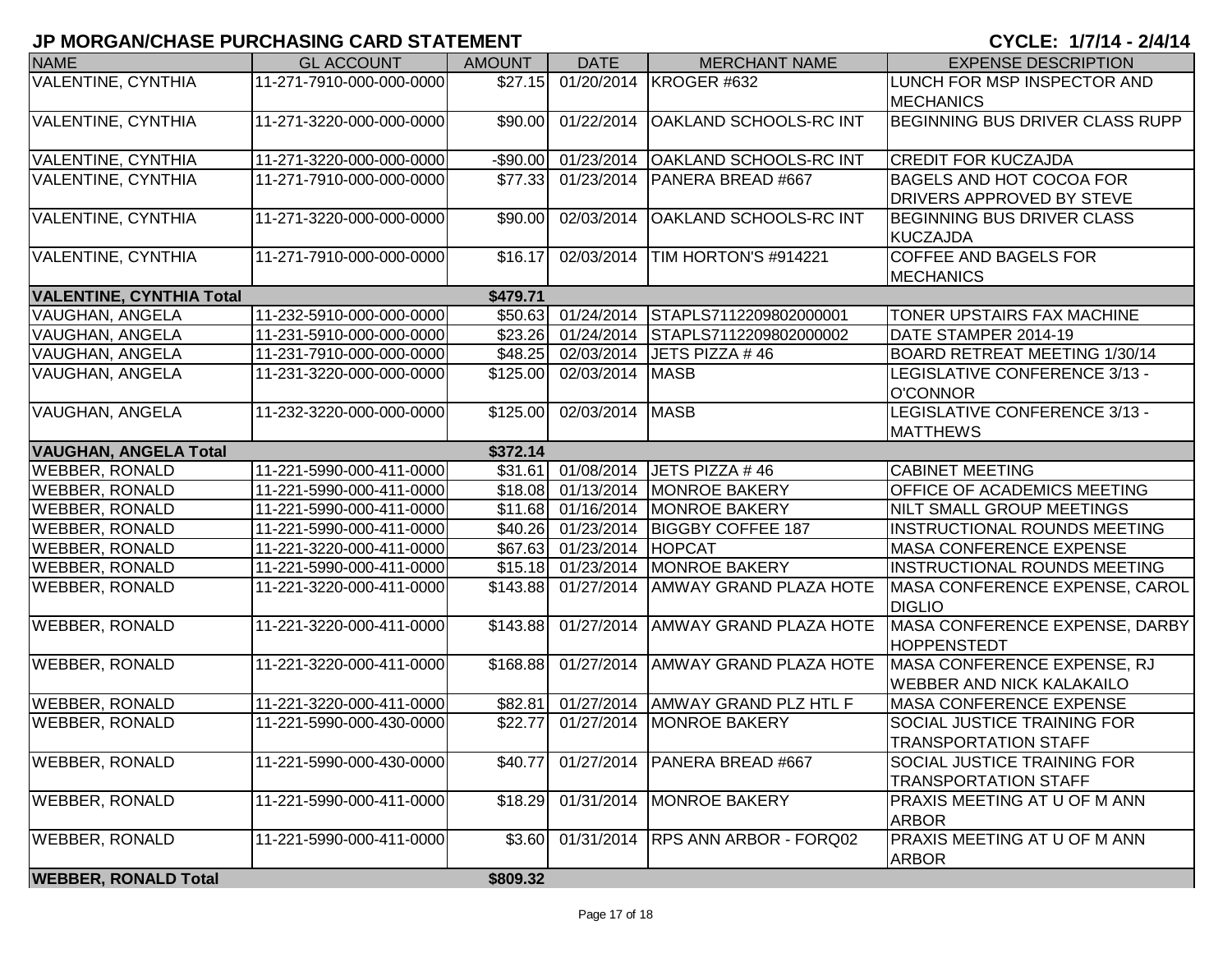| <b>NAME</b>                     | <b>GL ACCOUNT</b>        | <b>AMOUNT</b> | <b>DATE</b>         | <b>MERCHANT NAME</b>          | <b>EXPENSE DESCRIPTION</b>          |
|---------------------------------|--------------------------|---------------|---------------------|-------------------------------|-------------------------------------|
| <b>VALENTINE, CYNTHIA</b>       | 11-271-7910-000-000-0000 | \$27.15       | 01/20/2014          | KROGER #632                   | LUNCH FOR MSP INSPECTOR AND         |
|                                 |                          |               |                     |                               | <b>MECHANICS</b>                    |
| <b>VALENTINE, CYNTHIA</b>       | 11-271-3220-000-000-0000 | \$90.00       | 01/22/2014          | <b>OAKLAND SCHOOLS-RC INT</b> | BEGINNING BUS DRIVER CLASS RUPP     |
|                                 |                          |               |                     |                               |                                     |
| <b>VALENTINE, CYNTHIA</b>       | 11-271-3220-000-000-0000 | $-$90.00$     | 01/23/2014          | <b>OAKLAND SCHOOLS-RC INT</b> | <b>CREDIT FOR KUCZAJDA</b>          |
| <b>VALENTINE, CYNTHIA</b>       | 11-271-7910-000-000-0000 | \$77.33       | 01/23/2014          | PANERA BREAD #667             | <b>BAGELS AND HOT COCOA FOR</b>     |
|                                 |                          |               |                     |                               | DRIVERS APPROVED BY STEVE           |
| <b>VALENTINE, CYNTHIA</b>       | 11-271-3220-000-000-0000 | \$90.00       | 02/03/2014          | <b>OAKLAND SCHOOLS-RC INT</b> | BEGINNING BUS DRIVER CLASS          |
|                                 |                          |               |                     |                               | KUCZAJDA                            |
| <b>VALENTINE, CYNTHIA</b>       | 11-271-7910-000-000-0000 | \$16.17       | 02/03/2014          | TIM HORTON'S #914221          | <b>COFFEE AND BAGELS FOR</b>        |
|                                 |                          |               |                     |                               | <b>MECHANICS</b>                    |
| <b>VALENTINE, CYNTHIA Total</b> |                          | \$479.71      |                     |                               |                                     |
| <b>VAUGHAN, ANGELA</b>          | 11-232-5910-000-000-0000 | \$50.63       | 01/24/2014          | STAPLS7112209802000001        | TONER UPSTAIRS FAX MACHINE          |
| VAUGHAN, ANGELA                 | 11-231-5910-000-000-0000 |               | \$23.26 01/24/2014  | STAPLS7112209802000002        | DATE STAMPER 2014-19                |
| VAUGHAN, ANGELA                 | 11-231-7910-000-000-0000 | \$48.25       | 02/03/2014          | JETS PIZZA #46                | BOARD RETREAT MEETING 1/30/14       |
| VAUGHAN, ANGELA                 | 11-231-3220-000-000-0000 | \$125.00      | 02/03/2014          | <b>MASB</b>                   | LEGISLATIVE CONFERENCE 3/13 -       |
|                                 |                          |               |                     |                               | <b>O'CONNOR</b>                     |
| <b>VAUGHAN, ANGELA</b>          | 11-232-3220-000-000-0000 | \$125.00      | 02/03/2014          | <b>MASB</b>                   | LEGISLATIVE CONFERENCE 3/13 -       |
|                                 |                          |               |                     |                               | <b>MATTHEWS</b>                     |
| <b>VAUGHAN, ANGELA Total</b>    |                          | \$372.14      |                     |                               |                                     |
| <b>WEBBER, RONALD</b>           | 11-221-5990-000-411-0000 |               | \$31.61 01/08/2014  | JETS PIZZA #46                | <b>CABINET MEETING</b>              |
| <b>WEBBER, RONALD</b>           | 11-221-5990-000-411-0000 | \$18.08       | 01/13/2014          | MONROE BAKERY                 | <b>OFFICE OF ACADEMICS MEETING</b>  |
| <b>WEBBER, RONALD</b>           | 11-221-5990-000-411-0000 |               | \$11.68 01/16/2014  | <b>MONROE BAKERY</b>          | NILT SMALL GROUP MEETINGS           |
| <b>WEBBER, RONALD</b>           | 11-221-5990-000-411-0000 |               | \$40.26 01/23/2014  | <b>BIGGBY COFFEE 187</b>      | <b>INSTRUCTIONAL ROUNDS MEETING</b> |
| <b>WEBBER, RONALD</b>           | 11-221-3220-000-411-0000 |               | \$67.63 01/23/2014  | <b>HOPCAT</b>                 | <b>MASA CONFERENCE EXPENSE</b>      |
| <b>WEBBER, RONALD</b>           | 11-221-5990-000-411-0000 |               | $$15.18$ 01/23/2014 | <b>MONROE BAKERY</b>          | <b>INSTRUCTIONAL ROUNDS MEETING</b> |
| <b>WEBBER, RONALD</b>           | 11-221-3220-000-411-0000 | \$143.88      | 01/27/2014          | <b>AMWAY GRAND PLAZA HOTE</b> | MASA CONFERENCE EXPENSE, CAROL      |
|                                 |                          |               |                     |                               | <b>DIGLIO</b>                       |
| <b>WEBBER, RONALD</b>           | 11-221-3220-000-411-0000 | \$143.88      | 01/27/2014          | <b>AMWAY GRAND PLAZA HOTE</b> | MASA CONFERENCE EXPENSE, DARBY      |
|                                 |                          |               |                     |                               | HOPPENSTEDT                         |
| <b>WEBBER, RONALD</b>           | 11-221-3220-000-411-0000 | \$168.88      | 01/27/2014          | <b>AMWAY GRAND PLAZA HOTE</b> | MASA CONFERENCE EXPENSE, RJ         |
|                                 |                          |               |                     |                               | WEBBER AND NICK KALAKAILO           |
| <b>WEBBER, RONALD</b>           | 11-221-3220-000-411-0000 | \$82.81       | 01/27/2014          | AMWAY GRAND PLZ HTL F         | MASA CONFERENCE EXPENSE             |
| <b>WEBBER, RONALD</b>           | 11-221-5990-000-430-0000 | \$22.77       | 01/27/2014          | <b>MONROE BAKERY</b>          | <b>SOCIAL JUSTICE TRAINING FOR</b>  |
|                                 |                          |               |                     |                               | <b>TRANSPORTATION STAFF</b>         |
| <b>WEBBER, RONALD</b>           | 11-221-5990-000-430-0000 | \$40.77       | 01/27/2014          | PANERA BREAD #667             | SOCIAL JUSTICE TRAINING FOR         |
|                                 |                          |               |                     |                               | <b>TRANSPORTATION STAFF</b>         |
| <b>WEBBER, RONALD</b>           | 11-221-5990-000-411-0000 | \$18.29       | 01/31/2014          | <b>MONROE BAKERY</b>          | PRAXIS MEETING AT U OF M ANN        |
|                                 |                          |               |                     |                               | <b>ARBOR</b>                        |
| <b>WEBBER, RONALD</b>           | 11-221-5990-000-411-0000 | \$3.60        | 01/31/2014          | <b>RPS ANN ARBOR - FORQ02</b> | PRAXIS MEETING AT U OF M ANN        |
|                                 |                          |               |                     |                               | <b>ARBOR</b>                        |
| <b>WEBBER, RONALD Total</b>     |                          | \$809.32      |                     |                               |                                     |